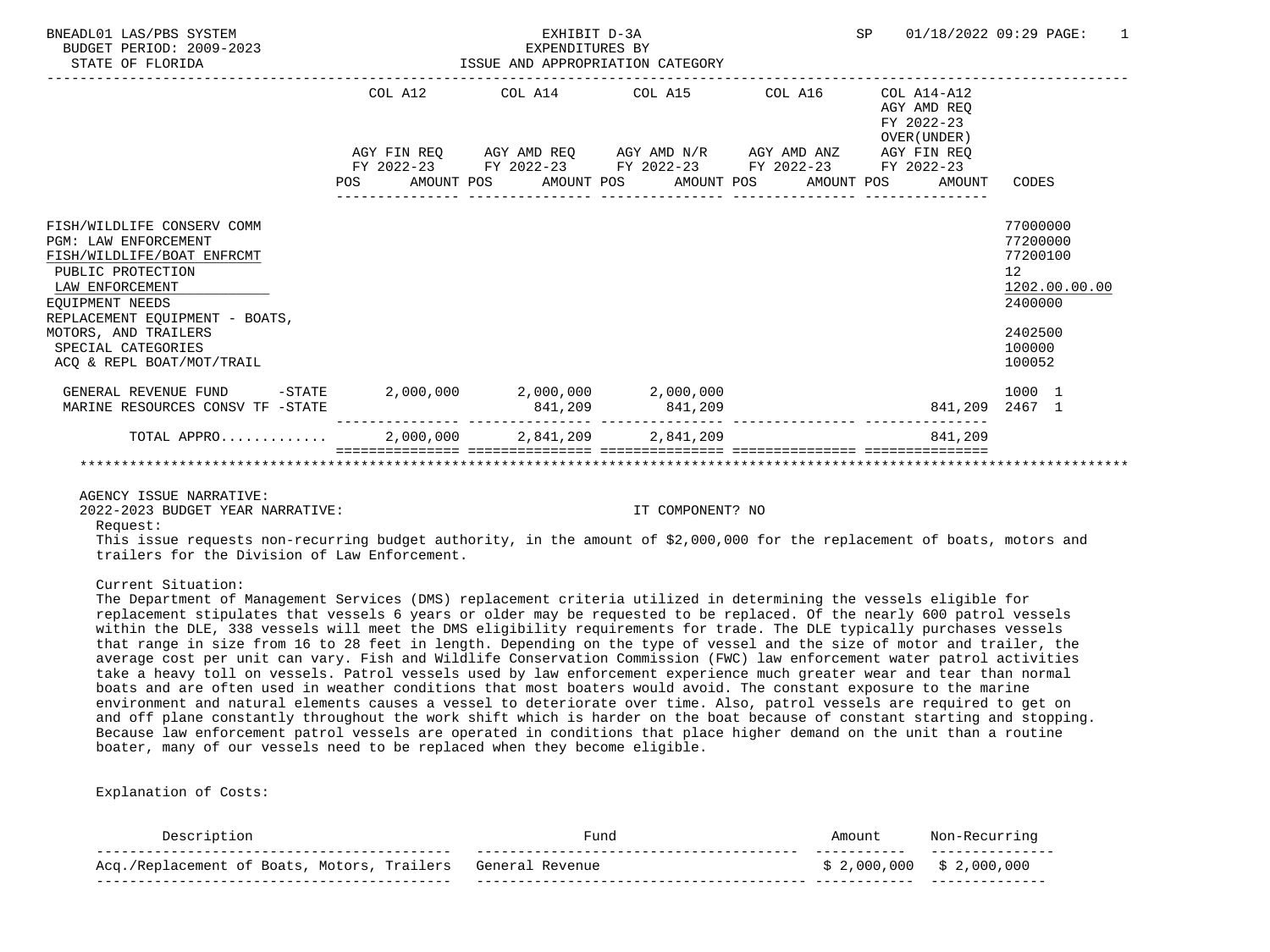| BNEADL01 LAS/PBS SYSTEM<br>BUDGET PERIOD: 2009-2023<br>STATE OF FLORIDA                                                                            |         | EXHIBIT D-3A<br>EXPENDITURES BY<br>ISSUE AND APPROPRIATION CATEGORY | <b>SP</b>                                              | 01/18/2022 09:29 PAGE:<br>$\overline{1}$                                                                              |                                                          |                                                                    |  |
|----------------------------------------------------------------------------------------------------------------------------------------------------|---------|---------------------------------------------------------------------|--------------------------------------------------------|-----------------------------------------------------------------------------------------------------------------------|----------------------------------------------------------|--------------------------------------------------------------------|--|
|                                                                                                                                                    | COL A12 |                                                                     |                                                        | COL A14 COL A15 COL A16                                                                                               | COL A14-A12<br>AGY AMD REO<br>FY 2022-23<br>OVER (UNDER) |                                                                    |  |
|                                                                                                                                                    |         |                                                                     |                                                        | AGY FIN REQ AGY AMD REQ AGY AMD N/R AGY AMD ANZ AGY FIN REQ<br>FY 2022-23 FY 2022-23 FY 2022-23 FY 2022-23 FY 2022-23 |                                                          |                                                                    |  |
|                                                                                                                                                    |         |                                                                     |                                                        | POS AMOUNT POS AMOUNT POS AMOUNT POS AMOUNT POS                                                                       | AMOUNT                                                   | CODES                                                              |  |
| FISH/WILDLIFE CONSERV COMM<br><b>PGM: LAW ENFORCEMENT</b><br>FISH/WILDLIFE/BOAT ENFRCMT<br>PUBLIC PROTECTION<br>LAW ENFORCEMENT<br>EOUIPMENT NEEDS |         |                                                                     |                                                        |                                                                                                                       |                                                          | 77000000<br>77200000<br>77200100<br>12<br>1202.00.00.00<br>2400000 |  |
| REPLACEMENT EOUIPMENT - BOATS,<br>MOTORS, AND TRAILERS<br>SPECIAL CATEGORIES<br>ACO & REPL BOAT/MOT/TRAIL                                          |         |                                                                     |                                                        |                                                                                                                       |                                                          | 2402500<br>100000<br>100052                                        |  |
| GENERAL REVENUE FUND<br>$-$ STATE<br>MARINE RESOURCES CONSV TF -STATE                                                                              |         |                                                                     | $2,000,000$ $2,000,000$ $2,000,000$<br>841,209 841,209 |                                                                                                                       |                                                          | 1000 1<br>841,209 2467 1                                           |  |
| TOTAL APPRO                                                                                                                                        |         |                                                                     | 2,000,000 2,841,209 2,841,209                          |                                                                                                                       | 841,209                                                  |                                                                    |  |

AGENCY ISSUE NARRATIVE:

2022-2023 BUDGET YEAR NARRATIVE: IT COMPONENT? NO

Request:

 This issue requests non-recurring budget authority, in the amount of \$2,000,000 for the replacement of boats, motors and trailers for the Division of Law Enforcement.

Current Situation:

 The Department of Management Services (DMS) replacement criteria utilized in determining the vessels eligible for replacement stipulates that vessels 6 years or older may be requested to be replaced. Of the nearly 600 patrol vessels within the DLE, 338 vessels will meet the DMS eligibility requirements for trade. The DLE typically purchases vessels that range in size from 16 to 28 feet in length. Depending on the type of vessel and the size of motor and trailer, the average cost per unit can vary. Fish and Wildlife Conservation Commission (FWC) law enforcement water patrol activities take a heavy toll on vessels. Patrol vessels used by law enforcement experience much greater wear and tear than normal boats and are often used in weather conditions that most boaters would avoid. The constant exposure to the marine environment and natural elements causes a vessel to deteriorate over time. Also, patrol vessels are required to get on and off plane constantly throughout the work shift which is harder on the boat because of constant starting and stopping. Because law enforcement patrol vessels are operated in conditions that place higher demand on the unit than a routine boater, many of our vessels need to be replaced when they become eligible.

|                                                       | $F$ 11 $n$        | moun.         |                 |
|-------------------------------------------------------|-------------------|---------------|-----------------|
| railers), ت<br>iacement of Boats, '<br>∆∩σ<br>Motors, | Genera<br>Pevenue | ,000<br>. ೧೧( | ,000,000<br>e · |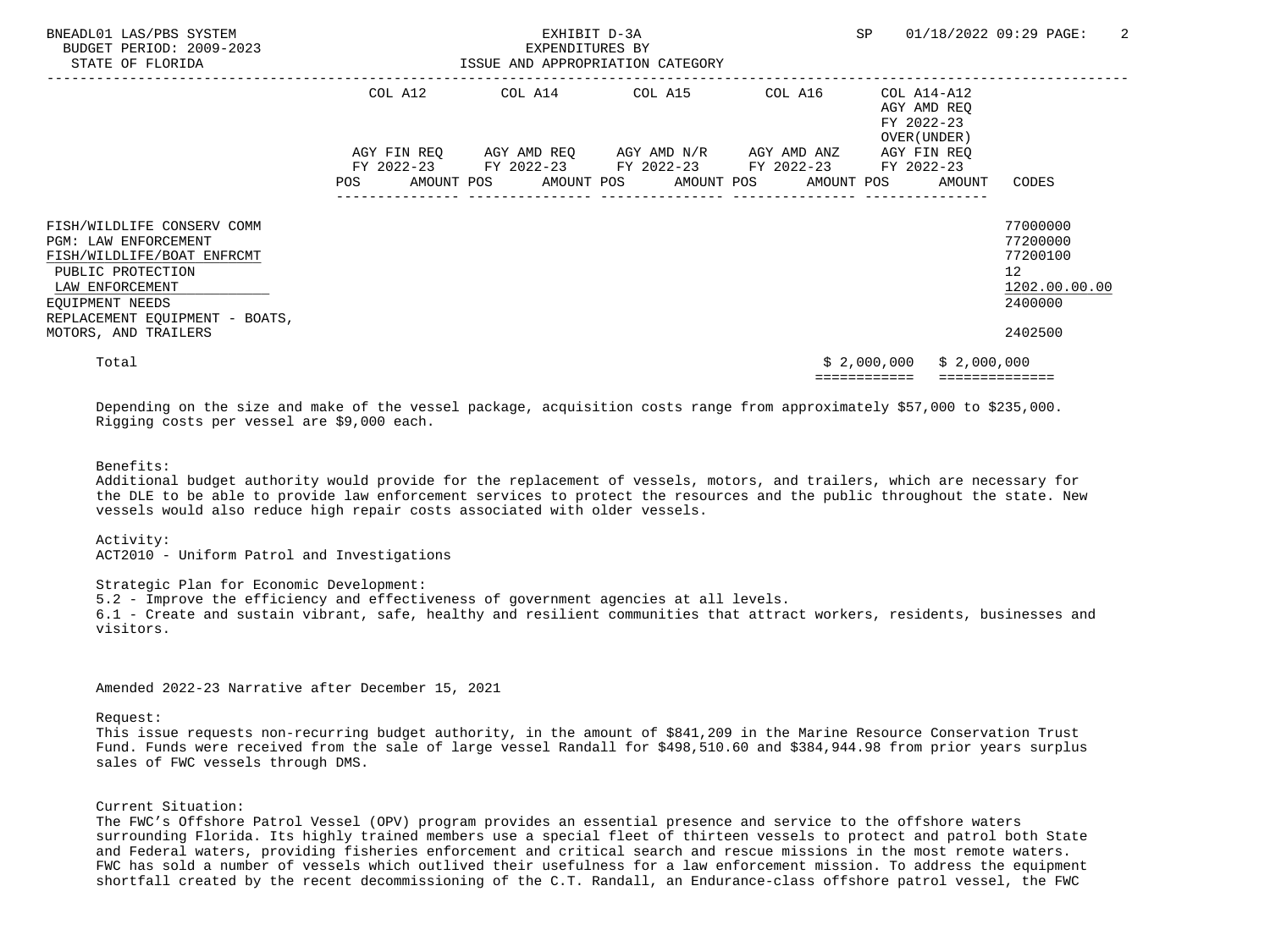| BNEADL01 LAS/PBS SYSTEM<br>BUDGET PERIOD: 2009-2023<br>STATE OF FLORIDA                                                                                                              |                                                                                                                | ISSUE AND APPROPRIATION CATEGORY |  | <b>SP</b> |                                                 | 01/18/2022 09:29 PAGE:                                                                     | $\overline{2}$ |                                                          |                                                                                 |  |
|--------------------------------------------------------------------------------------------------------------------------------------------------------------------------------------|----------------------------------------------------------------------------------------------------------------|----------------------------------|--|-----------|-------------------------------------------------|--------------------------------------------------------------------------------------------|----------------|----------------------------------------------------------|---------------------------------------------------------------------------------|--|
|                                                                                                                                                                                      |                                                                                                                | COL A12                          |  |           | COL A14 COL A15                                 | COL A16                                                                                    |                | COL A14-A12<br>AGY AMD REO<br>FY 2022-23<br>OVER (UNDER) |                                                                                 |  |
|                                                                                                                                                                                      | POS FOR THE POST OF THE POST OF THE POST OF THE POST OF THE POST OF THE POST OF THE POST OF THE POST OF THE PO |                                  |  |           | AGY FIN REQ 6GY AMD REQ 6GY AMD N/R 6GY AMD ANZ | FY 2022-23 FY 2022-23 FY 2022-23 FY 2022-23<br>AMOUNT POS AMOUNT POS AMOUNT POS AMOUNT POS |                | AGY FIN REO<br>FY 2022-23<br>AMOUNT                      | CODES                                                                           |  |
| FISH/WILDLIFE CONSERV COMM<br><b>PGM: LAW ENFORCEMENT</b><br>FISH/WILDLIFE/BOAT ENFRCMT<br>PUBLIC PROTECTION<br>LAW ENFORCEMENT<br>EOUIPMENT NEEDS<br>REPLACEMENT EQUIPMENT - BOATS, |                                                                                                                |                                  |  |           |                                                 |                                                                                            |                |                                                          | 77000000<br>77200000<br>77200100<br>12 <sup>°</sup><br>1202.00.00.00<br>2400000 |  |
| MOTORS, AND TRAILERS                                                                                                                                                                 |                                                                                                                |                                  |  |           |                                                 |                                                                                            |                |                                                          | 2402500                                                                         |  |
| Total                                                                                                                                                                                |                                                                                                                |                                  |  |           |                                                 |                                                                                            | \$2,000,000    | \$2,000,000                                              |                                                                                 |  |

 Depending on the size and make of the vessel package, acquisition costs range from approximately \$57,000 to \$235,000. Rigging costs per vessel are \$9,000 each.

Benefits:

 Additional budget authority would provide for the replacement of vessels, motors, and trailers, which are necessary for the DLE to be able to provide law enforcement services to protect the resources and the public throughout the state. New vessels would also reduce high repair costs associated with older vessels.

Activity:

ACT2010 - Uniform Patrol and Investigations

 Strategic Plan for Economic Development: 5.2 - Improve the efficiency and effectiveness of government agencies at all levels.

 6.1 - Create and sustain vibrant, safe, healthy and resilient communities that attract workers, residents, businesses and visitors.

Amended 2022-23 Narrative after December 15, 2021

Request:

 This issue requests non-recurring budget authority, in the amount of \$841,209 in the Marine Resource Conservation Trust Fund. Funds were received from the sale of large vessel Randall for \$498,510.60 and \$384,944.98 from prior years surplus sales of FWC vessels through DMS.

#### Current Situation:

 The FWC's Offshore Patrol Vessel (OPV) program provides an essential presence and service to the offshore waters surrounding Florida. Its highly trained members use a special fleet of thirteen vessels to protect and patrol both State and Federal waters, providing fisheries enforcement and critical search and rescue missions in the most remote waters. FWC has sold a number of vessels which outlived their usefulness for a law enforcement mission. To address the equipment shortfall created by the recent decommissioning of the C.T. Randall, an Endurance-class offshore patrol vessel, the FWC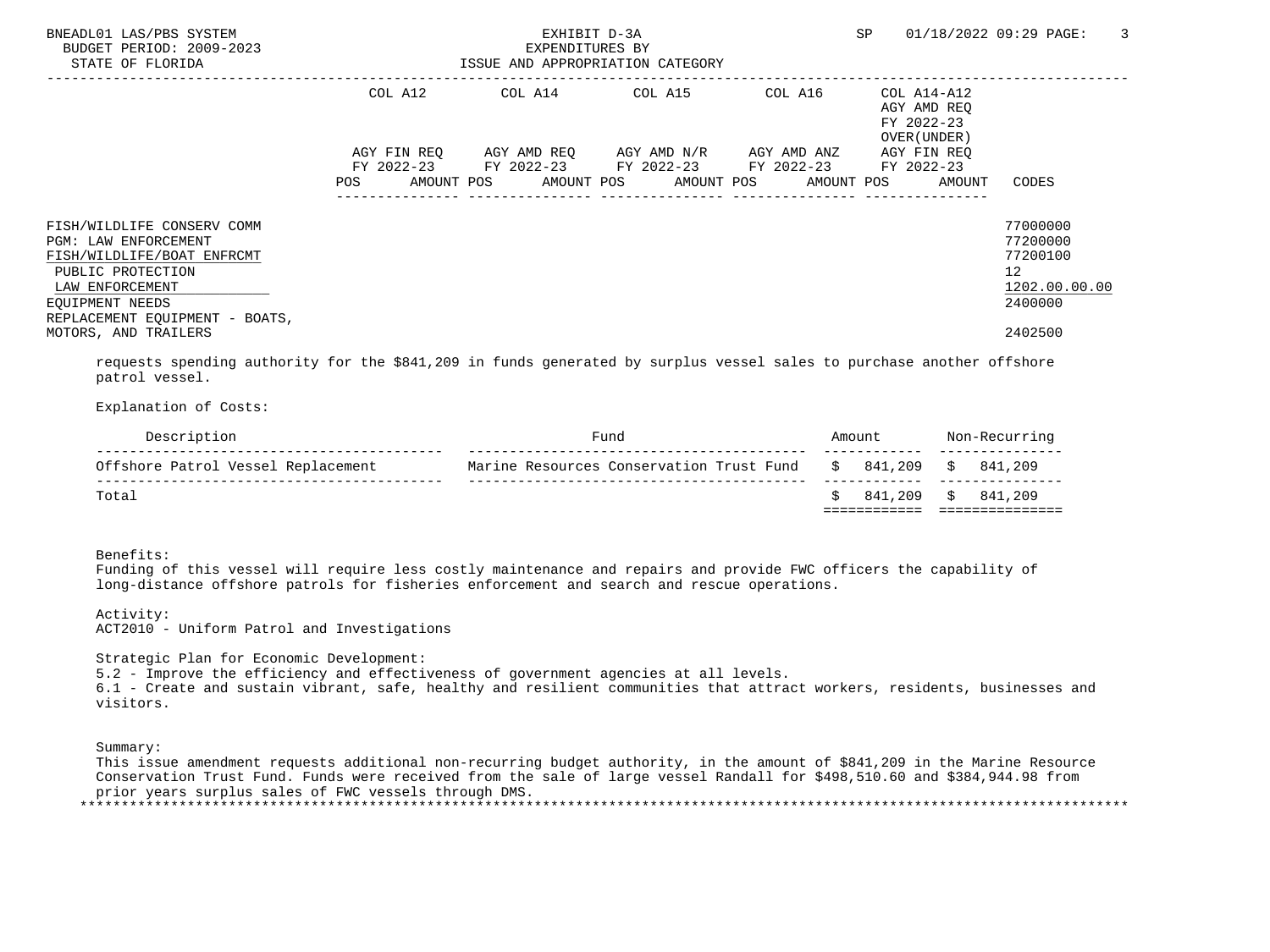| BNEADL01 LAS/PBS SYSTEM<br>BUDGET PERIOD: 2009-2023<br>STATE OF FLORIDA |             | EXHIBIT D-3A<br>EXPENDITURES BY<br>ISSUE AND APPROPRIATION CATEGORY | SP                                            | 3<br>01/18/2022 09:29 PAGE: |                                                          |                      |
|-------------------------------------------------------------------------|-------------|---------------------------------------------------------------------|-----------------------------------------------|-----------------------------|----------------------------------------------------------|----------------------|
|                                                                         | COL A12     | COL A14 COL A15                                                     |                                               | COL A16                     | COL A14-A12<br>AGY AMD REO<br>FY 2022-23<br>OVER (UNDER) |                      |
|                                                                         | AGY FIN REO |                                                                     | AGY AMD REQ      AGY AMD N/R      AGY AMD ANZ |                             | AGY FIN REO                                              |                      |
|                                                                         |             | FY 2022-23 FY 2022-23 FY 2022-23 FY 2022-23 FY 2022-23              |                                               |                             |                                                          |                      |
|                                                                         | POS         | AMOUNT POS      AMOUNT POS     AMOUNT POS     AMOUNT POS            |                                               |                             | AMOUNT                                                   | CODES                |
| FISH/WILDLIFE CONSERV COMM                                              |             |                                                                     |                                               |                             |                                                          | 77000000             |
| PGM: LAW ENFORCEMENT<br>FISH/WILDLIFE/BOAT ENFRCMT                      |             |                                                                     |                                               |                             |                                                          | 77200000<br>77200100 |
| PUBLIC PROTECTION                                                       |             |                                                                     |                                               |                             |                                                          | 12                   |
| LAW ENFORCEMENT                                                         |             |                                                                     |                                               |                             |                                                          | 1202.00.00.00        |
| EOUIPMENT NEEDS                                                         |             |                                                                     |                                               |                             |                                                          | 2400000              |
| REPLACEMENT EQUIPMENT - BOATS,<br>MOTORS, AND TRAILERS                  |             |                                                                     |                                               |                             |                                                          | 2402500              |

 requests spending authority for the \$841,209 in funds generated by surplus vessel sales to purchase another offshore patrol vessel.

Explanation of Costs:

| Description                        | Fund                                     | Amount     | Non-Recurring |         |  |
|------------------------------------|------------------------------------------|------------|---------------|---------|--|
| Offshore Patrol Vessel Replacement | Marine Resources Conservation Trust Fund | \$ 841,209 | S.            | 841,209 |  |
| Total                              |                                          | 841,209    | S             | 841,209 |  |
|                                    |                                          |            |               |         |  |

Benefits:

 Funding of this vessel will require less costly maintenance and repairs and provide FWC officers the capability of long-distance offshore patrols for fisheries enforcement and search and rescue operations.

 Activity: ACT2010 - Uniform Patrol and Investigations

Strategic Plan for Economic Development:

5.2 - Improve the efficiency and effectiveness of government agencies at all levels.

 6.1 - Create and sustain vibrant, safe, healthy and resilient communities that attract workers, residents, businesses and visitors.

Summary:

 This issue amendment requests additional non-recurring budget authority, in the amount of \$841,209 in the Marine Resource Conservation Trust Fund. Funds were received from the sale of large vessel Randall for \$498,510.60 and \$384,944.98 from prior years surplus sales of FWC vessels through DMS. \*\*\*\*\*\*\*\*\*\*\*\*\*\*\*\*\*\*\*\*\*\*\*\*\*\*\*\*\*\*\*\*\*\*\*\*\*\*\*\*\*\*\*\*\*\*\*\*\*\*\*\*\*\*\*\*\*\*\*\*\*\*\*\*\*\*\*\*\*\*\*\*\*\*\*\*\*\*\*\*\*\*\*\*\*\*\*\*\*\*\*\*\*\*\*\*\*\*\*\*\*\*\*\*\*\*\*\*\*\*\*\*\*\*\*\*\*\*\*\*\*\*\*\*\*\*\*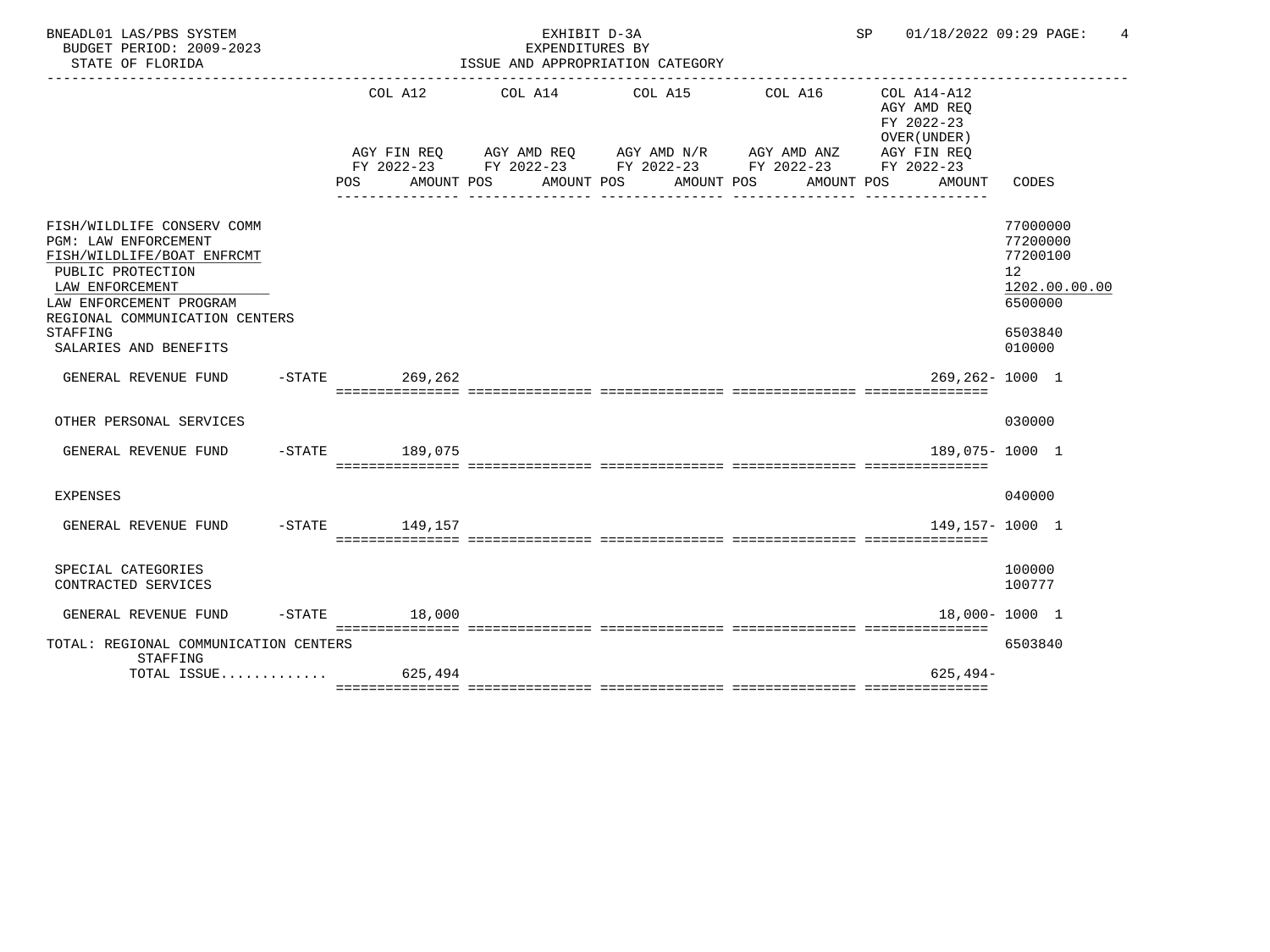| BNEADL01 LAS/PBS SYSTEM<br>BUDGET PERIOD: 2009-2023<br>STATE OF FLORIDA                                                                                                                                                    |                    | EXHIBIT D-3A<br>EXPENDITURES BY<br>ISSUE AND APPROPRIATION CATEGORY<br>----------------------------------- | 01/18/2022 09:29 PAGE:<br>SP                                               | 4                                                                               |                                                                                                 |                                                                                                      |
|----------------------------------------------------------------------------------------------------------------------------------------------------------------------------------------------------------------------------|--------------------|------------------------------------------------------------------------------------------------------------|----------------------------------------------------------------------------|---------------------------------------------------------------------------------|-------------------------------------------------------------------------------------------------|------------------------------------------------------------------------------------------------------|
|                                                                                                                                                                                                                            | POS DO             | AMOUNT POS AMOUNT POS                                                                                      | COL A12 COL A14 COL A15<br>AGY FIN REQ AGY AMD REQ AGY AMD N/R AGY AMD ANZ | COL A16<br>FY 2022-23 FY 2022-23 FY 2022-23 FY 2022-23 FY 2022-23<br>AMOUNT POS | COL A14-A12<br>AGY AMD REO<br>FY 2022-23<br>OVER (UNDER)<br>AGY FIN REQ<br>AMOUNT POS<br>AMOUNT | CODES                                                                                                |
| FISH/WILDLIFE CONSERV COMM<br>PGM: LAW ENFORCEMENT<br>FISH/WILDLIFE/BOAT ENFRCMT<br>PUBLIC PROTECTION<br>LAW ENFORCEMENT<br>LAW ENFORCEMENT PROGRAM<br>REGIONAL COMMUNICATION CENTERS<br>STAFFING<br>SALARIES AND BENEFITS |                    |                                                                                                            |                                                                            |                                                                                 |                                                                                                 | 77000000<br>77200000<br>77200100<br>12 <sup>°</sup><br>1202.00.00.00<br>6500000<br>6503840<br>010000 |
| GENERAL REVENUE FUND                                                                                                                                                                                                       | -STATE 269,262     |                                                                                                            |                                                                            |                                                                                 | $269.262 - 1000$ 1                                                                              |                                                                                                      |
| OTHER PERSONAL SERVICES                                                                                                                                                                                                    |                    |                                                                                                            |                                                                            |                                                                                 |                                                                                                 | 030000                                                                                               |
| GENERAL REVENUE FUND                                                                                                                                                                                                       | -STATE 189.075     |                                                                                                            |                                                                            |                                                                                 | 189.075-1000 1                                                                                  |                                                                                                      |
| <b>EXPENSES</b>                                                                                                                                                                                                            |                    |                                                                                                            |                                                                            |                                                                                 |                                                                                                 | 040000                                                                                               |
| GENERAL REVENUE FUND                                                                                                                                                                                                       | $-STATE$ 149, 157  |                                                                                                            |                                                                            |                                                                                 | 149, 157 - 1000 1                                                                               |                                                                                                      |
| SPECIAL CATEGORIES<br>CONTRACTED SERVICES                                                                                                                                                                                  |                    |                                                                                                            |                                                                            |                                                                                 |                                                                                                 | 100000<br>100777                                                                                     |
| GENERAL REVENUE FUND                                                                                                                                                                                                       | $-$ STATE $18,000$ |                                                                                                            |                                                                            |                                                                                 |                                                                                                 | 18,000-1000 1                                                                                        |
| TOTAL: REGIONAL COMMUNICATION CENTERS<br>STAFFING                                                                                                                                                                          |                    |                                                                                                            |                                                                            |                                                                                 |                                                                                                 | 6503840                                                                                              |
| TOTAL ISSUE $625.494$                                                                                                                                                                                                      |                    |                                                                                                            |                                                                            |                                                                                 | $625.494-$                                                                                      |                                                                                                      |
|                                                                                                                                                                                                                            |                    |                                                                                                            |                                                                            |                                                                                 |                                                                                                 |                                                                                                      |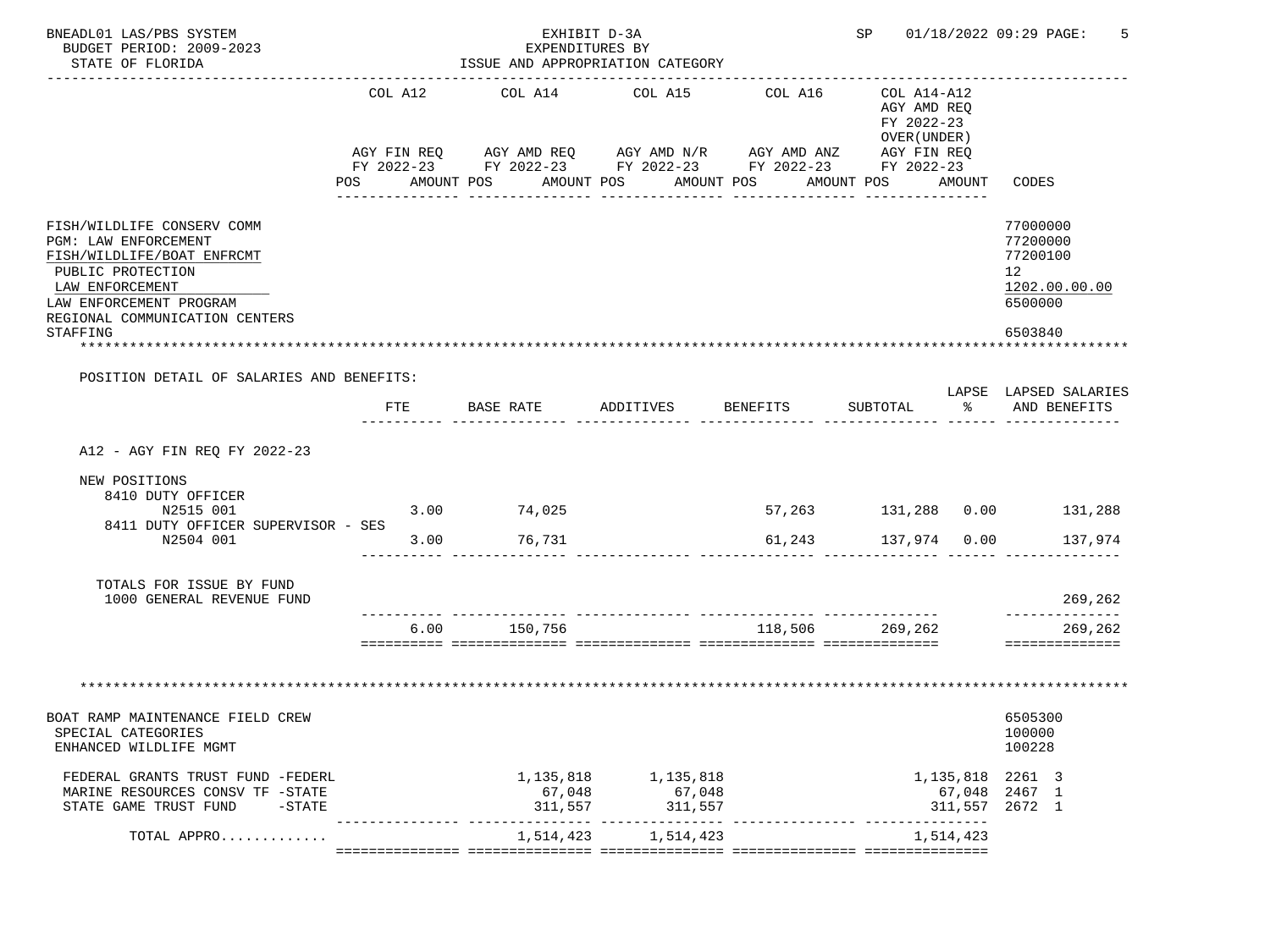| BNEADL01 LAS/PBS SYSTEM<br>BUDGET PERIOD: 2009-2023<br>STATE OF FLORIDA                                                                                                                                  |                         | EXHIBIT D-3A<br>EXPENDITURES BY<br>ISSUE AND APPROPRIATION CATEGORY |                   |                          |                       |                                                                                                                                                                                                        |           | SP 01/18/2022 09:29 PAGE:                                                                                                  |  |
|----------------------------------------------------------------------------------------------------------------------------------------------------------------------------------------------------------|-------------------------|---------------------------------------------------------------------|-------------------|--------------------------|-----------------------|--------------------------------------------------------------------------------------------------------------------------------------------------------------------------------------------------------|-----------|----------------------------------------------------------------------------------------------------------------------------|--|
|                                                                                                                                                                                                          | COL A12                 | COL A14 COL A15<br>POS AMOUNT POS AMOUNT POS                        | _____________     |                          | COL A16<br>AMOUNT POS | COL A14-A12<br>AGY AMD REO<br>FY 2022-23<br>OVER (UNDER)<br>AGY FIN REQ AGY AMD REQ AGY AMD N/R AGY AMD ANZ AGY FIN REQ<br>FY 2022-23 FY 2022-23 FY 2022-23 FY 2022-23 FY 2022-23<br>AMOUNT POS AMOUNT |           | CODES                                                                                                                      |  |
| FISH/WILDLIFE CONSERV COMM<br><b>PGM: LAW ENFORCEMENT</b><br>FISH/WILDLIFE/BOAT ENFRCMT<br>PUBLIC PROTECTION<br>LAW ENFORCEMENT<br>LAW ENFORCEMENT PROGRAM<br>REGIONAL COMMUNICATION CENTERS<br>STAFFING |                         |                                                                     |                   |                          |                       |                                                                                                                                                                                                        |           | 77000000<br>77200000<br>77200100<br>12 <sup>°</sup><br>1202.00.00.00<br>6500000<br>6503840<br><b>. * * * * * * * * *</b> · |  |
| POSITION DETAIL OF SALARIES AND BENEFITS:                                                                                                                                                                | FTE                     | BASE RATE                                                           | ADDITIVES         |                          | <b>BENEFITS</b>       | SUBTOTAL                                                                                                                                                                                               |           | LAPSE LAPSED SALARIES<br>% AND BENEFITS                                                                                    |  |
| A12 - AGY FIN REQ FY 2022-23                                                                                                                                                                             |                         |                                                                     |                   |                          |                       |                                                                                                                                                                                                        |           |                                                                                                                            |  |
| NEW POSITIONS<br>8410 DUTY OFFICER<br>N2515 001<br>8411 DUTY OFFICER SUPERVISOR - SES<br>N2504 001                                                                                                       | $3.00$ $74,025$<br>3.00 | 76,731                                                              |                   |                          |                       | 61,243 137,974 0.00                                                                                                                                                                                    |           | 57,263 131,288 0.00 131,288<br>137,974                                                                                     |  |
| TOTALS FOR ISSUE BY FUND<br>1000 GENERAL REVENUE FUND                                                                                                                                                    |                         |                                                                     |                   |                          |                       |                                                                                                                                                                                                        |           | 269,262                                                                                                                    |  |
|                                                                                                                                                                                                          |                         | 6.00 150,756                                                        |                   |                          |                       | 118,506 269,262                                                                                                                                                                                        |           | --------------<br>269,262<br>==============                                                                                |  |
|                                                                                                                                                                                                          |                         |                                                                     |                   |                          |                       |                                                                                                                                                                                                        |           |                                                                                                                            |  |
| BOAT RAMP MAINTENANCE FIELD CREW<br>SPECIAL CATEGORIES<br>ENHANCED WILDLIFE MGMT                                                                                                                         |                         |                                                                     |                   |                          |                       |                                                                                                                                                                                                        |           | 6505300<br>100000<br>100228                                                                                                |  |
| FEDERAL GRANTS TRUST FUND -FEDERL<br>MARINE RESOURCES CONSV TF -STATE<br>STATE GAME TRUST FUND<br>$-$ STATE                                                                                              |                         | 1, 135, 818 1, 135, 818<br>311,557                                  |                   | 67,048 67,048<br>311,557 |                       |                                                                                                                                                                                                        |           | 1, 135, 818 2261 3<br>67,048 2467 1<br>311,557 2672 1                                                                      |  |
| TOTAL APPRO                                                                                                                                                                                              |                         | 1,514,423                                                           | --- ------------- | 1,514,423                |                       | __ _______________ ____________                                                                                                                                                                        | 1,514,423 |                                                                                                                            |  |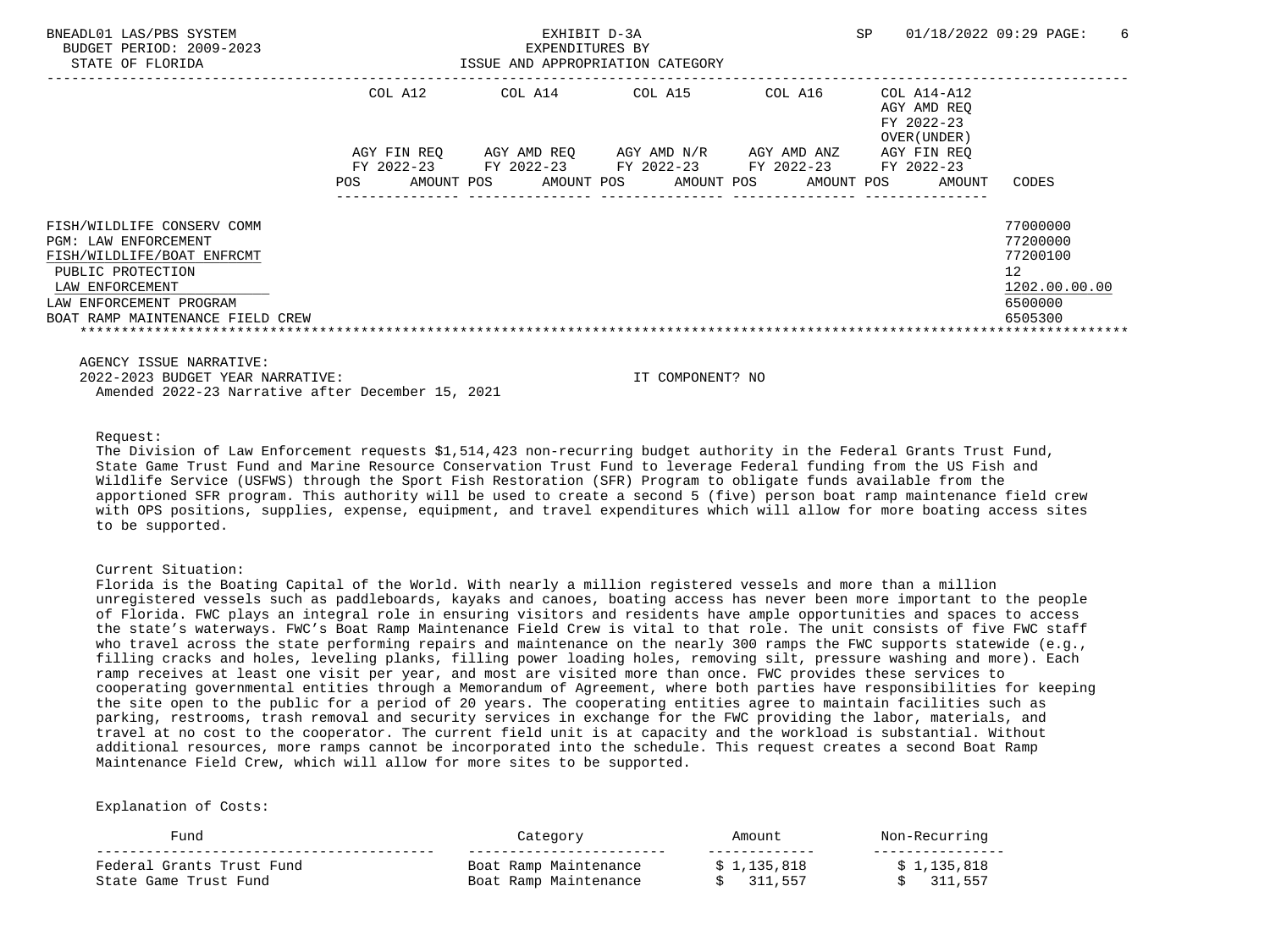| BNEADL01 LAS/PBS SYSTEM<br>BUDGET PERIOD: 2009-2023<br>STATE OF FLORIDA          |                                      | EXHIBIT D-3A<br>EXPENDITURES BY<br>ISSUE AND APPROPRIATION CATEGORY |                                                              | SP                       | 01/18/2022 09:29 PAGE:<br>- 6                            |                                             |
|----------------------------------------------------------------------------------|--------------------------------------|---------------------------------------------------------------------|--------------------------------------------------------------|--------------------------|----------------------------------------------------------|---------------------------------------------|
|                                                                                  | COL A12                              | COL A14                                                             | COL A15                                                      | COL A16                  | COL A14-A12<br>AGY AMD REO<br>FY 2022-23<br>OVER (UNDER) |                                             |
|                                                                                  | AGY FIN REO<br>FY 2022-23 FY 2022-23 |                                                                     | AGY AMD REO AGY AMD N/R AGY AMD ANZ<br>FY 2022-23 FY 2022-23 |                          | AGY FIN REO<br>FY 2022-23                                |                                             |
|                                                                                  | AMOUNT POS<br>POS                    |                                                                     | AMOUNT POS                                                   | AMOUNT POS<br>AMOUNT POS | AMOUNT                                                   | CODES                                       |
| FISH/WILDLIFE CONSERV COMM<br>PGM: LAW ENFORCEMENT<br>FISH/WILDLIFE/BOAT ENFRCMT |                                      |                                                                     |                                                              |                          |                                                          | 77000000<br>77200000<br>77200100            |
| PUBLIC PROTECTION<br>LAW ENFORCEMENT<br>LAW ENFORCEMENT PROGRAM                  |                                      |                                                                     |                                                              |                          |                                                          | 12 <sup>°</sup><br>1202.00.00.00<br>6500000 |
| BOAT RAMP MAINTENANCE FIELD CREW                                                 |                                      |                                                                     |                                                              |                          |                                                          | 6505300                                     |

AGENCY ISSUE NARRATIVE:

 2022-2023 BUDGET YEAR NARRATIVE: IT COMPONENT? NO Amended 2022-23 Narrative after December 15, 2021

Request:

 The Division of Law Enforcement requests \$1,514,423 non-recurring budget authority in the Federal Grants Trust Fund, State Game Trust Fund and Marine Resource Conservation Trust Fund to leverage Federal funding from the US Fish and Wildlife Service (USFWS) through the Sport Fish Restoration (SFR) Program to obligate funds available from the apportioned SFR program. This authority will be used to create a second 5 (five) person boat ramp maintenance field crew with OPS positions, supplies, expense, equipment, and travel expenditures which will allow for more boating access sites to be supported.

#### Current Situation:

 Florida is the Boating Capital of the World. With nearly a million registered vessels and more than a million unregistered vessels such as paddleboards, kayaks and canoes, boating access has never been more important to the people of Florida. FWC plays an integral role in ensuring visitors and residents have ample opportunities and spaces to access the state's waterways. FWC's Boat Ramp Maintenance Field Crew is vital to that role. The unit consists of five FWC staff who travel across the state performing repairs and maintenance on the nearly 300 ramps the FWC supports statewide (e.g., filling cracks and holes, leveling planks, filling power loading holes, removing silt, pressure washing and more). Each ramp receives at least one visit per year, and most are visited more than once. FWC provides these services to cooperating governmental entities through a Memorandum of Agreement, where both parties have responsibilities for keeping the site open to the public for a period of 20 years. The cooperating entities agree to maintain facilities such as parking, restrooms, trash removal and security services in exchange for the FWC providing the labor, materials, and travel at no cost to the cooperator. The current field unit is at capacity and the workload is substantial. Without additional resources, more ramps cannot be incorporated into the schedule. This request creates a second Boat Ramp Maintenance Field Crew, which will allow for more sites to be supported.

| "uno                      | Category              | Amount      | Non-Recurring |
|---------------------------|-----------------------|-------------|---------------|
| Federal Grants Trust Fund | Boat Ramp Maintenance | \$1,135,818 | 1,135,818     |
| State Game Trust Fund     | Boat Ramp Maintenance | 311,557     | 311,557       |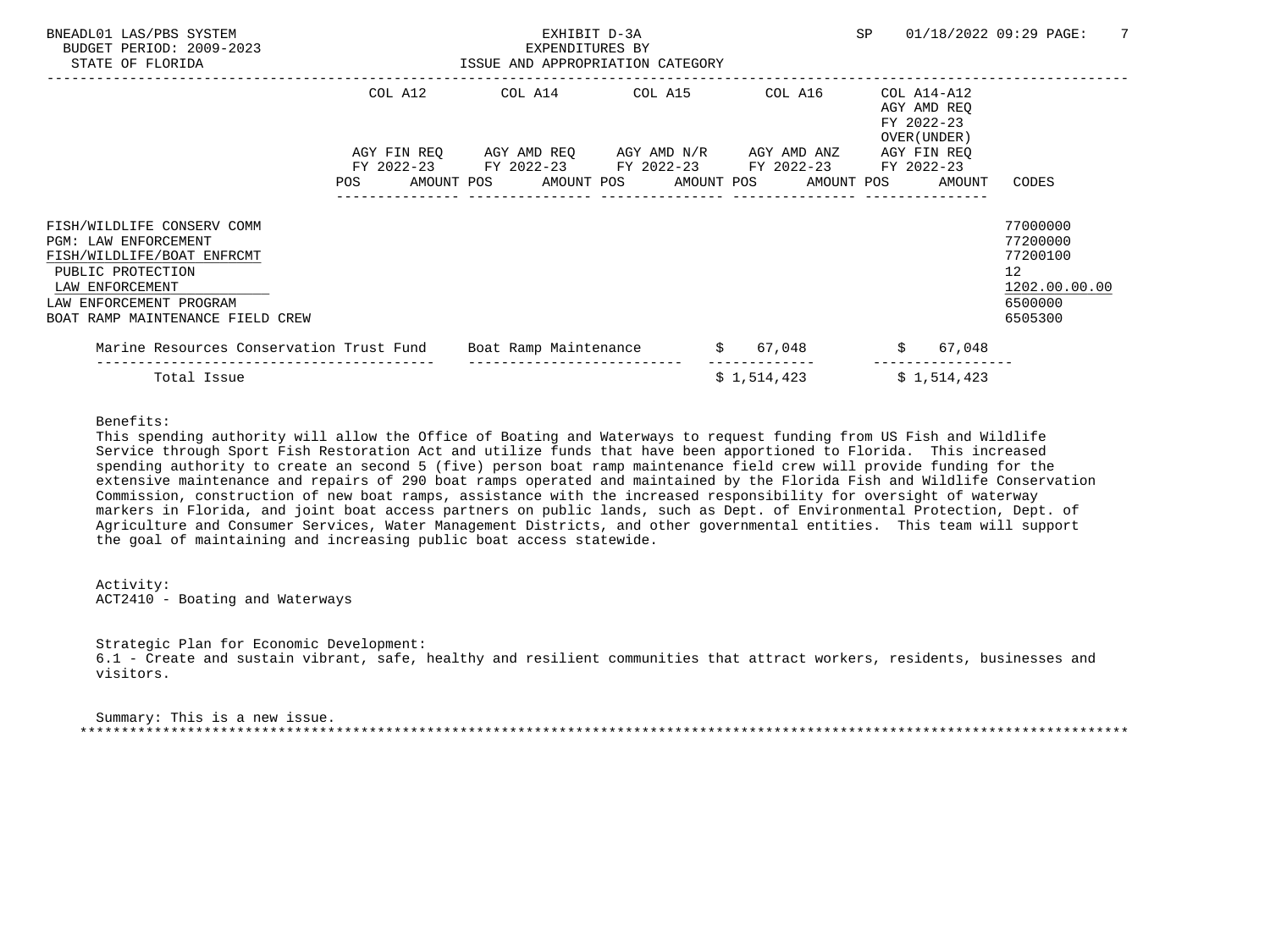| BNEADL01 LAS/PBS SYSTEM<br>BUDGET PERIOD: 2009-2023<br>STATE OF FLORIDA                                                                                                                 |         | EXHIBIT D-3A<br>EXPENDITURES BY<br>ISSUE AND APPROPRIATION CATEGORY                                                                                          |  |             | SP |                                                          | 01/18/2022 09:29 PAGE:<br>7                                                                |
|-----------------------------------------------------------------------------------------------------------------------------------------------------------------------------------------|---------|--------------------------------------------------------------------------------------------------------------------------------------------------------------|--|-------------|----|----------------------------------------------------------|--------------------------------------------------------------------------------------------|
|                                                                                                                                                                                         | COL A12 | COL A14 COL A15 COL A16                                                                                                                                      |  |             |    | COL A14-A12<br>AGY AMD REO<br>FY 2022-23<br>OVER (UNDER) |                                                                                            |
|                                                                                                                                                                                         |         | AGY FIN REQ AGY AMD REQ AGY AMD N/R AGY AMD ANZ<br>FY 2022-23 FY 2022-23 FY 2022-23 FY 2022-23 FY 2022-23<br>POS AMOUNT POS AMOUNT POS AMOUNT POS AMOUNT POS |  |             |    | AGY FIN REO<br>AMOUNT                                    | CODES                                                                                      |
| FISH/WILDLIFE CONSERV COMM<br>PGM: LAW ENFORCEMENT<br>FISH/WILDLIFE/BOAT ENFRCMT<br>PUBLIC PROTECTION<br>LAW ENFORCEMENT<br>LAW ENFORCEMENT PROGRAM<br>BOAT RAMP MAINTENANCE FIELD CREW |         |                                                                                                                                                              |  |             |    |                                                          | 77000000<br>77200000<br>77200100<br>12 <sup>°</sup><br>1202.00.00.00<br>6500000<br>6505300 |
| Marine Resources Conservation Trust Fund Boat Ramp Maintenance $$ 67,048$                                                                                                               |         |                                                                                                                                                              |  |             |    | \$ 67,048                                                |                                                                                            |
| Total Issue                                                                                                                                                                             |         |                                                                                                                                                              |  | \$1,514,423 |    | \$1,514,423                                              |                                                                                            |

Benefits:

 This spending authority will allow the Office of Boating and Waterways to request funding from US Fish and Wildlife Service through Sport Fish Restoration Act and utilize funds that have been apportioned to Florida. This increased spending authority to create an second 5 (five) person boat ramp maintenance field crew will provide funding for the extensive maintenance and repairs of 290 boat ramps operated and maintained by the Florida Fish and Wildlife Conservation Commission, construction of new boat ramps, assistance with the increased responsibility for oversight of waterway markers in Florida, and joint boat access partners on public lands, such as Dept. of Environmental Protection, Dept. of Agriculture and Consumer Services, Water Management Districts, and other governmental entities. This team will support the goal of maintaining and increasing public boat access statewide.

 Activity: ACT2410 - Boating and Waterways

 Strategic Plan for Economic Development: 6.1 - Create and sustain vibrant, safe, healthy and resilient communities that attract workers, residents, businesses and visitors.

 Summary: This is a new issue. \*\*\*\*\*\*\*\*\*\*\*\*\*\*\*\*\*\*\*\*\*\*\*\*\*\*\*\*\*\*\*\*\*\*\*\*\*\*\*\*\*\*\*\*\*\*\*\*\*\*\*\*\*\*\*\*\*\*\*\*\*\*\*\*\*\*\*\*\*\*\*\*\*\*\*\*\*\*\*\*\*\*\*\*\*\*\*\*\*\*\*\*\*\*\*\*\*\*\*\*\*\*\*\*\*\*\*\*\*\*\*\*\*\*\*\*\*\*\*\*\*\*\*\*\*\*\*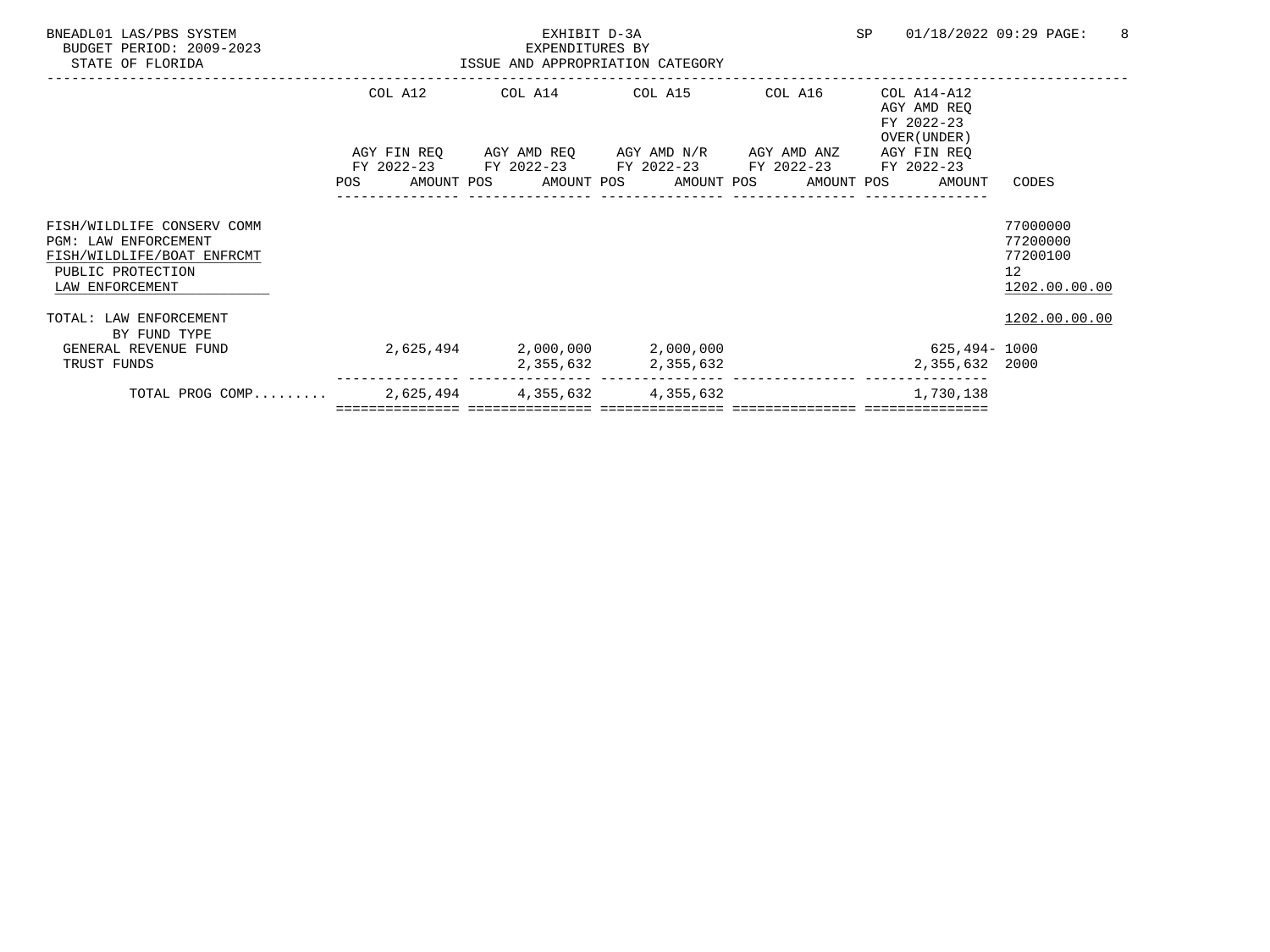| BNEADL01 LAS/PBS SYSTEM<br>BUDGET PERIOD: 2009-2023<br>STATE OF FLORIDA                                                  |           | EXHIBIT D-3A<br>EXPENDITURES BY<br>ISSUE AND APPROPRIATION CATEGORY | SP                                                                                                                                                       | 01/18/2022 09:29 PAGE:<br>8 |                                                          |                                                         |
|--------------------------------------------------------------------------------------------------------------------------|-----------|---------------------------------------------------------------------|----------------------------------------------------------------------------------------------------------------------------------------------------------|-----------------------------|----------------------------------------------------------|---------------------------------------------------------|
|                                                                                                                          | COL A12   |                                                                     | COL A14 COL A15                                                                                                                                          | COL A16                     | COL A14-A12<br>AGY AMD REO<br>FY 2022-23<br>OVER (UNDER) |                                                         |
|                                                                                                                          | POS       |                                                                     | AGY FIN REQ 6GY AMD REQ 6GY AMD N/R 6GY AMD ANZ<br>FY 2022-23 FY 2022-23 FY 2022-23 FY 2022-23 FY 2022-23<br>AMOUNT POS AMOUNT POS AMOUNT POS AMOUNT POS |                             | AGY FIN REQ<br>AMOUNT                                    | CODES                                                   |
| FISH/WILDLIFE CONSERV COMM<br>PGM: LAW ENFORCEMENT<br>FISH/WILDLIFE/BOAT ENFRCMT<br>PUBLIC PROTECTION<br>LAW ENFORCEMENT |           |                                                                     |                                                                                                                                                          |                             |                                                          | 77000000<br>77200000<br>77200100<br>12<br>1202.00.00.00 |
| TOTAL: LAW ENFORCEMENT<br>BY FUND TYPE<br>GENERAL REVENUE FUND                                                           | 2,625,494 |                                                                     | 2,000,000 2,000,000                                                                                                                                      |                             | 625,494- 1000                                            | 1202.00.00.00                                           |
| TRUST FUNDS                                                                                                              |           | 2,355,632                                                           | 2,355,632                                                                                                                                                |                             | 2,355,632 2000                                           |                                                         |
| TOTAL PROG COMP                                                                                                          |           | 2,625,494 4,355,632                                                 | 4,355,632                                                                                                                                                |                             | 1,730,138                                                |                                                         |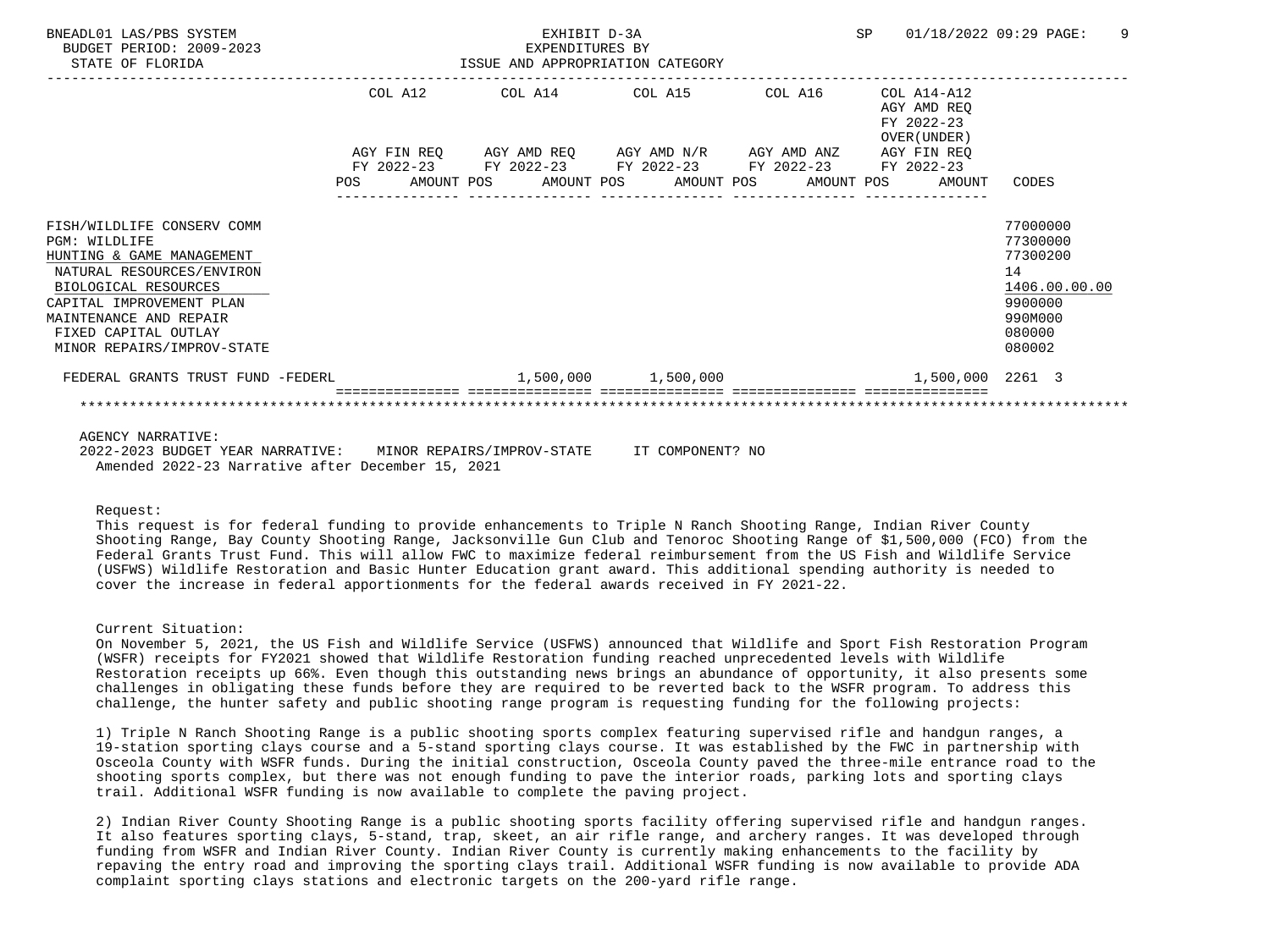| BNEADL01 LAS/PBS SYSTEM<br>BUDGET PERIOD: 2009-2023<br>STATE OF FLORIDA                                                                                                                                                                   |  | EXHIBIT D-3A<br>EXPENDITURES BY | ISSUE AND APPROPRIATION CATEGORY                                                                                                                                                        |  |                                                          | SP 01/18/2022 09:29 PAGE:                                                                         | - 9 |
|-------------------------------------------------------------------------------------------------------------------------------------------------------------------------------------------------------------------------------------------|--|---------------------------------|-----------------------------------------------------------------------------------------------------------------------------------------------------------------------------------------|--|----------------------------------------------------------|---------------------------------------------------------------------------------------------------|-----|
|                                                                                                                                                                                                                                           |  |                                 | COL A12 COL A14 COL A15 COL A16                                                                                                                                                         |  | COL A14-A12<br>AGY AMD REO<br>FY 2022-23<br>OVER (UNDER) |                                                                                                   |     |
|                                                                                                                                                                                                                                           |  |                                 | AGY FIN REQ 6 AGY AMD REQ 6 AGY AMD N/R 6 AGY AMD ANZ 6 AGY FIN REQ<br>FY 2022-23 FY 2022-23 FY 2022-23 FY 2022-23 FY 2022-23<br>POS AMOUNT POS AMOUNT POS AMOUNT POS AMOUNT POS AMOUNT |  |                                                          | CODES                                                                                             |     |
| FISH/WILDLIFE CONSERV COMM<br>PGM: WILDLIFE<br>HUNTING & GAME MANAGEMENT<br>NATURAL RESOURCES/ENVIRON<br>BIOLOGICAL RESOURCES<br>CAPITAL IMPROVEMENT PLAN<br>MAINTENANCE AND REPAIR<br>FIXED CAPITAL OUTLAY<br>MINOR REPAIRS/IMPROV-STATE |  |                                 |                                                                                                                                                                                         |  |                                                          | 77000000<br>77300000<br>77300200<br>14<br>1406.00.00.00<br>9900000<br>990M000<br>080000<br>080002 |     |
| FEDERAL GRANTS TRUST FUND -FEDERL                                                                                                                                                                                                         |  |                                 | $1,500,000$ $1,500,000$                                                                                                                                                                 |  | 1,500,000 2261 3                                         |                                                                                                   |     |
|                                                                                                                                                                                                                                           |  |                                 |                                                                                                                                                                                         |  |                                                          |                                                                                                   |     |

AGENCY NARRATIVE:

 2022-2023 BUDGET YEAR NARRATIVE: MINOR REPAIRS/IMPROV-STATE IT COMPONENT? NO Amended 2022-23 Narrative after December 15, 2021

Request:

 This request is for federal funding to provide enhancements to Triple N Ranch Shooting Range, Indian River County Shooting Range, Bay County Shooting Range, Jacksonville Gun Club and Tenoroc Shooting Range of \$1,500,000 (FCO) from the Federal Grants Trust Fund. This will allow FWC to maximize federal reimbursement from the US Fish and Wildlife Service (USFWS) Wildlife Restoration and Basic Hunter Education grant award. This additional spending authority is needed to cover the increase in federal apportionments for the federal awards received in FY 2021-22.

Current Situation:

 On November 5, 2021, the US Fish and Wildlife Service (USFWS) announced that Wildlife and Sport Fish Restoration Program (WSFR) receipts for FY2021 showed that Wildlife Restoration funding reached unprecedented levels with Wildlife Restoration receipts up 66%. Even though this outstanding news brings an abundance of opportunity, it also presents some challenges in obligating these funds before they are required to be reverted back to the WSFR program. To address this challenge, the hunter safety and public shooting range program is requesting funding for the following projects:

 1) Triple N Ranch Shooting Range is a public shooting sports complex featuring supervised rifle and handgun ranges, a 19-station sporting clays course and a 5-stand sporting clays course. It was established by the FWC in partnership with Osceola County with WSFR funds. During the initial construction, Osceola County paved the three-mile entrance road to the shooting sports complex, but there was not enough funding to pave the interior roads, parking lots and sporting clays trail. Additional WSFR funding is now available to complete the paving project.

 2) Indian River County Shooting Range is a public shooting sports facility offering supervised rifle and handgun ranges. It also features sporting clays, 5-stand, trap, skeet, an air rifle range, and archery ranges. It was developed through funding from WSFR and Indian River County. Indian River County is currently making enhancements to the facility by repaving the entry road and improving the sporting clays trail. Additional WSFR funding is now available to provide ADA complaint sporting clays stations and electronic targets on the 200-yard rifle range.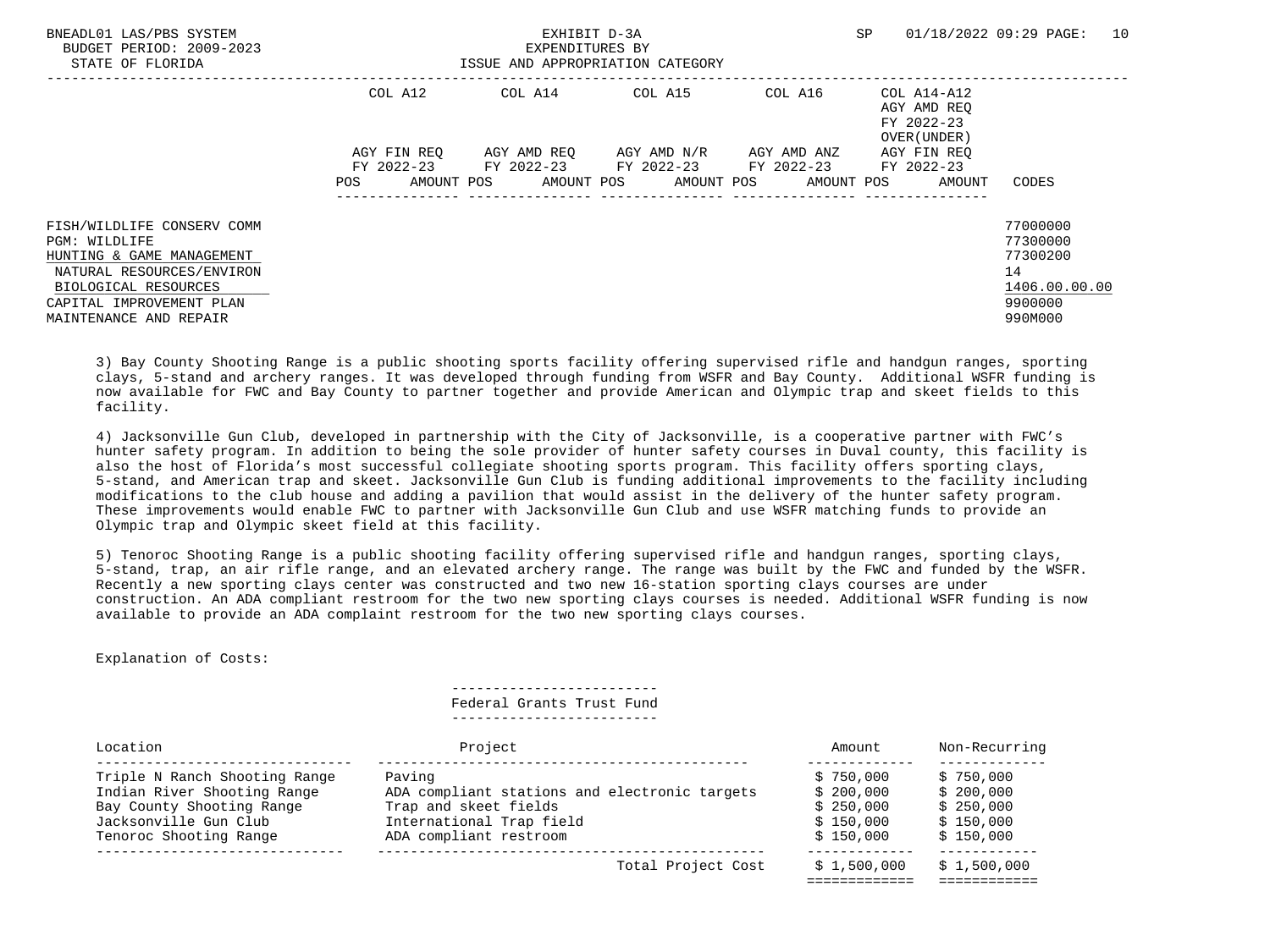| BNEADL01 LAS/PBS SYSTEM<br>BUDGET PERIOD: 2009-2023<br>STATE OF FLORIDA                               |                          | EXHIBIT D-3A<br>EXPENDITURES BY<br>ISSUE AND APPROPRIATION CATEGORY |                                  | SP          | 10<br>01/18/2022 09:29 PAGE:                             |                                                         |
|-------------------------------------------------------------------------------------------------------|--------------------------|---------------------------------------------------------------------|----------------------------------|-------------|----------------------------------------------------------|---------------------------------------------------------|
|                                                                                                       | COL A12                  |                                                                     | COL A14 COL A15                  | COL A16     | COL A14-A12<br>AGY AMD REO<br>FY 2022-23<br>OVER (UNDER) |                                                         |
|                                                                                                       | AGY FIN REO              | FY 2022-23 FY 2022-23 FY 2022-23 FY 2022-23 FY 2022-23              | AGY AMD REO AGY AMD N/R          | AGY AMD ANZ | AGY FIN REO                                              |                                                         |
|                                                                                                       | AMOUNT POS<br><b>POS</b> |                                                                     | AMOUNT POS AMOUNT POS AMOUNT POS |             | AMOUNT                                                   | CODES                                                   |
| FISH/WILDLIFE CONSERV COMM<br>PGM: WILDLIFE<br>HUNTING & GAME MANAGEMENT<br>NATURAL RESOURCES/ENVIRON |                          |                                                                     |                                  |             |                                                          | 77000000<br>77300000<br>77300200<br>14<br>1406.00.00.00 |
| BIOLOGICAL RESOURCES<br>CAPITAL IMPROVEMENT PLAN<br>MAINTENANCE AND REPAIR                            |                          |                                                                     |                                  |             |                                                          | 9900000<br>990M000                                      |

 3) Bay County Shooting Range is a public shooting sports facility offering supervised rifle and handgun ranges, sporting clays, 5-stand and archery ranges. It was developed through funding from WSFR and Bay County. Additional WSFR funding is now available for FWC and Bay County to partner together and provide American and Olympic trap and skeet fields to this facility.

 4) Jacksonville Gun Club, developed in partnership with the City of Jacksonville, is a cooperative partner with FWC's hunter safety program. In addition to being the sole provider of hunter safety courses in Duval county, this facility is also the host of Florida's most successful collegiate shooting sports program. This facility offers sporting clays, 5-stand, and American trap and skeet. Jacksonville Gun Club is funding additional improvements to the facility including modifications to the club house and adding a pavilion that would assist in the delivery of the hunter safety program. These improvements would enable FWC to partner with Jacksonville Gun Club and use WSFR matching funds to provide an Olympic trap and Olympic skeet field at this facility.

 5) Tenoroc Shooting Range is a public shooting facility offering supervised rifle and handgun ranges, sporting clays, 5-stand, trap, an air rifle range, and an elevated archery range. The range was built by the FWC and funded by the WSFR. Recently a new sporting clays center was constructed and two new 16-station sporting clays courses are under construction. An ADA compliant restroom for the two new sporting clays courses is needed. Additional WSFR funding is now available to provide an ADA complaint restroom for the two new sporting clays courses.

Explanation of Costs:

 ------------------------- Federal Grants Trust Fund -------------------------

| Location                      | Project                                       | Amount      | Non-Recurring |
|-------------------------------|-----------------------------------------------|-------------|---------------|
| Triple N Ranch Shooting Range | Paving                                        | \$750.000   | \$750,000     |
| Indian River Shooting Range   | ADA compliant stations and electronic targets | \$200.000   | \$200,000     |
| Bay County Shooting Range     | Trap and skeet fields                         | \$250.000   | \$250.000     |
| Jacksonville Gun Club         | International Trap field                      | \$150.000   | \$150.000     |
| Tenoroc Shooting Range        | ADA compliant restroom                        | \$150.000   | \$150.000     |
|                               | Total Project Cost                            | \$1.500.000 | \$1.500.000   |
|                               |                                               |             |               |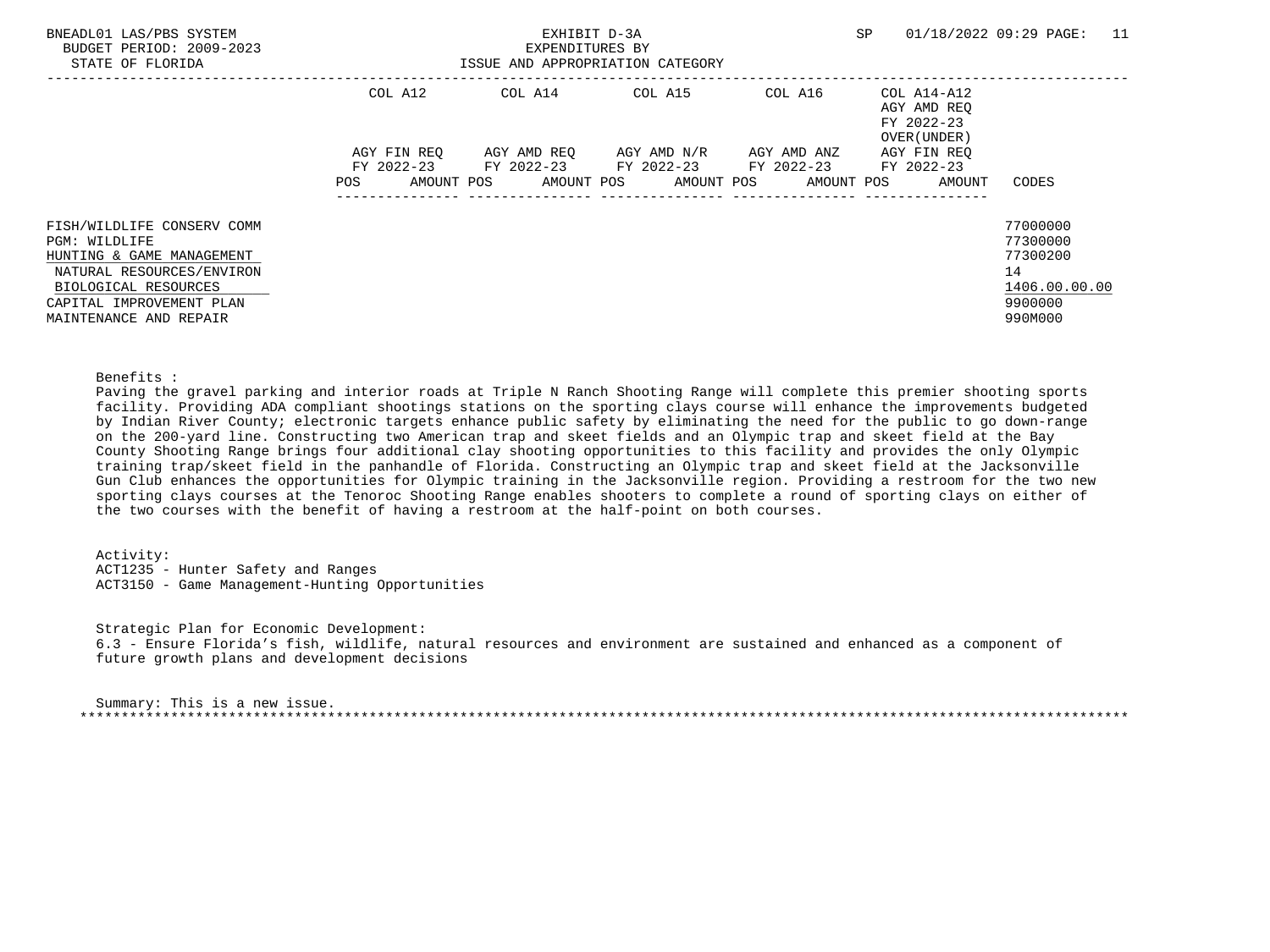| BNEADL01 LAS/PBS SYSTEM<br>BUDGET PERIOD: 2009-2023<br>STATE OF FLORIDA                                                                                                             |                        | EXHIBIT D-3A<br>EXPENDITURES BY | ISSUE AND APPROPRIATION CATEGORY                                                           |         | SP                                                                      | 11<br>01/18/2022 09:29 PAGE:                                                  |
|-------------------------------------------------------------------------------------------------------------------------------------------------------------------------------------|------------------------|---------------------------------|--------------------------------------------------------------------------------------------|---------|-------------------------------------------------------------------------|-------------------------------------------------------------------------------|
|                                                                                                                                                                                     | COL A12<br>AGY FIN REO |                                 | COL A14 COL A15<br>AGY AMD REO AGY AMD N/R AGY AMD ANZ                                     | COL A16 | COL A14-A12<br>AGY AMD REO<br>FY 2022-23<br>OVER (UNDER)<br>AGY FIN REO |                                                                               |
|                                                                                                                                                                                     | AMOUNT POS<br>POS      |                                 | FY 2022-23 FY 2022-23 FY 2022-23 FY 2022-23 FY 2022-23<br>AMOUNT POS AMOUNT POS AMOUNT POS |         | AMOUNT                                                                  | CODES                                                                         |
| FISH/WILDLIFE CONSERV COMM<br>PGM: WILDLIFE<br>HUNTING & GAME MANAGEMENT<br>NATURAL RESOURCES/ENVIRON<br>BIOLOGICAL RESOURCES<br>CAPITAL IMPROVEMENT PLAN<br>MAINTENANCE AND REPAIR |                        |                                 |                                                                                            |         |                                                                         | 77000000<br>77300000<br>77300200<br>14<br>1406.00.00.00<br>9900000<br>990M000 |

#### Benefits :

 Paving the gravel parking and interior roads at Triple N Ranch Shooting Range will complete this premier shooting sports facility. Providing ADA compliant shootings stations on the sporting clays course will enhance the improvements budgeted by Indian River County; electronic targets enhance public safety by eliminating the need for the public to go down-range on the 200-yard line. Constructing two American trap and skeet fields and an Olympic trap and skeet field at the Bay County Shooting Range brings four additional clay shooting opportunities to this facility and provides the only Olympic training trap/skeet field in the panhandle of Florida. Constructing an Olympic trap and skeet field at the Jacksonville Gun Club enhances the opportunities for Olympic training in the Jacksonville region. Providing a restroom for the two new sporting clays courses at the Tenoroc Shooting Range enables shooters to complete a round of sporting clays on either of the two courses with the benefit of having a restroom at the half-point on both courses.

 Activity: ACT1235 - Hunter Safety and Ranges ACT3150 - Game Management-Hunting Opportunities

 Strategic Plan for Economic Development: 6.3 - Ensure Florida's fish, wildlife, natural resources and environment are sustained and enhanced as a component of future growth plans and development decisions

| Summary: This is a new issue. |  |
|-------------------------------|--|
|                               |  |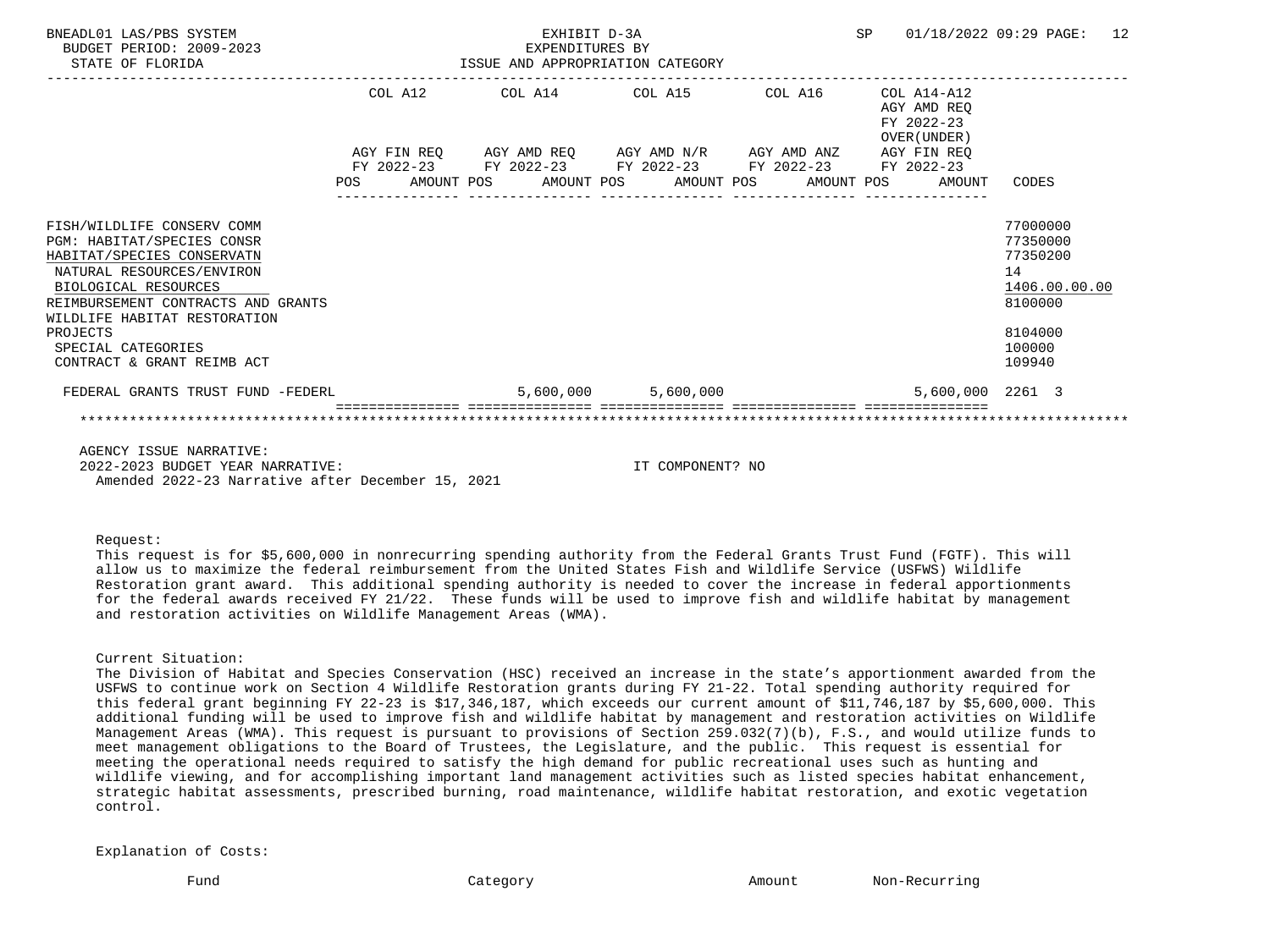| BNEADL01 LAS/PBS SYSTEM<br>BUDGET PERIOD: 2009-2023<br>STATE OF FLORIDA                                                                                                                                                                                                           |         | EXHIBIT D-3A<br>EXPENDITURES BY | ISSUE AND APPROPRIATION CATEGORY                            |  | SP |                                                              | 01/18/2022 09:29 PAGE: 12                                                                         |  |
|-----------------------------------------------------------------------------------------------------------------------------------------------------------------------------------------------------------------------------------------------------------------------------------|---------|---------------------------------|-------------------------------------------------------------|--|----|--------------------------------------------------------------|---------------------------------------------------------------------------------------------------|--|
|                                                                                                                                                                                                                                                                                   | COL A12 |                                 | COL A14 COL A15 COL A16                                     |  |    | COL A14-A12<br>AGY AMD REO<br>FY 2022-23<br>OVER (UNDER)     |                                                                                                   |  |
|                                                                                                                                                                                                                                                                                   |         |                                 | AGY FIN REQ AGY AMD REQ AGY AMD N/R AGY AMD ANZ AGY FIN REQ |  |    |                                                              |                                                                                                   |  |
|                                                                                                                                                                                                                                                                                   |         |                                 | FY 2022-23 FY 2022-23 FY 2022-23 FY 2022-23 FY 2022-23      |  |    | POS AMOUNT POS AMOUNT POS AMOUNT POS AMOUNT POS AMOUNT CODES |                                                                                                   |  |
| FISH/WILDLIFE CONSERV COMM<br>PGM: HABITAT/SPECIES CONSR<br>HABITAT/SPECIES CONSERVATN<br>NATURAL RESOURCES/ENVIRON<br>BIOLOGICAL RESOURCES<br>REIMBURSEMENT CONTRACTS AND GRANTS<br>WILDLIFE HABITAT RESTORATION<br>PROJECTS<br>SPECIAL CATEGORIES<br>CONTRACT & GRANT REIMB ACT |         |                                 |                                                             |  |    |                                                              | 77000000<br>77350000<br>77350200<br>14<br>1406.00.00.00<br>8100000<br>8104000<br>100000<br>109940 |  |
| FEDERAL GRANTS TRUST FUND -FEDERL                                                                                                                                                                                                                                                 |         | 5,600,000                       | 5,600,000                                                   |  |    | 5,600,000 2261 3                                             |                                                                                                   |  |
|                                                                                                                                                                                                                                                                                   |         |                                 |                                                             |  |    |                                                              |                                                                                                   |  |
| AGENCY ISSUE NARRATIVE:                                                                                                                                                                                                                                                           |         |                                 |                                                             |  |    |                                                              |                                                                                                   |  |

 2022-2023 BUDGET YEAR NARRATIVE: IT COMPONENT? NO Amended 2022-23 Narrative after December 15, 2021

Request:

 This request is for \$5,600,000 in nonrecurring spending authority from the Federal Grants Trust Fund (FGTF). This will allow us to maximize the federal reimbursement from the United States Fish and Wildlife Service (USFWS) Wildlife Restoration grant award. This additional spending authority is needed to cover the increase in federal apportionments for the federal awards received FY 21/22. These funds will be used to improve fish and wildlife habitat by management and restoration activities on Wildlife Management Areas (WMA).

Current Situation:

 The Division of Habitat and Species Conservation (HSC) received an increase in the state's apportionment awarded from the USFWS to continue work on Section 4 Wildlife Restoration grants during FY 21-22. Total spending authority required for this federal grant beginning FY 22-23 is \$17,346,187, which exceeds our current amount of \$11,746,187 by \$5,600,000. This additional funding will be used to improve fish and wildlife habitat by management and restoration activities on Wildlife Management Areas (WMA). This request is pursuant to provisions of Section 259.032(7)(b), F.S., and would utilize funds to meet management obligations to the Board of Trustees, the Legislature, and the public. This request is essential for meeting the operational needs required to satisfy the high demand for public recreational uses such as hunting and wildlife viewing, and for accomplishing important land management activities such as listed species habitat enhancement, strategic habitat assessments, prescribed burning, road maintenance, wildlife habitat restoration, and exotic vegetation control.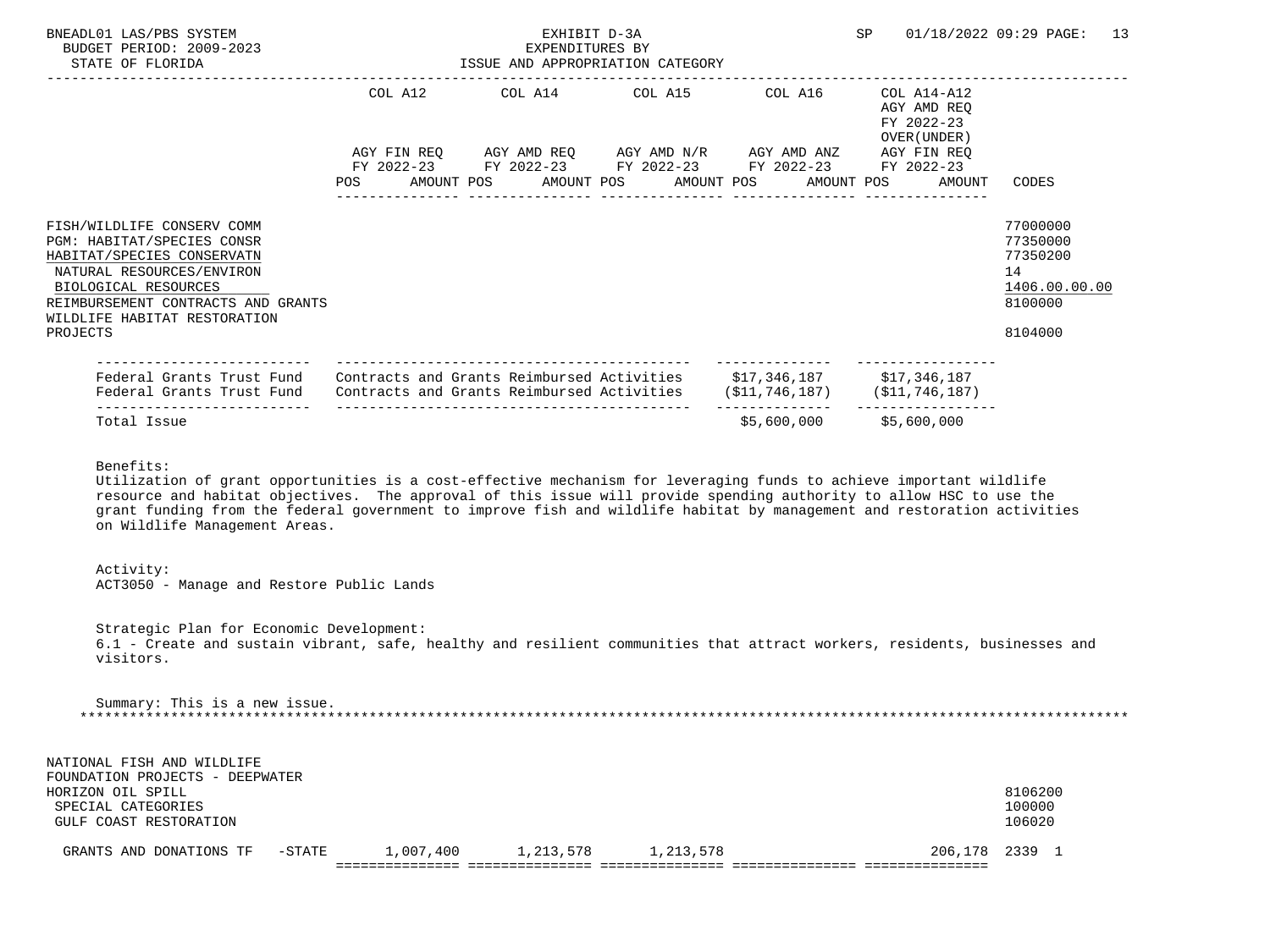| BNEADL01 LAS/PBS SYSTEM<br>BUDGET PERIOD: 2009-2023<br>STATE OF FLORIDA                                                                                                                                                       | EXHIBIT D-3A<br>EXPENDITURES BY<br>ISSUE AND APPROPRIATION CATEGORY | SP                                                                                                                                                            | 01/18/2022 09:29 PAGE:<br>13                             |                                                                               |
|-------------------------------------------------------------------------------------------------------------------------------------------------------------------------------------------------------------------------------|---------------------------------------------------------------------|---------------------------------------------------------------------------------------------------------------------------------------------------------------|----------------------------------------------------------|-------------------------------------------------------------------------------|
|                                                                                                                                                                                                                               |                                                                     | COL A12 COL A14 COL A15 COL A16                                                                                                                               | COL A14-A12<br>AGY AMD REO<br>FY 2022-23<br>OVER (UNDER) |                                                                               |
|                                                                                                                                                                                                                               |                                                                     | AGY FIN REQ AGY AMD REQ AGY AMD N/R AGY AMD ANZ AGY FIN REQ<br>FY 2022-23 FY 2022-23 FY 2022-23 FY 2022-23<br>POS AMOUNT POS AMOUNT POS AMOUNT POS AMOUNT POS | FY 2022-23<br>AMOUNT                                     | CODES                                                                         |
| FISH/WILDLIFE CONSERV COMM<br>PGM: HABITAT/SPECIES CONSR<br>HABITAT/SPECIES CONSERVATN<br>NATURAL RESOURCES/ENVIRON<br>BIOLOGICAL RESOURCES<br>REIMBURSEMENT CONTRACTS AND GRANTS<br>WILDLIFE HABITAT RESTORATION<br>PROJECTS |                                                                     |                                                                                                                                                               |                                                          | 77000000<br>77350000<br>77350200<br>14<br>1406.00.00.00<br>8100000<br>8104000 |
| --------------------<br>Federal Grants Trust Fund<br>Federal Grants Trust Fund                                                                                                                                                |                                                                     | Contracts and Grants Reimbursed Activities \$17,346,187 \$17,346,187<br>Contracts and Grants Reimbursed Activities (\$11,746,187) (\$11,746,187)              |                                                          |                                                                               |
| Total Issue                                                                                                                                                                                                                   |                                                                     | \$5,600,000                                                                                                                                                   | \$5,600,000                                              |                                                                               |
| Benefits:                                                                                                                                                                                                                     |                                                                     |                                                                                                                                                               |                                                          |                                                                               |

 Utilization of grant opportunities is a cost-effective mechanism for leveraging funds to achieve important wildlife resource and habitat objectives. The approval of this issue will provide spending authority to allow HSC to use the grant funding from the federal government to improve fish and wildlife habitat by management and restoration activities on Wildlife Management Areas.

### Activity:

ACT3050 - Manage and Restore Public Lands

 Strategic Plan for Economic Development: 6.1 - Create and sustain vibrant, safe, healthy and resilient communities that attract workers, residents, businesses and visitors.

 Summary: This is a new issue. \*\*\*\*\*\*\*\*\*\*\*\*\*\*\*\*\*\*\*\*\*\*\*\*\*\*\*\*\*\*\*\*\*\*\*\*\*\*\*\*\*\*\*\*\*\*\*\*\*\*\*\*\*\*\*\*\*\*\*\*\*\*\*\*\*\*\*\*\*\*\*\*\*\*\*\*\*\*\*\*\*\*\*\*\*\*\*\*\*\*\*\*\*\*\*\*\*\*\*\*\*\*\*\*\*\*\*\*\*\*\*\*\*\*\*\*\*\*\*\*\*\*\*\*\*\*\*

| NATIONAL FISH AND WILDLIFE      |           |           |           |           |                |         |  |
|---------------------------------|-----------|-----------|-----------|-----------|----------------|---------|--|
| FOUNDATION PROJECTS - DEEPWATER |           |           |           |           |                |         |  |
| HORIZON OIL SPILL               |           |           |           |           |                | 8106200 |  |
| SPECIAL CATEGORIES              |           |           |           |           |                | 100000  |  |
| GULF COAST RESTORATION          |           |           |           |           |                | 106020  |  |
|                                 |           |           |           |           |                |         |  |
| GRANTS AND DONATIONS TF         | $-$ STATE | 1,007,400 | 1,213,578 | 1,213,578 | 206,178 2339 1 |         |  |
|                                 |           |           |           |           |                |         |  |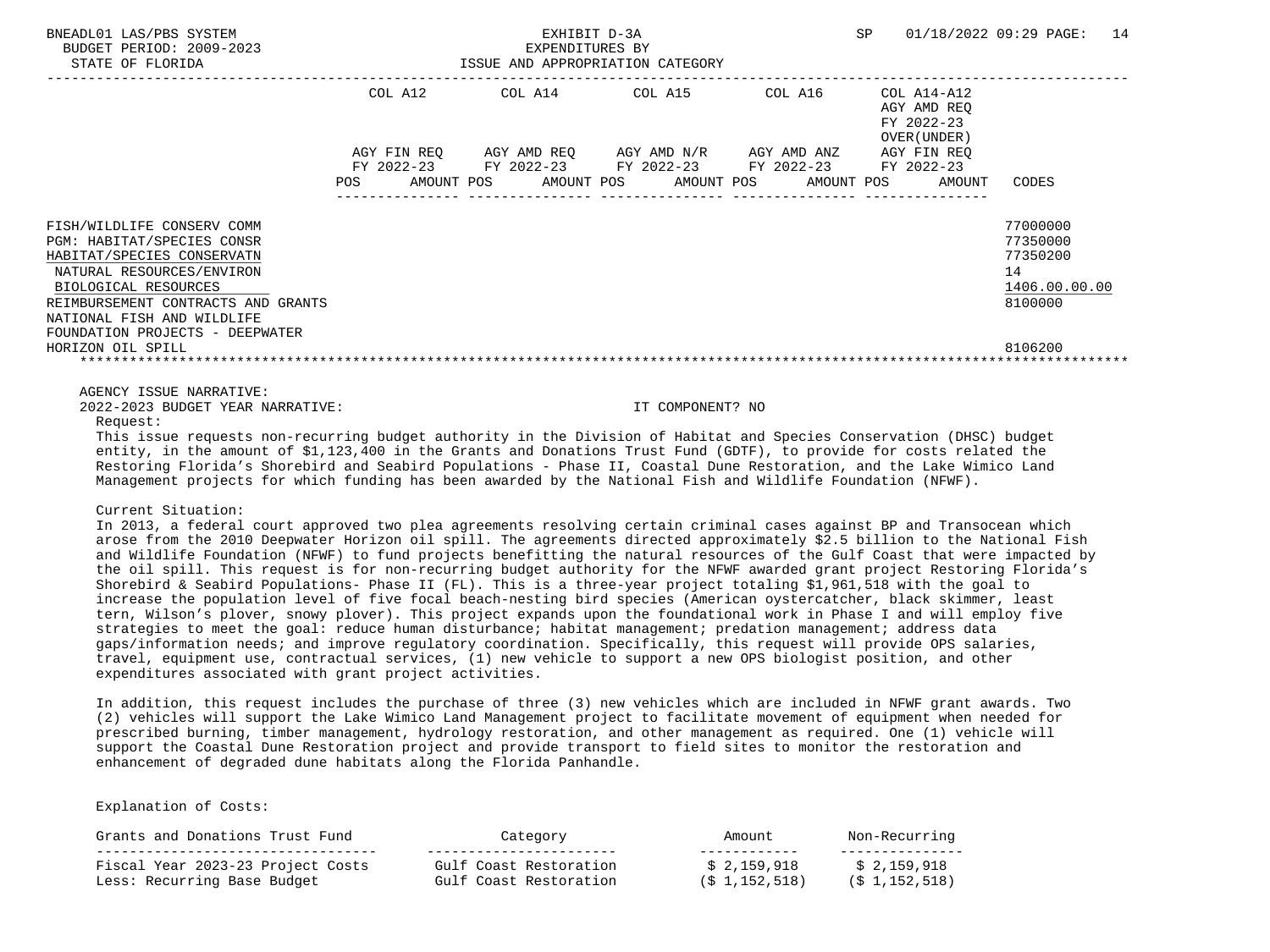|                                                                                                                                                                                   |            | COL A12     | COL A14     | COL A15     | COL A16     | COL A14-A12<br>AGY AMD REQ<br>FY 2022-23<br>OVER (UNDER) |                                                                    |
|-----------------------------------------------------------------------------------------------------------------------------------------------------------------------------------|------------|-------------|-------------|-------------|-------------|----------------------------------------------------------|--------------------------------------------------------------------|
|                                                                                                                                                                                   |            | AGY FIN REO | AGY AMD REO | AGY AMD N/R | AGY AMD ANZ | AGY FIN REO                                              |                                                                    |
|                                                                                                                                                                                   |            | FY 2022-23  | FY 2022-23  | FY 2022-23  | FY 2022-23  | FY 2022-23                                               |                                                                    |
|                                                                                                                                                                                   | <b>POS</b> | AMOUNT POS  | AMOUNT POS  | AMOUNT POS  | AMOUNT POS  | AMOUNT                                                   | CODES                                                              |
| FISH/WILDLIFE CONSERV COMM<br>PGM: HABITAT/SPECIES CONSR<br>HABITAT/SPECIES CONSERVATN<br>NATURAL RESOURCES/ENVIRON<br>BIOLOGICAL RESOURCES<br>REIMBURSEMENT CONTRACTS AND GRANTS |            |             |             |             |             |                                                          | 77000000<br>77350000<br>77350200<br>14<br>1406.00.00.00<br>8100000 |
| NATIONAL FISH AND WILDLIFE                                                                                                                                                        |            |             |             |             |             |                                                          |                                                                    |
| FOUNDATION PROJECTS - DEEPWATER<br>HORIZON OIL SPILL                                                                                                                              |            |             |             |             |             |                                                          | 8106200                                                            |
|                                                                                                                                                                                   |            |             |             |             |             |                                                          |                                                                    |

AGENCY ISSUE NARRATIVE:

2022-2023 BUDGET YEAR NARRATIVE: IT COMPONENT? NO

#### Request:

 This issue requests non-recurring budget authority in the Division of Habitat and Species Conservation (DHSC) budget entity, in the amount of \$1,123,400 in the Grants and Donations Trust Fund (GDTF), to provide for costs related the Restoring Florida's Shorebird and Seabird Populations - Phase II, Coastal Dune Restoration, and the Lake Wimico Land Management projects for which funding has been awarded by the National Fish and Wildlife Foundation (NFWF).

#### Current Situation:

 In 2013, a federal court approved two plea agreements resolving certain criminal cases against BP and Transocean which arose from the 2010 Deepwater Horizon oil spill. The agreements directed approximately \$2.5 billion to the National Fish and Wildlife Foundation (NFWF) to fund projects benefitting the natural resources of the Gulf Coast that were impacted by the oil spill. This request is for non-recurring budget authority for the NFWF awarded grant project Restoring Florida's Shorebird & Seabird Populations- Phase II (FL). This is a three-year project totaling \$1,961,518 with the goal to increase the population level of five focal beach-nesting bird species (American oystercatcher, black skimmer, least tern, Wilson's plover, snowy plover). This project expands upon the foundational work in Phase I and will employ five strategies to meet the goal: reduce human disturbance; habitat management; predation management; address data gaps/information needs; and improve regulatory coordination. Specifically, this request will provide OPS salaries, travel, equipment use, contractual services, (1) new vehicle to support a new OPS biologist position, and other expenditures associated with grant project activities.

 In addition, this request includes the purchase of three (3) new vehicles which are included in NFWF grant awards. Two (2) vehicles will support the Lake Wimico Land Management project to facilitate movement of equipment when needed for prescribed burning, timber management, hydrology restoration, and other management as required. One (1) vehicle will support the Coastal Dune Restoration project and provide transport to field sites to monitor the restoration and enhancement of degraded dune habitats along the Florida Panhandle.

| Grants and Donations Trust Fund   | Category               | Amount        | Non-Recurring    |
|-----------------------------------|------------------------|---------------|------------------|
| Fiscal Year 2023-23 Project Costs | Gulf Coast Restoration | \$2.159.918   | \$2,159,918      |
| Less: Recurring Base Budget       | Gulf Coast Restoration | (\$1,152,518) | $(5\ 1.152.518)$ |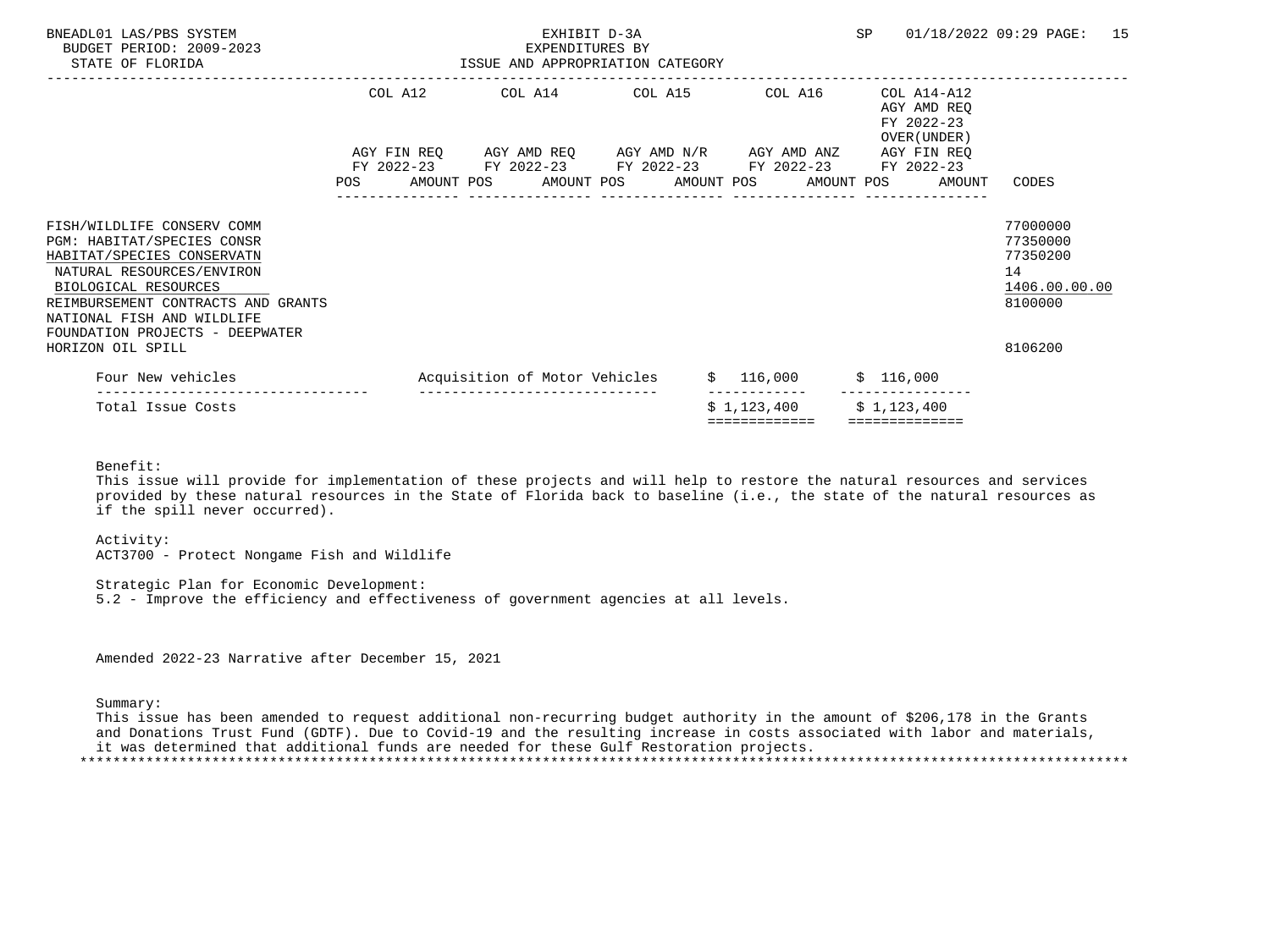| BNEADL01 LAS/PBS SYSTEM<br>BUDGET PERIOD: 2009-2023<br>STATE OF FLORIDA                                                                                                                                         | ISSUE AND APPROPRIATION CATEGORY | EXHIBIT D-3A<br>EXPENDITURES BY |  |                                                              | <b>SP</b> |                                                          | 01/18/2022 09:29 PAGE:                                             | 15 |
|-----------------------------------------------------------------------------------------------------------------------------------------------------------------------------------------------------------------|----------------------------------|---------------------------------|--|--------------------------------------------------------------|-----------|----------------------------------------------------------|--------------------------------------------------------------------|----|
|                                                                                                                                                                                                                 |                                  |                                 |  | COL A12 COL A14 COL A15 COL A16                              |           | COL A14-A12<br>AGY AMD REO<br>FY 2022-23<br>OVER (UNDER) |                                                                    |    |
|                                                                                                                                                                                                                 |                                  |                                 |  | AGY FIN REQ      AGY AMD REQ     AGY AMD N/R     AGY AMD ANZ |           | AGY FIN REO                                              |                                                                    |    |
|                                                                                                                                                                                                                 |                                  |                                 |  | FY 2022-23 FY 2022-23 FY 2022-23 FY 2022-23 FY 2022-23       |           |                                                          |                                                                    |    |
|                                                                                                                                                                                                                 |                                  |                                 |  |                                                              |           | POS AMOUNT POS AMOUNT POS AMOUNT POS AMOUNT POS AMOUNT   | CODES                                                              |    |
| FISH/WILDLIFE CONSERV COMM<br>PGM: HABITAT/SPECIES CONSR<br>HABITAT/SPECIES CONSERVATN<br>NATURAL RESOURCES/ENVIRON<br>BIOLOGICAL RESOURCES<br>REIMBURSEMENT CONTRACTS AND GRANTS<br>NATIONAL FISH AND WILDLIFE |                                  |                                 |  |                                                              |           |                                                          | 77000000<br>77350000<br>77350200<br>14<br>1406.00.00.00<br>8100000 |    |
| FOUNDATION PROJECTS - DEEPWATER<br>HORIZON OIL SPILL                                                                                                                                                            |                                  |                                 |  |                                                              |           |                                                          | 8106200                                                            |    |
| Four New vehicles                                                                                                                                                                                               | Acquisition of Motor Vehicles    |                                 |  | $$116,000$ $$116,000$                                        |           |                                                          |                                                                    |    |
| Total Issue Costs                                                                                                                                                                                               |                                  | ------------------------------  |  | $$1,123,400$ $$1,123,400$<br>=============                   |           | ==============                                           |                                                                    |    |

Benefit:

 This issue will provide for implementation of these projects and will help to restore the natural resources and services provided by these natural resources in the State of Florida back to baseline (i.e., the state of the natural resources as if the spill never occurred).

 Activity: ACT3700 - Protect Nongame Fish and Wildlife

 Strategic Plan for Economic Development: 5.2 - Improve the efficiency and effectiveness of government agencies at all levels.

Amended 2022-23 Narrative after December 15, 2021

Summary:

 This issue has been amended to request additional non-recurring budget authority in the amount of \$206,178 in the Grants and Donations Trust Fund (GDTF). Due to Covid-19 and the resulting increase in costs associated with labor and materials, it was determined that additional funds are needed for these Gulf Restoration projects. \*\*\*\*\*\*\*\*\*\*\*\*\*\*\*\*\*\*\*\*\*\*\*\*\*\*\*\*\*\*\*\*\*\*\*\*\*\*\*\*\*\*\*\*\*\*\*\*\*\*\*\*\*\*\*\*\*\*\*\*\*\*\*\*\*\*\*\*\*\*\*\*\*\*\*\*\*\*\*\*\*\*\*\*\*\*\*\*\*\*\*\*\*\*\*\*\*\*\*\*\*\*\*\*\*\*\*\*\*\*\*\*\*\*\*\*\*\*\*\*\*\*\*\*\*\*\*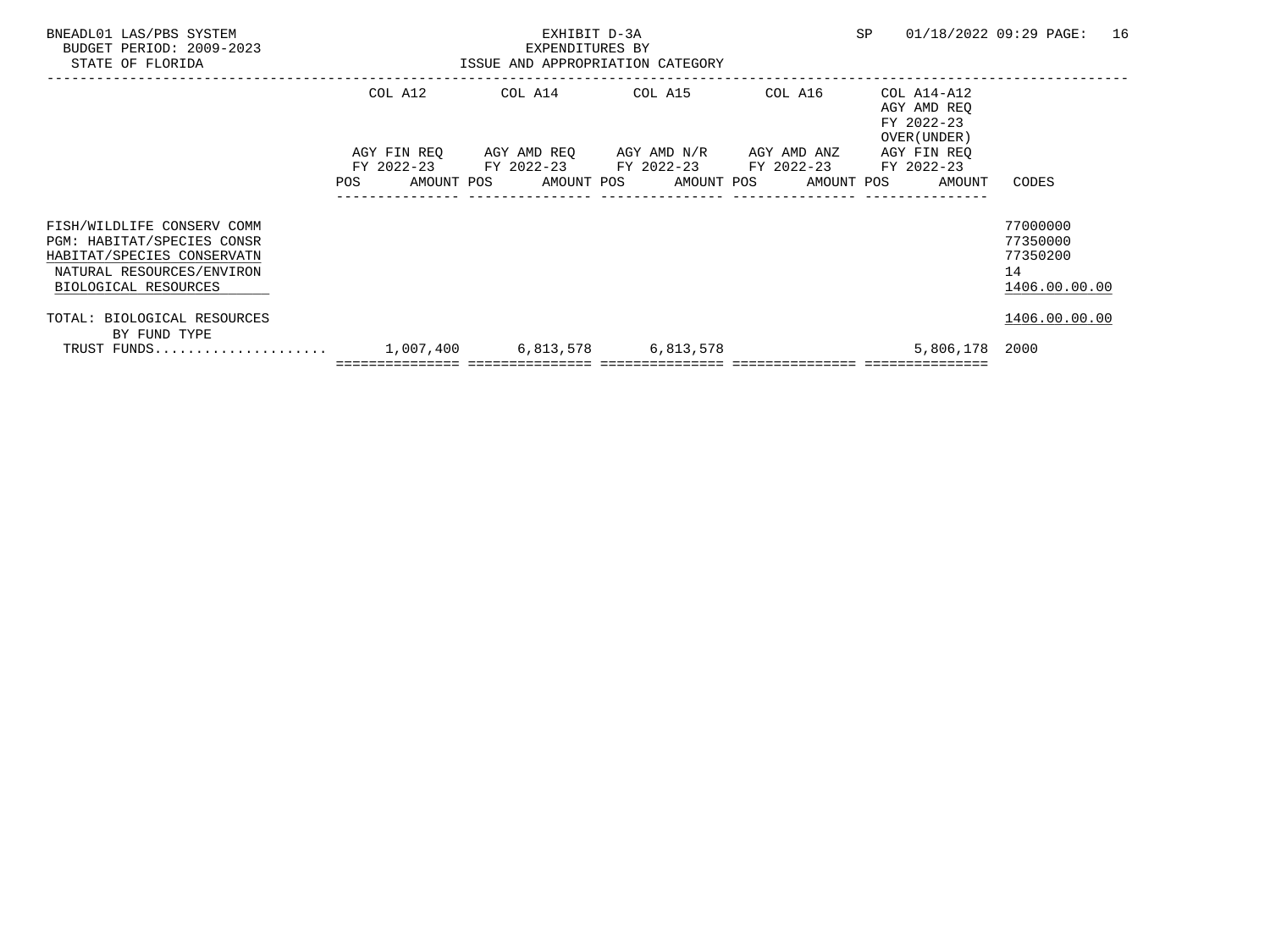| BNEADL01 LAS/PBS SYSTEM<br>BUDGET PERIOD: 2009-2023<br>STATE OF FLORIDA                                                                     |     |                                         | EXHIBIT D-3A<br>EXPENDITURES BY | ISSUE AND APPROPRIATION CATEGORY                             |                          | <b>SP</b> |                                                          | 01/18/2022 09:29 PAGE:                                  | 16 |
|---------------------------------------------------------------------------------------------------------------------------------------------|-----|-----------------------------------------|---------------------------------|--------------------------------------------------------------|--------------------------|-----------|----------------------------------------------------------|---------------------------------------------------------|----|
|                                                                                                                                             |     | COL A12                                 |                                 | COL A14 COL A15                                              | COL A16                  |           | COL A14-A12<br>AGY AMD REO<br>FY 2022-23<br>OVER (UNDER) |                                                         |    |
|                                                                                                                                             | POS | AGY FIN REO<br>FY 2022-23<br>AMOUNT POS | FY 2022-23 FY 2022-23           | AGY AMD REO AGY AMD N/R AGY AMD ANZ<br>AMOUNT POS AMOUNT POS | FY 2022-23<br>AMOUNT POS |           | AGY FIN REO<br>FY 2022-23<br>AMOUNT                      | CODES                                                   |    |
| FISH/WILDLIFE CONSERV COMM<br>PGM: HABITAT/SPECIES CONSR<br>HABITAT/SPECIES CONSERVATN<br>NATURAL RESOURCES/ENVIRON<br>BIOLOGICAL RESOURCES |     |                                         |                                 |                                                              |                          |           |                                                          | 77000000<br>77350000<br>77350200<br>14<br>1406.00.00.00 |    |
| TOTAL: BIOLOGICAL RESOURCES<br>BY FUND TYPE<br>TRUST FUNDS                                                                                  |     |                                         |                                 | 1,007,400 6,813,578 6,813,578                                |                          |           | 5,806,178 2000                                           | 1406.00.00.00                                           |    |
|                                                                                                                                             |     |                                         |                                 |                                                              |                          |           |                                                          |                                                         |    |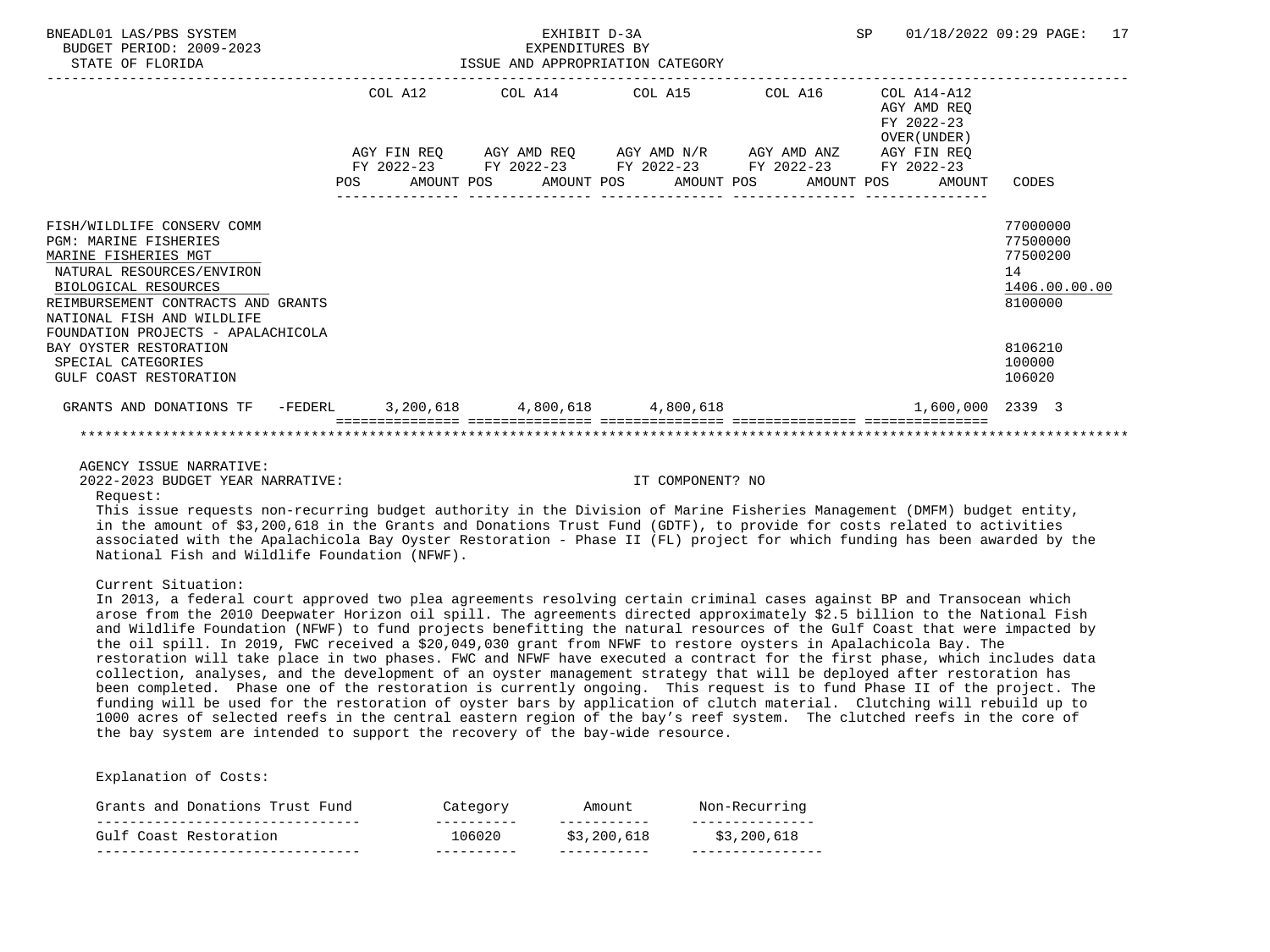| DNEADHUI LAD/FDD DIOIEN<br>BUDGET PERIOD: 2009-2023<br>STATE OF FLORIDA                                                                                                                                                                           |         | EXPENDITURES BY<br>ISSUE AND APPROPRIATION CATEGORY                                                                   | $H \rightarrow H + H + H + H$ |                                                          | UI/IU/AUAA UJ·AJ IAUB·<br>$\perp$ $\perp$                          |
|---------------------------------------------------------------------------------------------------------------------------------------------------------------------------------------------------------------------------------------------------|---------|-----------------------------------------------------------------------------------------------------------------------|-------------------------------|----------------------------------------------------------|--------------------------------------------------------------------|
|                                                                                                                                                                                                                                                   | COL A12 | COL A14 COL A15 COL A16                                                                                               |                               | COL A14-A12<br>AGY AMD REO<br>FY 2022-23<br>OVER (UNDER) |                                                                    |
|                                                                                                                                                                                                                                                   |         | AGY FIN REQ AGY AMD REQ AGY AMD N/R AGY AMD ANZ AGY FIN REQ<br>FY 2022-23 FY 2022-23 FY 2022-23 FY 2022-23 FY 2022-23 |                               |                                                          |                                                                    |
|                                                                                                                                                                                                                                                   |         | POS AMOUNT POS AMOUNT POS AMOUNT POS AMOUNT POS                                                                       |                               | AMOUNT                                                   | CODES                                                              |
| FISH/WILDLIFE CONSERV COMM<br><b>PGM: MARINE FISHERIES</b><br>MARINE FISHERIES MGT<br>NATURAL RESOURCES/ENVIRON<br>BIOLOGICAL RESOURCES<br>REIMBURSEMENT CONTRACTS AND GRANTS<br>NATIONAL FISH AND WILDLIFE<br>FOUNDATION PROJECTS - APALACHICOLA |         |                                                                                                                       |                               |                                                          | 77000000<br>77500000<br>77500200<br>14<br>1406.00.00.00<br>8100000 |
| BAY OYSTER RESTORATION<br>SPECIAL CATEGORIES<br>GULF COAST RESTORATION                                                                                                                                                                            |         |                                                                                                                       |                               |                                                          | 8106210<br>100000<br>106020                                        |
| GRANTS AND DONATIONS TF -FEDERL 3, 200, 618 4, 800, 618 4, 800, 618                                                                                                                                                                               |         |                                                                                                                       |                               | 1,600,000 2339 3                                         |                                                                    |
|                                                                                                                                                                                                                                                   |         |                                                                                                                       |                               |                                                          |                                                                    |

BNEADL01 LAS/PBS SYSTEM EXHIBIT D-3A SP 01/18/2022 09:29 PAGE: 17

AGENCY ISSUE NARRATIVE:

2022-2023 BUDGET YEAR NARRATIVE: IT COMPONENT? NO

Request:

 This issue requests non-recurring budget authority in the Division of Marine Fisheries Management (DMFM) budget entity, in the amount of \$3,200,618 in the Grants and Donations Trust Fund (GDTF), to provide for costs related to activities associated with the Apalachicola Bay Oyster Restoration - Phase II (FL) project for which funding has been awarded by the National Fish and Wildlife Foundation (NFWF).

Current Situation:

 In 2013, a federal court approved two plea agreements resolving certain criminal cases against BP and Transocean which arose from the 2010 Deepwater Horizon oil spill. The agreements directed approximately \$2.5 billion to the National Fish and Wildlife Foundation (NFWF) to fund projects benefitting the natural resources of the Gulf Coast that were impacted by the oil spill. In 2019, FWC received a \$20,049,030 grant from NFWF to restore oysters in Apalachicola Bay. The restoration will take place in two phases. FWC and NFWF have executed a contract for the first phase, which includes data collection, analyses, and the development of an oyster management strategy that will be deployed after restoration has been completed. Phase one of the restoration is currently ongoing. This request is to fund Phase II of the project. The funding will be used for the restoration of oyster bars by application of clutch material. Clutching will rebuild up to 1000 acres of selected reefs in the central eastern region of the bay's reef system. The clutched reefs in the core of the bay system are intended to support the recovery of the bay-wide resource.

| Grants and Donations Trust Fund                      | Category             | Amount                                    | Non-Recurring    |
|------------------------------------------------------|----------------------|-------------------------------------------|------------------|
| --------------------------<br>Gulf Coast Restoration | __________<br>106020 | ___________<br>\$3,200,618<br>___________ | .<br>\$3,200,618 |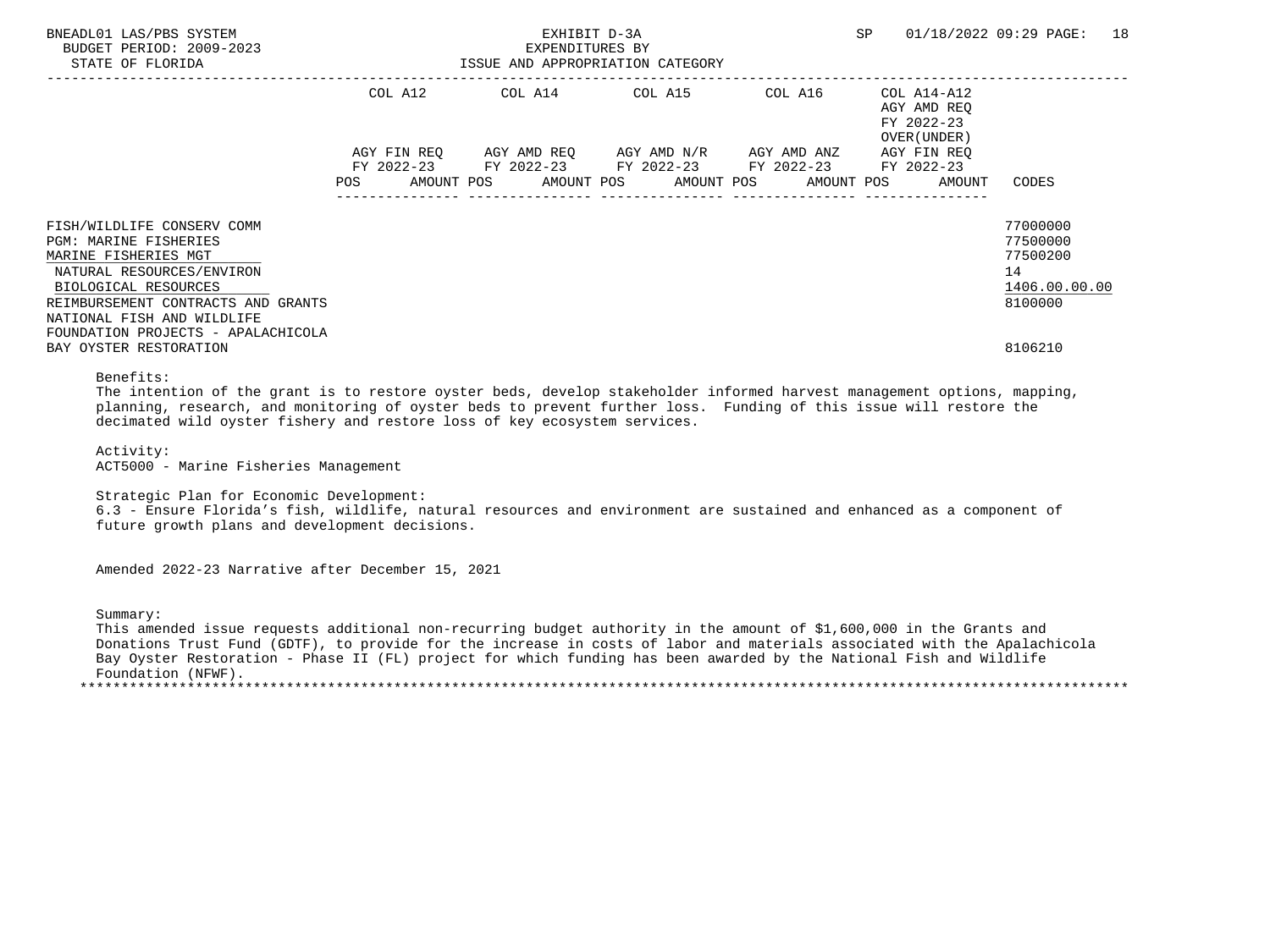| BNEADL01 LAS/PBS SYSTEM<br>BUDGET PERIOD: 2009-2023<br>STATE OF FLORIDA | EXHIBIT D-3A<br>EXPENDITURES BY<br>ISSUE AND APPROPRIATION CATEGORY |  |  |  |  |                                                                                 |  | <b>SP</b> |  | 01/18/2022 09:29 PAGE:                                   | 18            |  |
|-------------------------------------------------------------------------|---------------------------------------------------------------------|--|--|--|--|---------------------------------------------------------------------------------|--|-----------|--|----------------------------------------------------------|---------------|--|
|                                                                         | COL A12                                                             |  |  |  |  | COL A14 COL A15 COL A16                                                         |  |           |  | COL A14-A12<br>AGY AMD REO<br>FY 2022-23<br>OVER (UNDER) |               |  |
|                                                                         | AGY FIN REO                                                         |  |  |  |  | AGY AMD REQ       AGY AMD N/R       AGY AMD ANZ                                 |  |           |  | AGY FIN REO                                              |               |  |
|                                                                         | FY 2022-23<br>POS                                                   |  |  |  |  | FY 2022-23 FY 2022-23 FY 2022-23<br>AMOUNT POS AMOUNT POS AMOUNT POS AMOUNT POS |  |           |  | FY 2022-23<br>AMOUNT                                     | CODES         |  |
| FISH/WILDLIFE CONSERV COMM                                              |                                                                     |  |  |  |  |                                                                                 |  |           |  |                                                          | 77000000      |  |
| <b>PGM: MARINE FISHERIES</b>                                            |                                                                     |  |  |  |  |                                                                                 |  |           |  |                                                          | 77500000      |  |
| MARINE FISHERIES MGT                                                    |                                                                     |  |  |  |  |                                                                                 |  |           |  |                                                          | 77500200      |  |
| NATURAL RESOURCES/ENVIRON                                               |                                                                     |  |  |  |  |                                                                                 |  |           |  |                                                          | 14            |  |
| BIOLOGICAL RESOURCES                                                    |                                                                     |  |  |  |  |                                                                                 |  |           |  |                                                          | 1406.00.00.00 |  |
| REIMBURSEMENT CONTRACTS AND GRANTS                                      |                                                                     |  |  |  |  |                                                                                 |  |           |  |                                                          | 8100000       |  |
| NATIONAL FISH AND WILDLIFE                                              |                                                                     |  |  |  |  |                                                                                 |  |           |  |                                                          |               |  |
| FOUNDATION PROJECTS - APALACHICOLA                                      |                                                                     |  |  |  |  |                                                                                 |  |           |  |                                                          |               |  |
| BAY OYSTER RESTORATION                                                  |                                                                     |  |  |  |  |                                                                                 |  |           |  |                                                          | 8106210       |  |

Benefits:

 The intention of the grant is to restore oyster beds, develop stakeholder informed harvest management options, mapping, planning, research, and monitoring of oyster beds to prevent further loss. Funding of this issue will restore the decimated wild oyster fishery and restore loss of key ecosystem services.

 Activity: ACT5000 - Marine Fisheries Management

Strategic Plan for Economic Development:

 6.3 - Ensure Florida's fish, wildlife, natural resources and environment are sustained and enhanced as a component of future growth plans and development decisions.

Amended 2022-23 Narrative after December 15, 2021

Summary:

 This amended issue requests additional non-recurring budget authority in the amount of \$1,600,000 in the Grants and Donations Trust Fund (GDTF), to provide for the increase in costs of labor and materials associated with the Apalachicola Bay Oyster Restoration - Phase II (FL) project for which funding has been awarded by the National Fish and Wildlife Foundation (NFWF). \*\*\*\*\*\*\*\*\*\*\*\*\*\*\*\*\*\*\*\*\*\*\*\*\*\*\*\*\*\*\*\*\*\*\*\*\*\*\*\*\*\*\*\*\*\*\*\*\*\*\*\*\*\*\*\*\*\*\*\*\*\*\*\*\*\*\*\*\*\*\*\*\*\*\*\*\*\*\*\*\*\*\*\*\*\*\*\*\*\*\*\*\*\*\*\*\*\*\*\*\*\*\*\*\*\*\*\*\*\*\*\*\*\*\*\*\*\*\*\*\*\*\*\*\*\*\*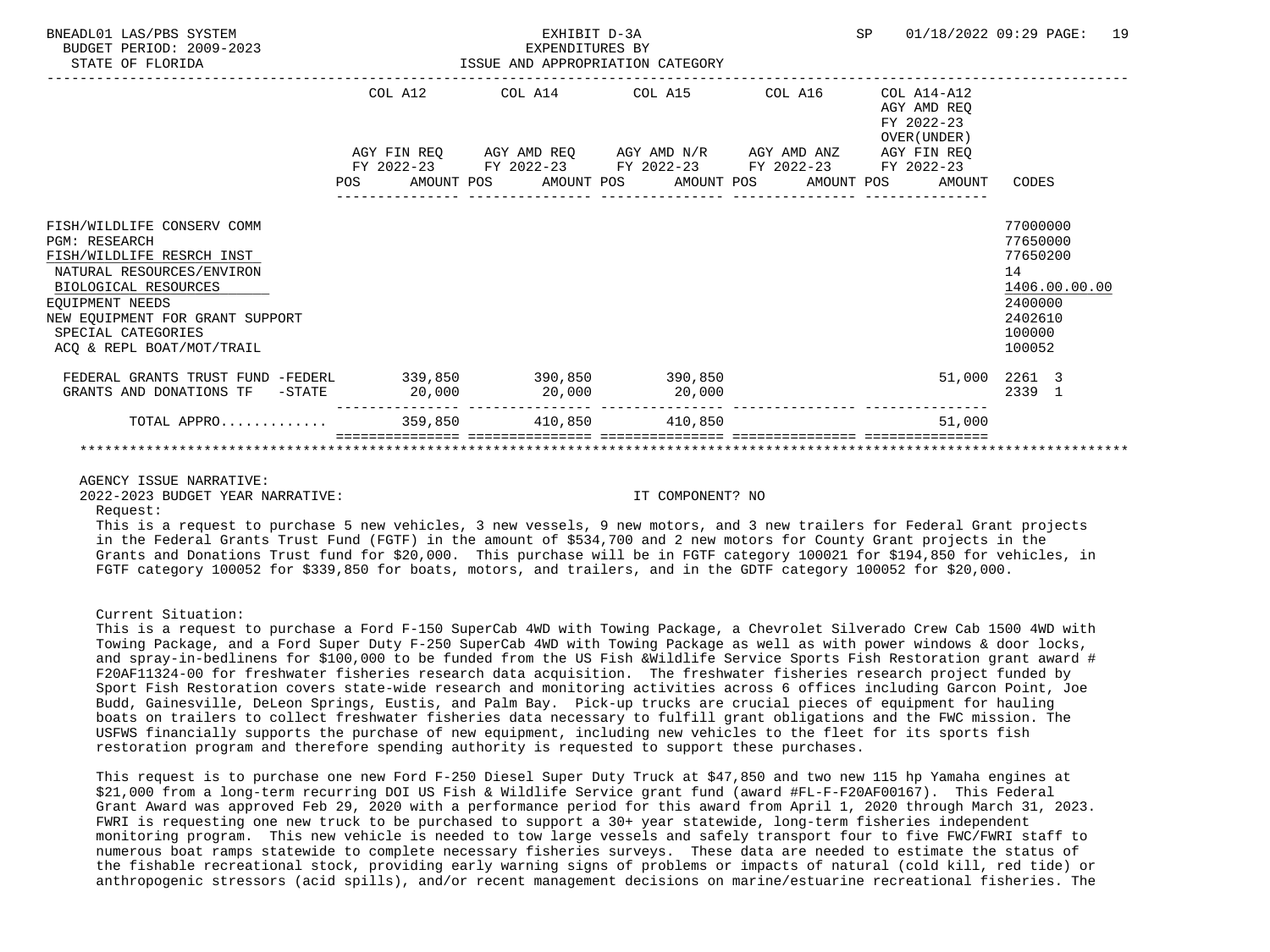| BNEADL01 LAS/PBS SYSTEM<br>BUDGET PERIOD: 2009-2023<br>STATE OF FLORIDA                                                                                                                                                                       |        | EXHIBIT D-3A<br>EXPENDITURES BY<br>ISSUE AND APPROPRIATION CATEGORY | SP                                                                                                                    | 01/18/2022 09:29 PAGE:<br>19                             |                                                                                                   |
|-----------------------------------------------------------------------------------------------------------------------------------------------------------------------------------------------------------------------------------------------|--------|---------------------------------------------------------------------|-----------------------------------------------------------------------------------------------------------------------|----------------------------------------------------------|---------------------------------------------------------------------------------------------------|
|                                                                                                                                                                                                                                               |        |                                                                     | COL A12 COL A14 COL A15 COL A16                                                                                       | COL A14-A12<br>AGY AMD REO<br>FY 2022-23<br>OVER (UNDER) |                                                                                                   |
|                                                                                                                                                                                                                                               |        |                                                                     | AGY FIN REQ AGY AMD REQ AGY AMD N/R AGY AMD ANZ AGY FIN REQ<br>FY 2022-23 FY 2022-23 FY 2022-23 FY 2022-23 FY 2022-23 |                                                          |                                                                                                   |
|                                                                                                                                                                                                                                               |        |                                                                     |                                                                                                                       | POS AMOUNT POS AMOUNT POS AMOUNT POS AMOUNT POS AMOUNT   | CODES                                                                                             |
| FISH/WILDLIFE CONSERV COMM<br><b>PGM: RESEARCH</b><br>FISH/WILDLIFE RESRCH INST<br>NATURAL RESOURCES/ENVIRON<br>BIOLOGICAL RESOURCES<br>EOUIPMENT NEEDS<br>NEW EOUIPMENT FOR GRANT SUPPORT<br>SPECIAL CATEGORIES<br>ACO & REPL BOAT/MOT/TRAIL |        |                                                                     |                                                                                                                       |                                                          | 77000000<br>77650000<br>77650200<br>14<br>1406.00.00.00<br>2400000<br>2402610<br>100000<br>100052 |
| FEDERAL GRANTS TRUST FUND -FEDERL<br>GRANTS AND DONATIONS TF -STATE                                                                                                                                                                           | 20,000 |                                                                     | 339,850 390,850 390,850<br>$20,000$ $20,000$                                                                          |                                                          | 51,000 2261 3<br>2339 1                                                                           |
| TOTAL APPRO 359,850 410,850 410,850                                                                                                                                                                                                           |        |                                                                     |                                                                                                                       | 51,000                                                   |                                                                                                   |
|                                                                                                                                                                                                                                               |        |                                                                     |                                                                                                                       |                                                          |                                                                                                   |

### AGENCY ISSUE NARRATIVE:

2022-2023 BUDGET YEAR NARRATIVE: IT COMPONENT? NO

Request:

 This is a request to purchase 5 new vehicles, 3 new vessels, 9 new motors, and 3 new trailers for Federal Grant projects in the Federal Grants Trust Fund (FGTF) in the amount of \$534,700 and 2 new motors for County Grant projects in the Grants and Donations Trust fund for \$20,000. This purchase will be in FGTF category 100021 for \$194,850 for vehicles, in FGTF category 100052 for \$339,850 for boats, motors, and trailers, and in the GDTF category 100052 for \$20,000.

#### Current Situation:

 This is a request to purchase a Ford F-150 SuperCab 4WD with Towing Package, a Chevrolet Silverado Crew Cab 1500 4WD with Towing Package, and a Ford Super Duty F-250 SuperCab 4WD with Towing Package as well as with power windows & door locks, and spray-in-bedlinens for \$100,000 to be funded from the US Fish &Wildlife Service Sports Fish Restoration grant award # F20AF11324-00 for freshwater fisheries research data acquisition. The freshwater fisheries research project funded by Sport Fish Restoration covers state-wide research and monitoring activities across 6 offices including Garcon Point, Joe Budd, Gainesville, DeLeon Springs, Eustis, and Palm Bay. Pick-up trucks are crucial pieces of equipment for hauling boats on trailers to collect freshwater fisheries data necessary to fulfill grant obligations and the FWC mission. The USFWS financially supports the purchase of new equipment, including new vehicles to the fleet for its sports fish restoration program and therefore spending authority is requested to support these purchases.

 This request is to purchase one new Ford F-250 Diesel Super Duty Truck at \$47,850 and two new 115 hp Yamaha engines at \$21,000 from a long-term recurring DOI US Fish & Wildlife Service grant fund (award #FL-F-F20AF00167). This Federal Grant Award was approved Feb 29, 2020 with a performance period for this award from April 1, 2020 through March 31, 2023. FWRI is requesting one new truck to be purchased to support a 30+ year statewide, long-term fisheries independent monitoring program. This new vehicle is needed to tow large vessels and safely transport four to five FWC/FWRI staff to numerous boat ramps statewide to complete necessary fisheries surveys. These data are needed to estimate the status of the fishable recreational stock, providing early warning signs of problems or impacts of natural (cold kill, red tide) or anthropogenic stressors (acid spills), and/or recent management decisions on marine/estuarine recreational fisheries. The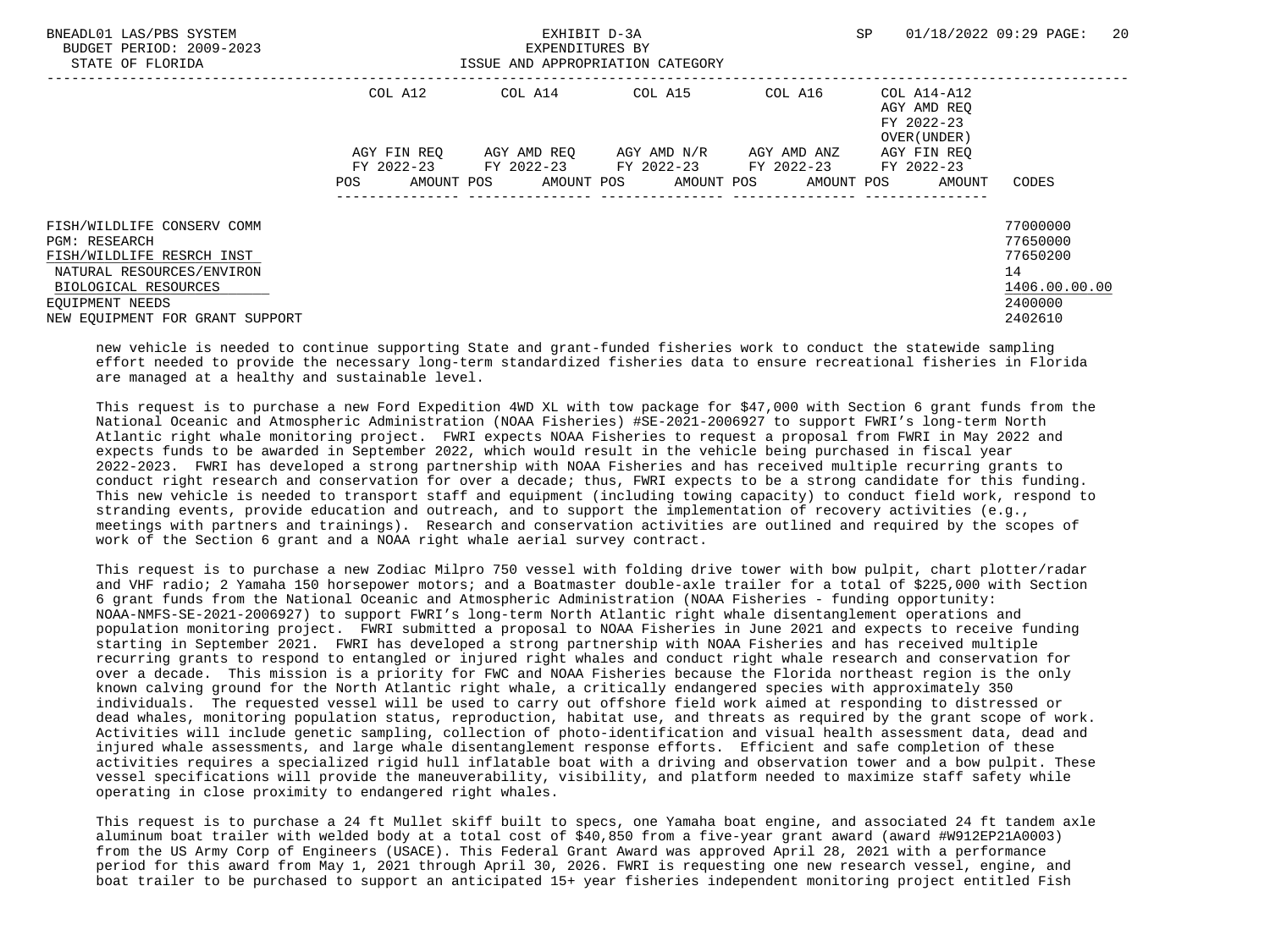| BNEADL01 LAS/PBS SYSTEM<br>BUDGET PERIOD: 2009-2023<br>STATE OF FLORIDA |         |             | EXHIBIT D-3A<br>EXPENDITURES BY<br>ISSUE AND APPROPRIATION CATEGORY |  |             |         | SP |                                                          | 01/18/2022 09:29 PAGE: | 20 |
|-------------------------------------------------------------------------|---------|-------------|---------------------------------------------------------------------|--|-------------|---------|----|----------------------------------------------------------|------------------------|----|
|                                                                         | COL A12 |             | COL A14 COL A15                                                     |  |             | COL A16 |    | COL A14-A12<br>AGY AMD REO<br>FY 2022-23<br>OVER (UNDER) |                        |    |
|                                                                         |         | AGY FIN REO | AGY AMD REO AGY AMD N/R                                             |  | AGY AMD ANZ |         |    | AGY FIN REO                                              |                        |    |
|                                                                         |         |             | FY 2022-23 FY 2022-23 FY 2022-23 FY 2022-23                         |  |             |         |    | FY 2022-23                                               |                        |    |
|                                                                         | POS     |             | AMOUNT POS AMOUNT POS AMOUNT POS AMOUNT POS                         |  |             |         |    | AMOUNT                                                   | CODES                  |    |
| FISH/WILDLIFE CONSERV COMM                                              |         |             |                                                                     |  |             |         |    |                                                          | 77000000               |    |
| <b>PGM: RESEARCH</b>                                                    |         |             |                                                                     |  |             |         |    |                                                          | 77650000               |    |
| FISH/WILDLIFE RESRCH INST                                               |         |             |                                                                     |  |             |         |    |                                                          | 77650200               |    |
| NATURAL RESOURCES/ENVIRON                                               |         |             |                                                                     |  |             |         |    |                                                          | 14                     |    |
| BIOLOGICAL RESOURCES                                                    |         |             |                                                                     |  |             |         |    |                                                          | 1406.00.00.00          |    |
| EOUIPMENT NEEDS                                                         |         |             |                                                                     |  |             |         |    |                                                          | 2400000                |    |
| NEW EOUIPMENT FOR GRANT SUPPORT                                         |         |             |                                                                     |  |             |         |    |                                                          | 2402610                |    |

 new vehicle is needed to continue supporting State and grant-funded fisheries work to conduct the statewide sampling effort needed to provide the necessary long-term standardized fisheries data to ensure recreational fisheries in Florida are managed at a healthy and sustainable level.

 This request is to purchase a new Ford Expedition 4WD XL with tow package for \$47,000 with Section 6 grant funds from the National Oceanic and Atmospheric Administration (NOAA Fisheries) #SE-2021-2006927 to support FWRI's long-term North Atlantic right whale monitoring project. FWRI expects NOAA Fisheries to request a proposal from FWRI in May 2022 and expects funds to be awarded in September 2022, which would result in the vehicle being purchased in fiscal year 2022-2023. FWRI has developed a strong partnership with NOAA Fisheries and has received multiple recurring grants to conduct right research and conservation for over a decade; thus, FWRI expects to be a strong candidate for this funding. This new vehicle is needed to transport staff and equipment (including towing capacity) to conduct field work, respond to stranding events, provide education and outreach, and to support the implementation of recovery activities (e.g., meetings with partners and trainings). Research and conservation activities are outlined and required by the scopes of work of the Section 6 grant and a NOAA right whale aerial survey contract.

 This request is to purchase a new Zodiac Milpro 750 vessel with folding drive tower with bow pulpit, chart plotter/radar and VHF radio; 2 Yamaha 150 horsepower motors; and a Boatmaster double-axle trailer for a total of \$225,000 with Section 6 grant funds from the National Oceanic and Atmospheric Administration (NOAA Fisheries - funding opportunity: NOAA-NMFS-SE-2021-2006927) to support FWRI's long-term North Atlantic right whale disentanglement operations and population monitoring project. FWRI submitted a proposal to NOAA Fisheries in June 2021 and expects to receive funding starting in September 2021. FWRI has developed a strong partnership with NOAA Fisheries and has received multiple recurring grants to respond to entangled or injured right whales and conduct right whale research and conservation for over a decade. This mission is a priority for FWC and NOAA Fisheries because the Florida northeast region is the only known calving ground for the North Atlantic right whale, a critically endangered species with approximately 350 individuals. The requested vessel will be used to carry out offshore field work aimed at responding to distressed or dead whales, monitoring population status, reproduction, habitat use, and threats as required by the grant scope of work. Activities will include genetic sampling, collection of photo-identification and visual health assessment data, dead and injured whale assessments, and large whale disentanglement response efforts. Efficient and safe completion of these activities requires a specialized rigid hull inflatable boat with a driving and observation tower and a bow pulpit. These vessel specifications will provide the maneuverability, visibility, and platform needed to maximize staff safety while operating in close proximity to endangered right whales.

 This request is to purchase a 24 ft Mullet skiff built to specs, one Yamaha boat engine, and associated 24 ft tandem axle aluminum boat trailer with welded body at a total cost of \$40,850 from a five-year grant award (award #W912EP21A0003) from the US Army Corp of Engineers (USACE). This Federal Grant Award was approved April 28, 2021 with a performance period for this award from May 1, 2021 through April 30, 2026. FWRI is requesting one new research vessel, engine, and boat trailer to be purchased to support an anticipated 15+ year fisheries independent monitoring project entitled Fish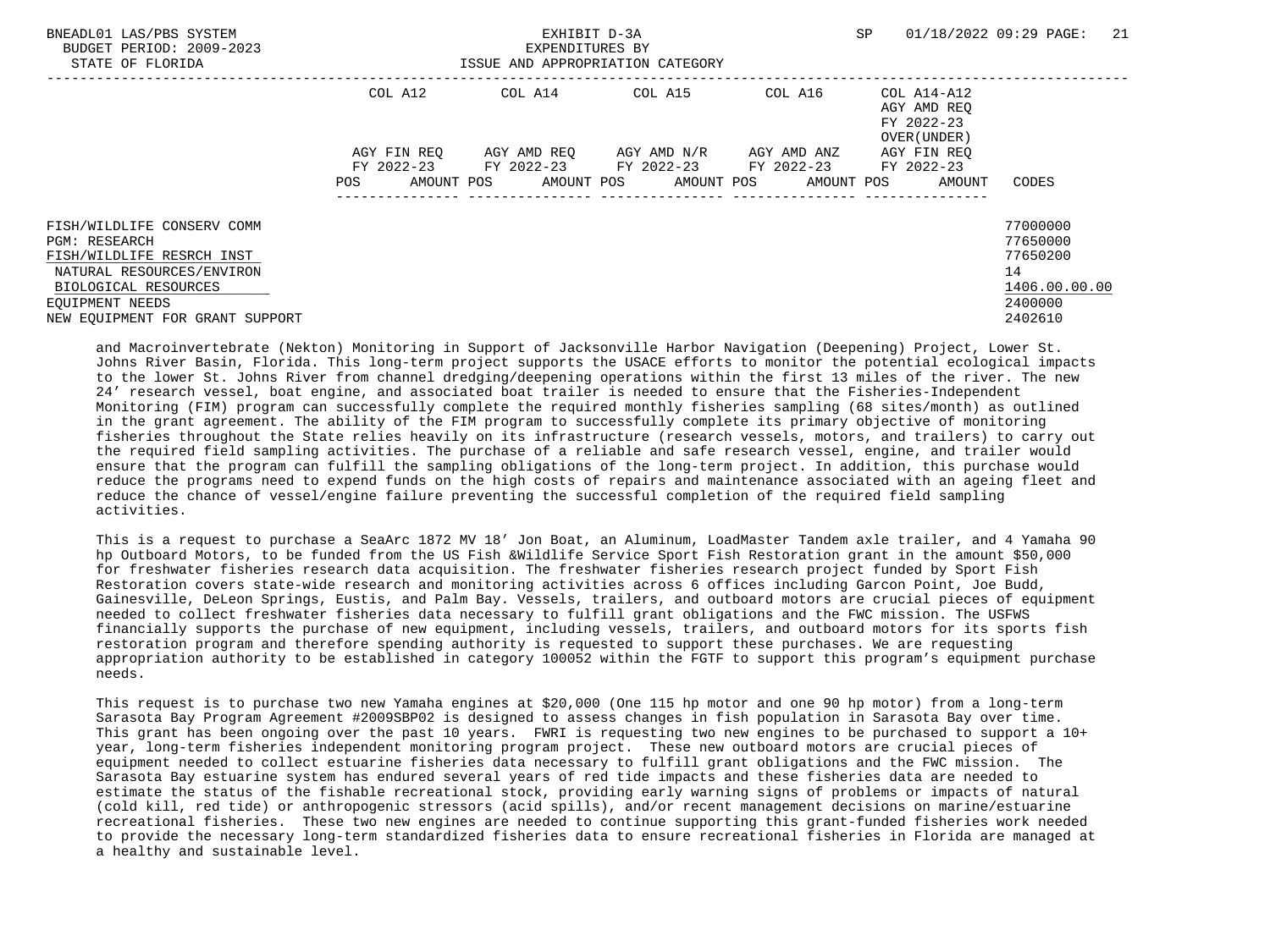| BNEADL01 LAS/PBS SYSTEM<br>BUDGET PERIOD: 2009-2023<br>STATE OF FLORIDA | EXHIBIT D-3A<br>EXPENDITURES BY<br>ISSUE AND APPROPRIATION CATEGORY |             |  |                                             |  |                       |  | SP          | 01/18/2022 09:29 PAGE: | 21                                                       |               |  |
|-------------------------------------------------------------------------|---------------------------------------------------------------------|-------------|--|---------------------------------------------|--|-----------------------|--|-------------|------------------------|----------------------------------------------------------|---------------|--|
|                                                                         |                                                                     | COL A12     |  | COL A14 COL A15                             |  |                       |  | COL A16     |                        | COL A14-A12<br>AGY AMD REO<br>FY 2022-23<br>OVER (UNDER) |               |  |
|                                                                         |                                                                     | AGY FIN REO |  | AGY AMD REO                                 |  | AGY AMD N/R           |  | AGY AMD ANZ |                        | AGY FIN REO                                              |               |  |
|                                                                         |                                                                     | FY 2022-23  |  | FY 2022-23                                  |  | FY 2022-23 FY 2022-23 |  |             |                        | FY 2022-23                                               |               |  |
|                                                                         | POS                                                                 |             |  | AMOUNT POS AMOUNT POS AMOUNT POS AMOUNT POS |  |                       |  |             |                        | AMOUNT                                                   | CODES         |  |
| FISH/WILDLIFE CONSERV COMM                                              |                                                                     |             |  |                                             |  |                       |  |             |                        |                                                          | 77000000      |  |
| <b>PGM: RESEARCH</b>                                                    |                                                                     |             |  |                                             |  |                       |  |             |                        |                                                          | 77650000      |  |
| FISH/WILDLIFE RESRCH INST                                               |                                                                     |             |  |                                             |  |                       |  |             |                        |                                                          | 77650200      |  |
| NATURAL RESOURCES/ENVIRON                                               |                                                                     |             |  |                                             |  |                       |  |             |                        |                                                          | 14            |  |
| BIOLOGICAL RESOURCES                                                    |                                                                     |             |  |                                             |  |                       |  |             |                        |                                                          | 1406.00.00.00 |  |
| EOUIPMENT NEEDS                                                         |                                                                     |             |  |                                             |  |                       |  |             |                        |                                                          | 2400000       |  |
| NEW EQUIPMENT FOR GRANT SUPPORT                                         |                                                                     |             |  |                                             |  |                       |  |             |                        |                                                          | 2402610       |  |

 and Macroinvertebrate (Nekton) Monitoring in Support of Jacksonville Harbor Navigation (Deepening) Project, Lower St. Johns River Basin, Florida. This long-term project supports the USACE efforts to monitor the potential ecological impacts to the lower St. Johns River from channel dredging/deepening operations within the first 13 miles of the river. The new 24' research vessel, boat engine, and associated boat trailer is needed to ensure that the Fisheries-Independent Monitoring (FIM) program can successfully complete the required monthly fisheries sampling (68 sites/month) as outlined in the grant agreement. The ability of the FIM program to successfully complete its primary objective of monitoring fisheries throughout the State relies heavily on its infrastructure (research vessels, motors, and trailers) to carry out the required field sampling activities. The purchase of a reliable and safe research vessel, engine, and trailer would ensure that the program can fulfill the sampling obligations of the long-term project. In addition, this purchase would reduce the programs need to expend funds on the high costs of repairs and maintenance associated with an ageing fleet and reduce the chance of vessel/engine failure preventing the successful completion of the required field sampling activities.

 This is a request to purchase a SeaArc 1872 MV 18' Jon Boat, an Aluminum, LoadMaster Tandem axle trailer, and 4 Yamaha 90 hp Outboard Motors, to be funded from the US Fish &Wildlife Service Sport Fish Restoration grant in the amount \$50,000 for freshwater fisheries research data acquisition. The freshwater fisheries research project funded by Sport Fish Restoration covers state-wide research and monitoring activities across 6 offices including Garcon Point, Joe Budd, Gainesville, DeLeon Springs, Eustis, and Palm Bay. Vessels, trailers, and outboard motors are crucial pieces of equipment needed to collect freshwater fisheries data necessary to fulfill grant obligations and the FWC mission. The USFWS financially supports the purchase of new equipment, including vessels, trailers, and outboard motors for its sports fish restoration program and therefore spending authority is requested to support these purchases. We are requesting appropriation authority to be established in category 100052 within the FGTF to support this program's equipment purchase needs.

 This request is to purchase two new Yamaha engines at \$20,000 (One 115 hp motor and one 90 hp motor) from a long-term Sarasota Bay Program Agreement #2009SBP02 is designed to assess changes in fish population in Sarasota Bay over time. This grant has been ongoing over the past 10 years. FWRI is requesting two new engines to be purchased to support a 10+ year, long-term fisheries independent monitoring program project. These new outboard motors are crucial pieces of equipment needed to collect estuarine fisheries data necessary to fulfill grant obligations and the FWC mission. The Sarasota Bay estuarine system has endured several years of red tide impacts and these fisheries data are needed to estimate the status of the fishable recreational stock, providing early warning signs of problems or impacts of natural (cold kill, red tide) or anthropogenic stressors (acid spills), and/or recent management decisions on marine/estuarine recreational fisheries. These two new engines are needed to continue supporting this grant-funded fisheries work needed to provide the necessary long-term standardized fisheries data to ensure recreational fisheries in Florida are managed at a healthy and sustainable level.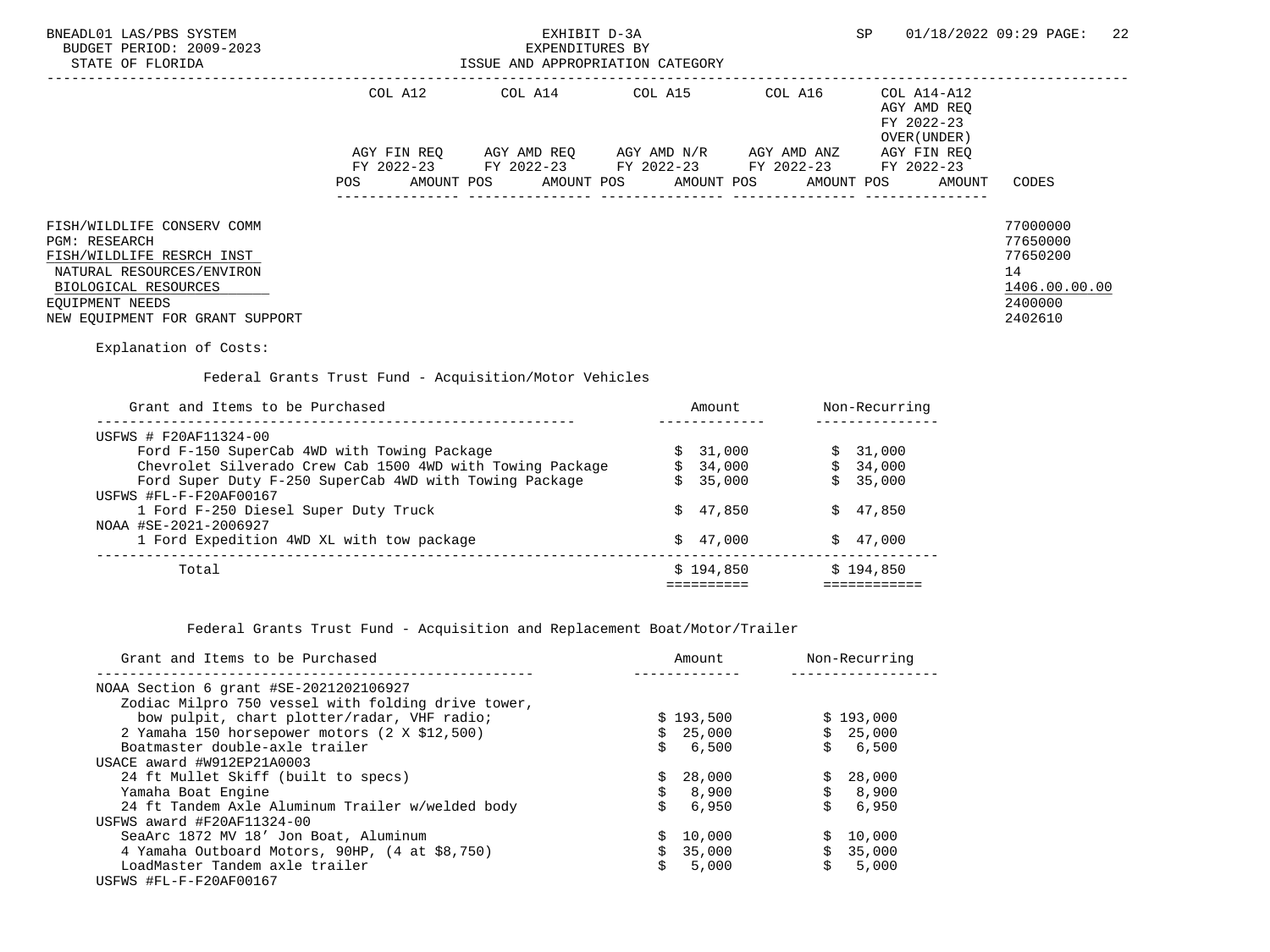| BNEADL01 LAS/PBS SYSTEM<br>BUDGET PERIOD: 2009-2023<br>STATE OF FLORIDA                                                                                                                                                                                                                                                                                                                                                                    |     | EXHIBIT D-3A<br>EXPENDITURES BY<br>ISSUE AND APPROPRIATION CATEGORY                                                                                                                                                                                                                                                                                                                                                                                         |                                                   |                                                        | SP                                        |        | 01/18/2022 09:29 PAGE:                                                        | -22 |
|--------------------------------------------------------------------------------------------------------------------------------------------------------------------------------------------------------------------------------------------------------------------------------------------------------------------------------------------------------------------------------------------------------------------------------------------|-----|-------------------------------------------------------------------------------------------------------------------------------------------------------------------------------------------------------------------------------------------------------------------------------------------------------------------------------------------------------------------------------------------------------------------------------------------------------------|---------------------------------------------------|--------------------------------------------------------|-------------------------------------------|--------|-------------------------------------------------------------------------------|-----|
|                                                                                                                                                                                                                                                                                                                                                                                                                                            | POS | COL A12 COL A14 COL A15 COL A16 COL A14-A12<br>$\begin{array}{lllll} {\text{AGY}} & {\text{FIN}} & {\text{REG}} & {\text{AGY}} & {\text{AMP}} & {\text{AGY}} & {\text{AMP}} & {\text{M}} & {\text{M}} & {\text{H}} & {\text{M}} & {\text{M}} & {\text{M}} & {\text{M}} \\ {\text{FY}} & 2022-23 & {\text{FY}} & 2022-23 & {\text{FY}} & 2022-23 & {\text{FY}} & 2022-23 & {\text{FY}} & 2022-23 \end{array}$<br>AMOUNT POS AMOUNT POS AMOUNT POS AMOUNT POS |                                                   |                                                        | AGY AMD REQ<br>FY 2022-23<br>OVER (UNDER) | AMOUNT | CODES                                                                         |     |
| FISH/WILDLIFE CONSERV COMM<br><b>PGM: RESEARCH</b><br>FISH/WILDLIFE RESRCH INST<br>NATURAL RESOURCES/ENVIRON<br>BIOLOGICAL RESOURCES<br>EOUIPMENT NEEDS<br>NEW EQUIPMENT FOR GRANT SUPPORT<br>Explanation of Costs:                                                                                                                                                                                                                        |     |                                                                                                                                                                                                                                                                                                                                                                                                                                                             |                                                   |                                                        |                                           |        | 77000000<br>77650000<br>77650200<br>14<br>1406.00.00.00<br>2400000<br>2402610 |     |
| Grant and Items to be Purchased                                                                                                                                                                                                                                                                                                                                                                                                            |     | Federal Grants Trust Fund - Acquisition/Motor Vehicles                                                                                                                                                                                                                                                                                                                                                                                                      |                                                   | Amount Non-Recurring                                   |                                           |        |                                                                               |     |
| USFWS # F20AF11324-00<br>Ford F-150 SuperCab 4WD with Towing Package $\begin{array}{ccc}\n\xi & 31,000 \\ \zeta & 34,000 \\ \zeta & 34,000\n\end{array}$ $\begin{array}{ccc}\n\xi & 31,000 \\ \xi & 34,000 \\ \xi & 35,000\n\end{array}$<br>Ford Super Duty F-250 SuperCab 4WD with Towing Package<br>USFWS #FL-F-F20AF00167<br>1 Ford F-250 Diesel Super Duty Truck<br>NOAA #SE-2021-2006927<br>1 Ford Expedition 4WD XL with tow package |     |                                                                                                                                                                                                                                                                                                                                                                                                                                                             | -------------<br>\$35,000<br>\$47.850<br>\$47.000 |                                                        | \$35,000<br>\$47,850<br>\$47,000          |        |                                                                               |     |
| Total                                                                                                                                                                                                                                                                                                                                                                                                                                      |     |                                                                                                                                                                                                                                                                                                                                                                                                                                                             |                                                   | $$194,850$ $$194,850$<br>============================= |                                           |        |                                                                               |     |

Federal Grants Trust Fund - Acquisition and Replacement Boat/Motor/Trailer

| Grant and Items to be Purchased                    | Amount       |       |    | Non-Recurring |
|----------------------------------------------------|--------------|-------|----|---------------|
| NOAA Section 6 grant #SE-2021202106927             |              |       |    |               |
| Zodiac Milpro 750 vessel with folding drive tower, |              |       |    |               |
| bow pulpit, chart plotter/radar, VHF radio;        | \$193,500    |       |    | \$193,000     |
| 2 Yamaha 150 horsepower motors (2 X \$12,500)      | \$25,000     |       |    | \$25,000      |
| Boatmaster double-axle trailer                     | 6,500        |       | Ŝ. | 6,500         |
| USACE award #W912EP21A0003                         |              |       |    |               |
| 24 ft Mullet Skiff (built to specs)                | 28,000<br>S. |       |    | \$28,000      |
| Yamaha Boat Engine                                 | Ŝ.<br>8,900  |       | \$ | 8,900         |
| 24 ft Tandem Axle Aluminum Trailer w/welded body   |              | 6,950 | Ŝ. | 6,950         |
| USFWS award #F20AF11324-00                         |              |       |    |               |
| SeaArc 1872 MV 18' Jon Boat, Aluminum              | 10,000       |       |    | \$10.000      |
| 4 Yamaha Outboard Motors, 90HP, (4 at \$8,750)     | \$35,000     |       |    | \$35,000      |
| LoadMaster Tandem axle trailer                     |              | 5,000 | Ŝ. | 5,000         |
| USFWS #FL-F-F20AF00167                             |              |       |    |               |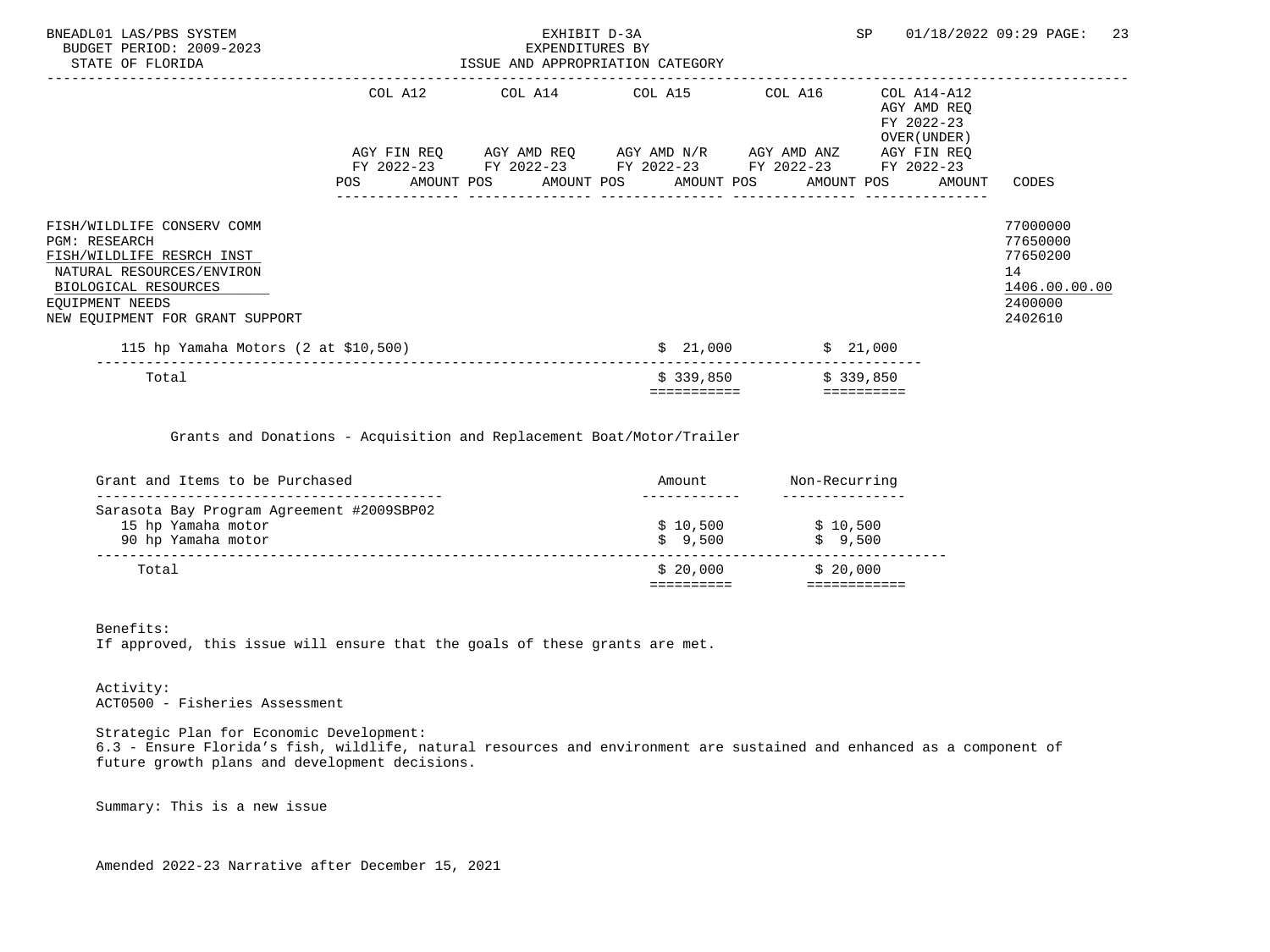| BNEADL01 LAS/PBS SYSTEM<br>BUDGET PERIOD: 2009-2023<br>STATE OF FLORIDA                                                                                                             | EXHIBIT D-3A<br>EXPENDITURES BY<br>ISSUE AND APPROPRIATION CATEGORY                                              |             |          | SP                                                                      | 01/18/2022 09:29 PAGE:<br>23                                                  |
|-------------------------------------------------------------------------------------------------------------------------------------------------------------------------------------|------------------------------------------------------------------------------------------------------------------|-------------|----------|-------------------------------------------------------------------------|-------------------------------------------------------------------------------|
|                                                                                                                                                                                     | COL A12 COL A14 COL A15 COL A16<br>AGY FIN REQ      AGY AMD REQ      AGY AMD N/R      AGY AMD ANZ                |             |          | COL A14-A12<br>AGY AMD REO<br>FY 2022-23<br>OVER (UNDER)<br>AGY FIN REO |                                                                               |
|                                                                                                                                                                                     | FY 2022-23 FY 2022-23 FY 2022-23 FY 2022-23 FY 2022-23<br>POS AMOUNT POS AMOUNT POS AMOUNT POS AMOUNT POS AMOUNT |             |          |                                                                         | CODES                                                                         |
| FISH/WILDLIFE CONSERV COMM<br>PGM: RESEARCH<br>FISH/WILDLIFE RESRCH INST<br>NATURAL RESOURCES/ENVIRON<br>BIOLOGICAL RESOURCES<br>EQUIPMENT NEEDS<br>NEW EQUIPMENT FOR GRANT SUPPORT |                                                                                                                  |             |          |                                                                         | 77000000<br>77650000<br>77650200<br>14<br>1406.00.00.00<br>2400000<br>2402610 |
| 115 hp Yamaha Motors (2 at \$10,500)                                                                                                                                                |                                                                                                                  |             | \$21,000 | \$21,000                                                                |                                                                               |
| Total                                                                                                                                                                               |                                                                                                                  | \$339,850   |          | \$339,850                                                               |                                                                               |
|                                                                                                                                                                                     |                                                                                                                  | =========== |          | ==========                                                              |                                                                               |

Grants and Donations - Acquisition and Replacement Boat/Motor/Trailer

| Grant and Items to be Purchased           | Amount   | Non-Recurring |
|-------------------------------------------|----------|---------------|
| Sarasota Bay Program Agreement #2009SBP02 |          |               |
| 15 hp Yamaha motor                        | \$10.500 | \$10.500      |
| 90 hp Yamaha motor                        | \$9,500  | \$9,500       |
|                                           |          |               |
| Total                                     | \$20.000 | \$20.000      |

 Benefits: If approved, this issue will ensure that the goals of these grants are met.

 Activity: ACT0500 - Fisheries Assessment

 Strategic Plan for Economic Development: 6.3 - Ensure Florida's fish, wildlife, natural resources and environment are sustained and enhanced as a component of future growth plans and development decisions.

Summary: This is a new issue

Amended 2022-23 Narrative after December 15, 2021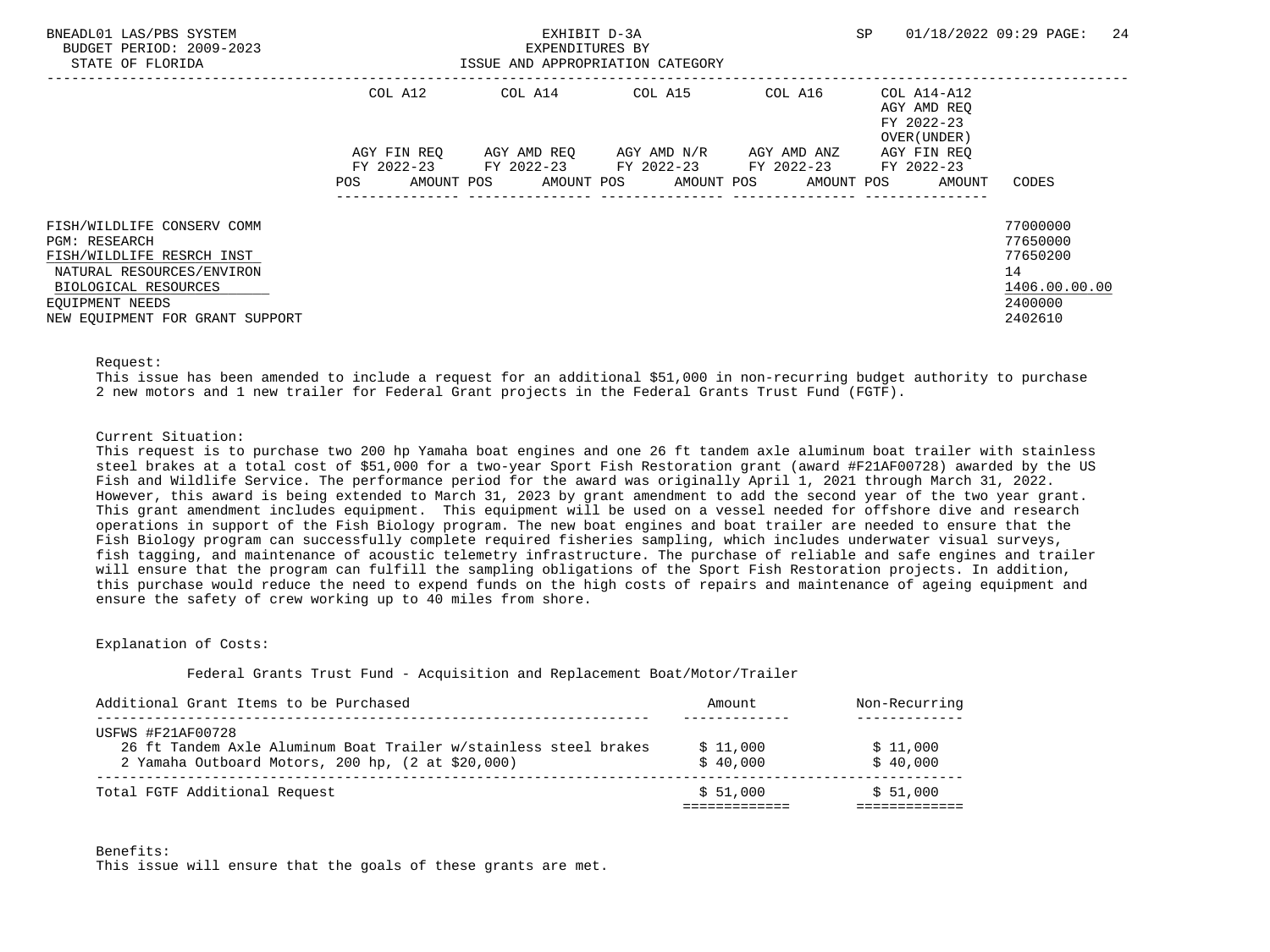| BNEADL01 LAS/PBS SYSTEM<br>BUDGET PERIOD: 2009-2023<br>STATE OF FLORIDA |                          | EXHIBIT D-3A<br>EXPENDITURES BY<br>ISSUE AND APPROPRIATION CATEGORY |                                                                                    | SP         | 24<br>01/18/2022 09:29 PAGE:                             |               |
|-------------------------------------------------------------------------|--------------------------|---------------------------------------------------------------------|------------------------------------------------------------------------------------|------------|----------------------------------------------------------|---------------|
|                                                                         | COL A12                  |                                                                     | COL A14 COL A15                                                                    | COL A16    | COL A14-A12<br>AGY AMD REO<br>FY 2022-23<br>OVER (UNDER) |               |
|                                                                         | AGY FIN REO              |                                                                     | AGY AMD REO AGY AMD N/R AGY AMD ANZ<br>FY 2022-23 FY 2022-23 FY 2022-23 FY 2022-23 |            | AGY FIN REO<br>FY 2022-23                                |               |
|                                                                         | <b>POS</b><br>AMOUNT POS |                                                                     | AMOUNT POS AMOUNT POS                                                              | AMOUNT POS | AMOUNT                                                   | CODES         |
| FISH/WILDLIFE CONSERV COMM                                              |                          |                                                                     |                                                                                    |            |                                                          | 77000000      |
| <b>PGM: RESEARCH</b>                                                    |                          |                                                                     |                                                                                    |            |                                                          | 77650000      |
| FISH/WILDLIFE RESRCH INST                                               |                          |                                                                     |                                                                                    |            |                                                          | 77650200      |
| NATURAL RESOURCES/ENVIRON                                               |                          |                                                                     |                                                                                    |            |                                                          | 14            |
| BIOLOGICAL RESOURCES                                                    |                          |                                                                     |                                                                                    |            |                                                          | 1406.00.00.00 |
| EOUIPMENT NEEDS                                                         |                          |                                                                     |                                                                                    |            |                                                          | 2400000       |
| NEW EQUIPMENT FOR GRANT SUPPORT                                         |                          |                                                                     |                                                                                    |            |                                                          | 2402610       |

#### Request:

 This issue has been amended to include a request for an additional \$51,000 in non-recurring budget authority to purchase 2 new motors and 1 new trailer for Federal Grant projects in the Federal Grants Trust Fund (FGTF).

#### Current Situation:

 This request is to purchase two 200 hp Yamaha boat engines and one 26 ft tandem axle aluminum boat trailer with stainless steel brakes at a total cost of \$51,000 for a two-year Sport Fish Restoration grant (award #F21AF00728) awarded by the US Fish and Wildlife Service. The performance period for the award was originally April 1, 2021 through March 31, 2022. However, this award is being extended to March 31, 2023 by grant amendment to add the second year of the two year grant. This grant amendment includes equipment. This equipment will be used on a vessel needed for offshore dive and research operations in support of the Fish Biology program. The new boat engines and boat trailer are needed to ensure that the Fish Biology program can successfully complete required fisheries sampling, which includes underwater visual surveys, fish tagging, and maintenance of acoustic telemetry infrastructure. The purchase of reliable and safe engines and trailer will ensure that the program can fulfill the sampling obligations of the Sport Fish Restoration projects. In addition, this purchase would reduce the need to expend funds on the high costs of repairs and maintenance of ageing equipment and ensure the safety of crew working up to 40 miles from shore.

#### Explanation of Costs:

#### Federal Grants Trust Fund - Acquisition and Replacement Boat/Motor/Trailer

| USFWS #F21AF00728                                                |          |          |
|------------------------------------------------------------------|----------|----------|
|                                                                  |          |          |
| 26 ft Tandem Axle Aluminum Boat Trailer w/stainless steel brakes | \$11,000 | \$11,000 |
| 2 Yamaha Outboard Motors, 200 hp, (2 at \$20,000)                | \$40,000 | \$40,000 |

#### Benefits:

This issue will ensure that the goals of these grants are met.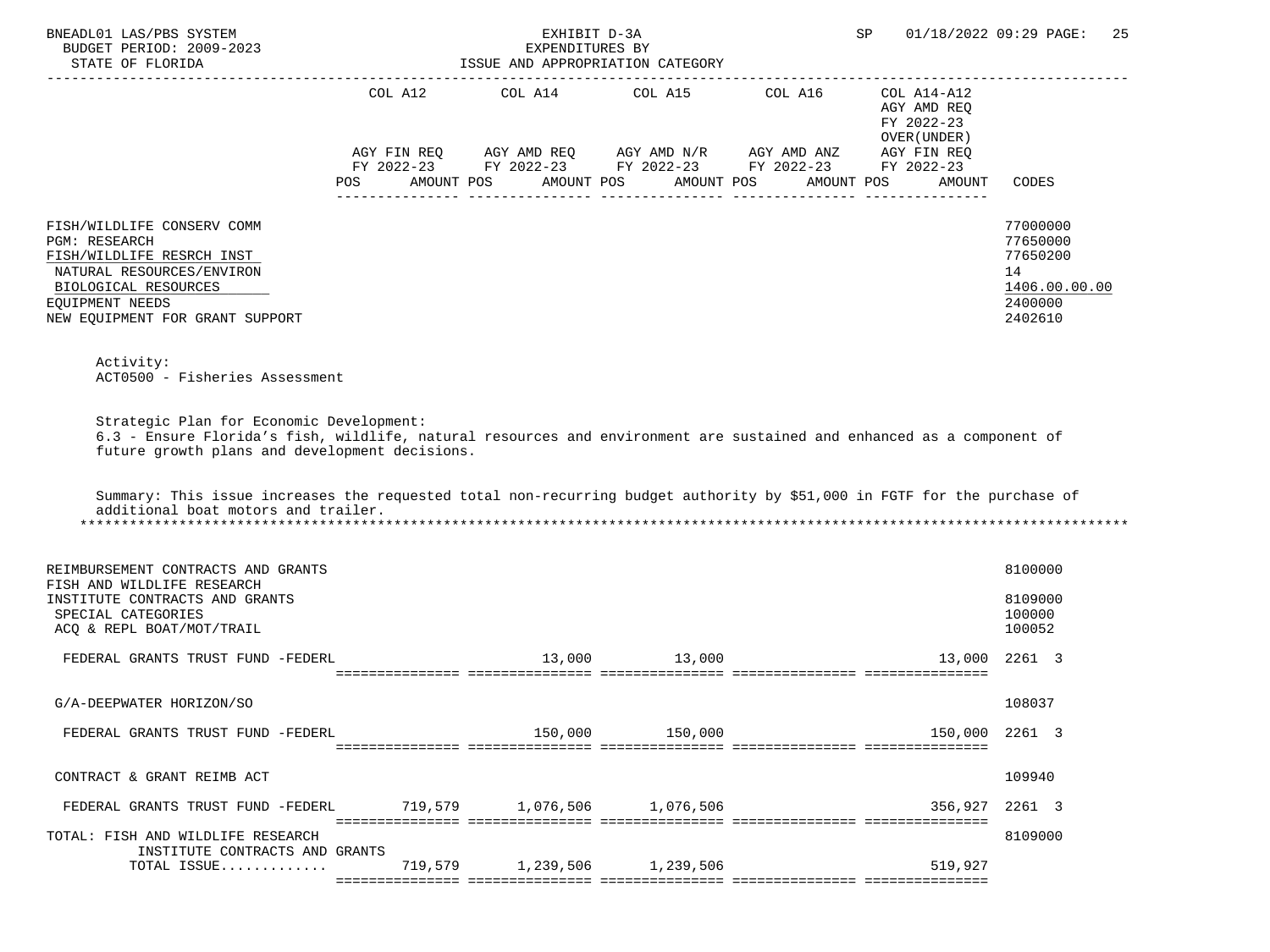| BNEADL01 LAS/PBS SYSTEM<br>BUDGET PERIOD: 2009-2023<br>STATE OF FLORIDA                                                                                                                                                                                                                                                                                                                |         | EXHIBIT D-3A<br>EXPENDITURES BY<br>ISSUE AND APPROPRIATION CATEGORY |            |                                   | SP                                                       | 01/18/2022 09:29 PAGE:<br>25                                                  |
|----------------------------------------------------------------------------------------------------------------------------------------------------------------------------------------------------------------------------------------------------------------------------------------------------------------------------------------------------------------------------------------|---------|---------------------------------------------------------------------|------------|-----------------------------------|----------------------------------------------------------|-------------------------------------------------------------------------------|
|                                                                                                                                                                                                                                                                                                                                                                                        | COL A12 | COL A14<br>AGY FIN REQ AGY AMD REQ AGY AMD $N/R$ AGY AMD ANZ        |            | $COL A15$ $COL A16$ $COL A14-A12$ | AGY AMD REQ<br>FY 2022-23<br>OVER (UNDER)<br>AGY FIN REQ |                                                                               |
|                                                                                                                                                                                                                                                                                                                                                                                        |         | FY 2022-23 FY 2022-23 FY 2022-23 FY 2022-23 FY 2022-23              |            |                                   |                                                          |                                                                               |
|                                                                                                                                                                                                                                                                                                                                                                                        | POS FOR | AMOUNT POS<br>AMOUNT POS                                            | AMOUNT POS |                                   | AMOUNT POS<br>AMOUNT                                     | CODES                                                                         |
| FISH/WILDLIFE CONSERV COMM<br><b>PGM: RESEARCH</b><br>FISH/WILDLIFE RESRCH INST<br>NATURAL RESOURCES/ENVIRON<br>BIOLOGICAL RESOURCES<br>EQUIPMENT NEEDS<br>NEW EQUIPMENT FOR GRANT SUPPORT                                                                                                                                                                                             |         |                                                                     |            |                                   |                                                          | 77000000<br>77650000<br>77650200<br>14<br>1406.00.00.00<br>2400000<br>2402610 |
| Activity:<br>ACT0500 - Fisheries Assessment                                                                                                                                                                                                                                                                                                                                            |         |                                                                     |            |                                   |                                                          |                                                                               |
| Strategic Plan for Economic Development:<br>6.3 - Ensure Florida's fish, wildlife, natural resources and environment are sustained and enhanced as a component of<br>future growth plans and development decisions.<br>Summary: This issue increases the requested total non-recurring budget authority by \$51,000 in FGTF for the purchase of<br>additional boat motors and trailer. |         |                                                                     |            |                                   |                                                          |                                                                               |
| REIMBURSEMENT CONTRACTS AND GRANTS                                                                                                                                                                                                                                                                                                                                                     |         |                                                                     |            |                                   |                                                          | 8100000                                                                       |
| FISH AND WILDLIFE RESEARCH<br>INSTITUTE CONTRACTS AND GRANTS<br>SPECIAL CATEGORIES<br>ACQ & REPL BOAT/MOT/TRAIL                                                                                                                                                                                                                                                                        |         |                                                                     |            |                                   |                                                          | 8109000<br>100000<br>100052                                                   |
| FEDERAL GRANTS TRUST FUND -FEDERL                                                                                                                                                                                                                                                                                                                                                      |         | 13,000                                                              | 13,000     |                                   | 13,000                                                   | 2261 3                                                                        |
| G/A-DEEPWATER HORIZON/SO                                                                                                                                                                                                                                                                                                                                                               |         |                                                                     |            |                                   |                                                          | 108037                                                                        |
| FEDERAL GRANTS TRUST FUND -FEDERL                                                                                                                                                                                                                                                                                                                                                      |         | 150,000                                                             | 150,000    |                                   |                                                          | 150,000 2261 3                                                                |
| CONTRACT & GRANT REIMB ACT                                                                                                                                                                                                                                                                                                                                                             |         |                                                                     |            |                                   |                                                          | 109940                                                                        |
| FEDERAL GRANTS TRUST FUND -FEDERL 719,579 1,076,506 1,076,506                                                                                                                                                                                                                                                                                                                          |         |                                                                     |            |                                   |                                                          | 356,927 2261 3                                                                |
| TOTAL: FISH AND WILDLIFE RESEARCH<br>INSTITUTE CONTRACTS AND GRANTS<br>TOTAL ISSUE                                                                                                                                                                                                                                                                                                     | 719,579 | 1,239,506                                                           | 1,239,506  |                                   | 519,927                                                  | 8109000                                                                       |
|                                                                                                                                                                                                                                                                                                                                                                                        |         |                                                                     |            |                                   |                                                          |                                                                               |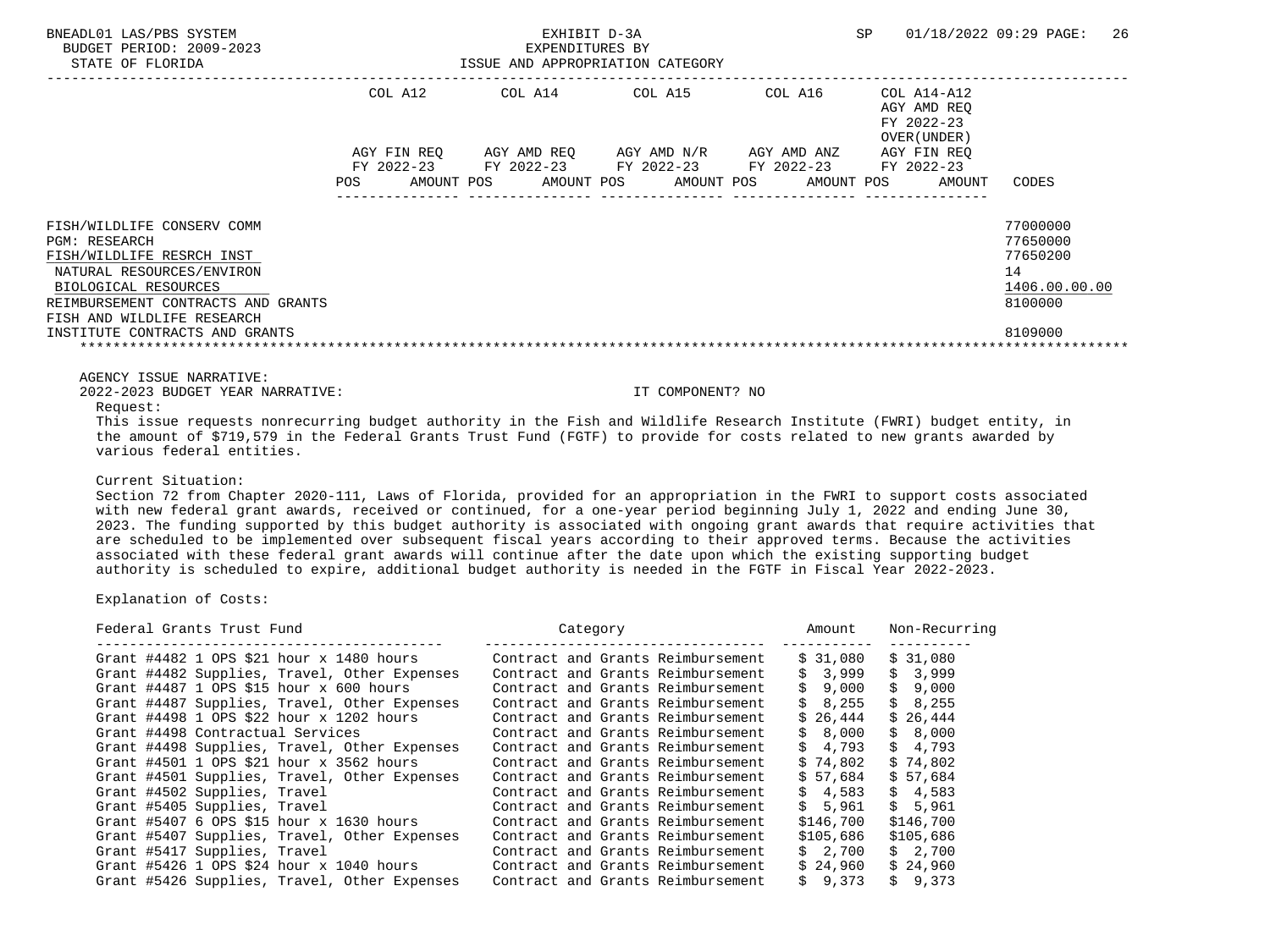STATE OF FLORIDA ISSUE AND APPROPRIATION CATEGORY -----------------------------------------------------------------------------------------------------------------------------------

|                                                                                                                                                                                                                                     | COL A12                   | COL A14                   | COL A15     | COL A16                             | $COL A14 - A12$<br>AGY AMD REO<br>FY 2022-23<br>OVER (UNDER) |                                                                               |
|-------------------------------------------------------------------------------------------------------------------------------------------------------------------------------------------------------------------------------------|---------------------------|---------------------------|-------------|-------------------------------------|--------------------------------------------------------------|-------------------------------------------------------------------------------|
|                                                                                                                                                                                                                                     | AGY FIN REO<br>FY 2022-23 | AGY AMD REO<br>FY 2022-23 | AGY AMD N/R | AGY AMD ANZ                         | AGY FIN REO<br>FY 2022-23                                    |                                                                               |
|                                                                                                                                                                                                                                     | POS.<br>AMOUNT POS        | AMOUNT POS                | AMOUNT POS  | FY 2022-23 FY 2022-23<br>AMOUNT POS | AMOUNT                                                       | CODES                                                                         |
| FISH/WILDLIFE CONSERV COMM<br>PGM: RESEARCH<br>FISH/WILDLIFE RESRCH INST<br>NATURAL RESOURCES/ENVIRON<br>BIOLOGICAL RESOURCES<br>REIMBURSEMENT CONTRACTS AND GRANTS<br>FISH AND WILDLIFE RESEARCH<br>INSTITUTE CONTRACTS AND GRANTS |                           |                           |             |                                     |                                                              | 77000000<br>77650000<br>77650200<br>14<br>1406.00.00.00<br>8100000<br>8109000 |

AGENCY ISSUE NARRATIVE:

2022-2023 BUDGET YEAR NARRATIVE: IT COMPONENT? NO

#### Request:

 This issue requests nonrecurring budget authority in the Fish and Wildlife Research Institute (FWRI) budget entity, in the amount of \$719,579 in the Federal Grants Trust Fund (FGTF) to provide for costs related to new grants awarded by various federal entities.

#### Current Situation:

 Section 72 from Chapter 2020-111, Laws of Florida, provided for an appropriation in the FWRI to support costs associated with new federal grant awards, received or continued, for a one-year period beginning July 1, 2022 and ending June 30, 2023. The funding supported by this budget authority is associated with ongoing grant awards that require activities that are scheduled to be implemented over subsequent fiscal years according to their approved terms. Because the activities associated with these federal grant awards will continue after the date upon which the existing supporting budget authority is scheduled to expire, additional budget authority is needed in the FGTF in Fiscal Year 2022-2023.

| Federal Grants Trust Fund                    | Category                          | Amount    | Non-Recurring |
|----------------------------------------------|-----------------------------------|-----------|---------------|
| Grant #4482 1 OPS \$21 hour x 1480 hours     | Contract and Grants Reimbursement | \$ 31,080 | \$31,080      |
| Grant #4482 Supplies, Travel, Other Expenses | Contract and Grants Reimbursement | \$3,999   | \$3,999       |
| Grant #4487 1 OPS \$15 hour $x$ 600 hours    | Contract and Grants Reimbursement | \$9.000   | \$9,000       |
| Grant #4487 Supplies, Travel, Other Expenses | Contract and Grants Reimbursement | \$8.255   | \$8,255       |
| Grant #4498 1 OPS \$22 hour x 1202 hours     | Contract and Grants Reimbursement | \$26.444  | \$26.444      |
| Grant #4498 Contractual Services             | Contract and Grants Reimbursement | \$8,000   | \$8,000       |
| Grant #4498 Supplies, Travel, Other Expenses | Contract and Grants Reimbursement | \$4.793   | \$4.793       |
| Grant #4501 1 OPS \$21 hour x 3562 hours     | Contract and Grants Reimbursement | \$74,802  | \$74,802      |
| Grant #4501 Supplies, Travel, Other Expenses | Contract and Grants Reimbursement | \$57.684  | \$57,684      |
| Grant #4502 Supplies, Travel                 | Contract and Grants Reimbursement | \$4.583   | \$4,583       |
| Grant #5405 Supplies, Travel                 | Contract and Grants Reimbursement | \$5,961   | \$5,961       |
| Grant #5407 6 OPS \$15 hour x 1630 hours     | Contract and Grants Reimbursement | \$146,700 | \$146,700     |
| Grant #5407 Supplies, Travel, Other Expenses | Contract and Grants Reimbursement | \$105,686 | \$105,686     |
| Grant #5417 Supplies, Travel                 | Contract and Grants Reimbursement | \$2.700   | \$2,700       |
| Grant #5426 1 OPS \$24 hour x 1040 hours     | Contract and Grants Reimbursement | \$24,960  | \$24,960      |
| Grant #5426 Supplies, Travel, Other Expenses | Contract and Grants Reimbursement | \$9,373   | \$9.373       |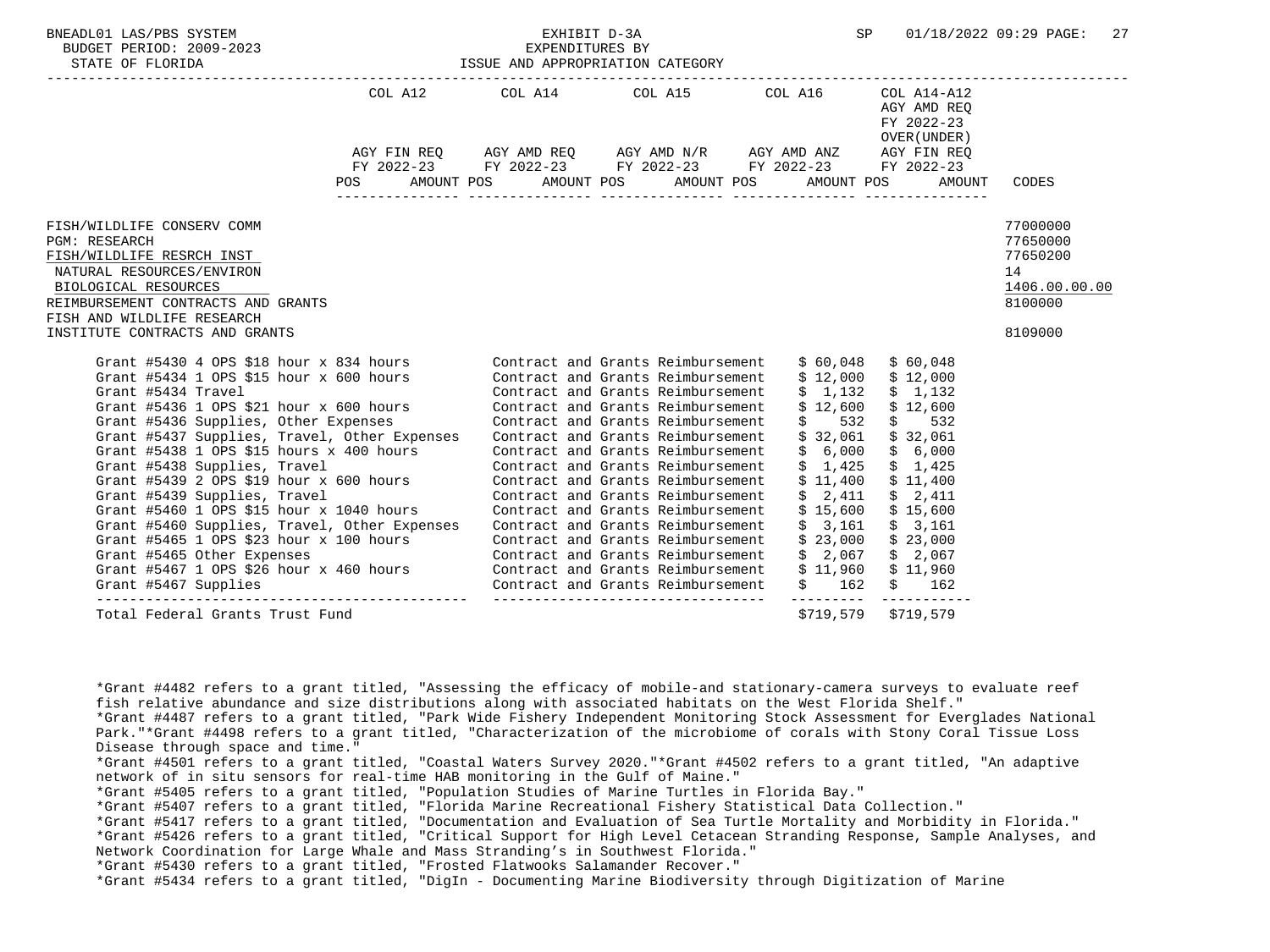| BNEADL01 LAS/PBS SYSTEM<br>NEADLOI LAS/PBS SYSTEM FXHIBIT D-3A EXPENDITURES BY SP U1/18/2022 09.29 PAGE. 27<br>BUDGET PERIOD: 2009-2023 EXPENDITURES BY EXPENDITURES BY EXPENDITURES BY STATE OF FLORIDA ISSUE AND APPROPRIATION CATEGORY                                                                                                                                                                                                                                                                                                                                                                                                                                                                                                                                              |                                                                                  |                                                                                                 | EXHIBIT D-3A                                                                                                                                                                                                                                                                                                                                                                   |                                                                                | SP                                                                                                                                                                                                                                                                       | 01/18/2022 09:29 PAGE:<br>27                                                  |
|----------------------------------------------------------------------------------------------------------------------------------------------------------------------------------------------------------------------------------------------------------------------------------------------------------------------------------------------------------------------------------------------------------------------------------------------------------------------------------------------------------------------------------------------------------------------------------------------------------------------------------------------------------------------------------------------------------------------------------------------------------------------------------------|----------------------------------------------------------------------------------|-------------------------------------------------------------------------------------------------|--------------------------------------------------------------------------------------------------------------------------------------------------------------------------------------------------------------------------------------------------------------------------------------------------------------------------------------------------------------------------------|--------------------------------------------------------------------------------|--------------------------------------------------------------------------------------------------------------------------------------------------------------------------------------------------------------------------------------------------------------------------|-------------------------------------------------------------------------------|
|                                                                                                                                                                                                                                                                                                                                                                                                                                                                                                                                                                                                                                                                                                                                                                                        |                                                                                  | COL A12 COL A14 COL A15 COL A16<br>POS AMOUNT POS AMOUNT POS AMOUNT POS AMOUNT POS AMOUNT CODES |                                                                                                                                                                                                                                                                                                                                                                                |                                                                                | COL A14-A12<br>AGY AMD REO<br>FY 2022-23<br>OVER (UNDER )                                                                                                                                                                                                                |                                                                               |
| FISH/WILDLIFE CONSERV COMM<br><b>PGM: RESEARCH</b><br>FISH/WILDLIFE RESRCH INST<br>NATURAL RESOURCES/ENVIRON<br>BIOLOGICAL RESOURCES<br>REIMBURSEMENT CONTRACTS AND GRANTS<br>FISH AND WILDLIFE RESEARCH<br>INSTITUTE CONTRACTS AND GRANTS                                                                                                                                                                                                                                                                                                                                                                                                                                                                                                                                             |                                                                                  |                                                                                                 |                                                                                                                                                                                                                                                                                                                                                                                |                                                                                |                                                                                                                                                                                                                                                                          | 77000000<br>77650000<br>77650200<br>14<br>1406.00.00.00<br>8100000<br>8109000 |
| Grant #5430 4 OPS \$18 hour x 834 hours Contract and Grants Reimbursement<br>Grant #5434 1 OPS \$15 hour x 600 hours Contract and Grants Reimbursement<br>Grant #5434 Travel<br>Grant #5436 1 OPS \$21 hour $x$ 600 hours<br>Grant #5436 Supplies, Other Expenses<br>Grant #5437 Supplies, Travel, Other Expenses<br>Grant #5438 1 OPS \$15 hours x 400 hours<br>Grant #5438 Supplies, Travel<br>Grant #5439 2 OPS \$19 hour $x$ 600 hours<br>Grant #5439 Supplies, Travel<br>Grant #5460 1 OPS \$15 hour x 1040 hours<br>Grant #5460 Supplies, Travel, Other Expenses<br>Grant #5465 1 OPS \$23 hour x 100 hours<br>Grant #5465 Other Expenses<br>Grant #5467 1 OPS \$26 hour x 460 hours Contract and Grants Reimbursement<br>Grant #5467 Supplies Contract and Grants Reimbursement | 100 hours Contract and Grants Reimbursement<br>Contract and Grants Reimbursement |                                                                                                 | Contract and Grants Reimbursement<br>Contract and Grants Reimbursement<br>Contract and Grants Reimbursement<br>Contract and Grants Reimbursement<br>Contract and Grants Reimbursement<br>Contract and Grants Reimbursement<br>Contract and Grants Reimbursement<br>Contract and Grants Reimbursement<br>Contract and Grants Reimbursement<br>Contract and Grants Reimbursement | \$60,048<br>\$12,000<br>\$1,132<br>\$12,600<br>\$2,411<br>\$15,600<br>\$23,000 | \$60,048<br>\$12,000<br>\$1,132<br>\$12,600<br>$$532$ \$ 532<br>$$32,061$ $$32,061$<br>$$6,000$ \$6,000<br>$$1,425$ $$1,425$<br>$$11,400$ $$11,400$<br>\$2,411<br>\$15,600<br>$$3,161$ $$3,161$<br>\$23,000<br>$$2,067$ $$2,067$<br>$$11,960$ $$11,960$<br>$$162$ \$ 162 |                                                                               |
| Total Federal Grants Trust Fund                                                                                                                                                                                                                                                                                                                                                                                                                                                                                                                                                                                                                                                                                                                                                        |                                                                                  |                                                                                                 | ----------------------------------                                                                                                                                                                                                                                                                                                                                             |                                                                                | \$719,579 \$719,579                                                                                                                                                                                                                                                      |                                                                               |

 \*Grant #4482 refers to a grant titled, "Assessing the efficacy of mobile-and stationary-camera surveys to evaluate reef fish relative abundance and size distributions along with associated habitats on the West Florida Shelf." \*Grant #4487 refers to a grant titled, "Park Wide Fishery Independent Monitoring Stock Assessment for Everglades National Park."\*Grant #4498 refers to a grant titled, "Characterization of the microbiome of corals with Stony Coral Tissue Loss Disease through space and time." \*Grant #4501 refers to a grant titled, "Coastal Waters Survey 2020."\*Grant #4502 refers to a grant titled, "An adaptive network of in situ sensors for real-time HAB monitoring in the Gulf of Maine." \*Grant #5405 refers to a grant titled, "Population Studies of Marine Turtles in Florida Bay." \*Grant #5407 refers to a grant titled, "Florida Marine Recreational Fishery Statistical Data Collection." \*Grant #5417 refers to a grant titled, "Documentation and Evaluation of Sea Turtle Mortality and Morbidity in Florida." \*Grant #5426 refers to a grant titled, "Critical Support for High Level Cetacean Stranding Response, Sample Analyses, and Network Coordination for Large Whale and Mass Stranding's in Southwest Florida." \*Grant #5430 refers to a grant titled, "Frosted Flatwooks Salamander Recover." \*Grant #5434 refers to a grant titled, "DigIn - Documenting Marine Biodiversity through Digitization of Marine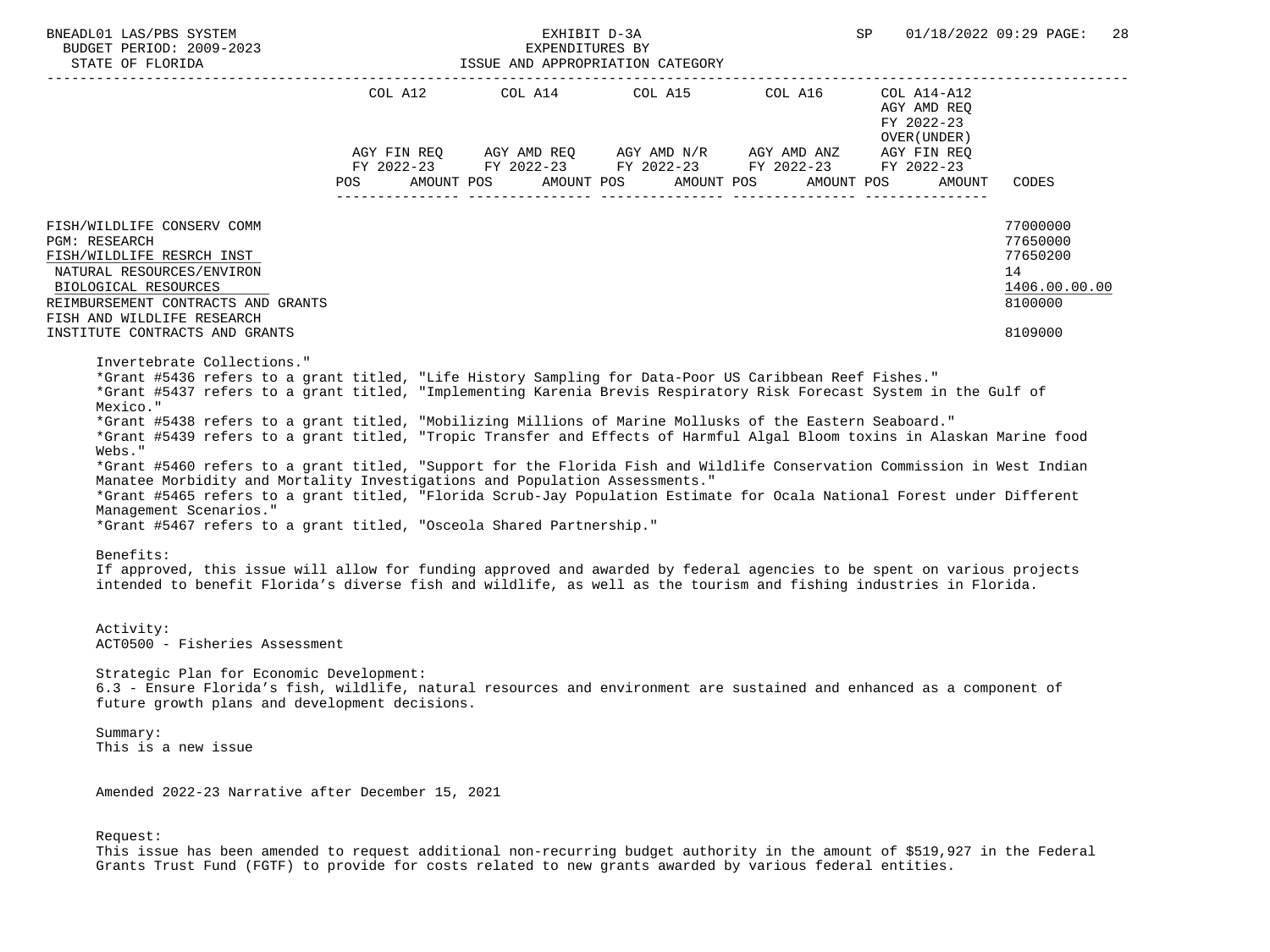| BNEADL01 LAS/PBS SYSTEM<br>BUDGET PERIOD: 2009-2023<br>STATE OF FLORIDA                                                                                                                                                                                                                                                                                                                                                                                                                                                                                                                                                                                                                                                                                                                                                                                                                                                                                                                                                                                                                                                                                                                                                         | ISSUE AND APPROPRIATION CATEGORY | EXHIBIT D-3A |                                                                                              | SP                                         | 01/18/2022 09:29 PAGE: 28                                                     |
|---------------------------------------------------------------------------------------------------------------------------------------------------------------------------------------------------------------------------------------------------------------------------------------------------------------------------------------------------------------------------------------------------------------------------------------------------------------------------------------------------------------------------------------------------------------------------------------------------------------------------------------------------------------------------------------------------------------------------------------------------------------------------------------------------------------------------------------------------------------------------------------------------------------------------------------------------------------------------------------------------------------------------------------------------------------------------------------------------------------------------------------------------------------------------------------------------------------------------------|----------------------------------|--------------|----------------------------------------------------------------------------------------------|--------------------------------------------|-------------------------------------------------------------------------------|
|                                                                                                                                                                                                                                                                                                                                                                                                                                                                                                                                                                                                                                                                                                                                                                                                                                                                                                                                                                                                                                                                                                                                                                                                                                 | POS DO                           |              | AGY FIN REQ AGY AMD REQ AGY AMD N/R AGY AMD ANZ AGY FIN REQ FY 2022-23 FY 2022-23 FY 2022-23 | AGY AMD REQ<br>FY 2022-23<br>OVER (UNDER ) |                                                                               |
|                                                                                                                                                                                                                                                                                                                                                                                                                                                                                                                                                                                                                                                                                                                                                                                                                                                                                                                                                                                                                                                                                                                                                                                                                                 |                                  |              | AMOUNT POS AMOUNT POS AMOUNT POS AMOUNT POS                                                  | AMOUNT                                     | CODES                                                                         |
| FISH/WILDLIFE CONSERV COMM<br><b>PGM: RESEARCH</b><br>FISH/WILDLIFE RESRCH INST<br>NATURAL RESOURCES/ENVIRON<br>BIOLOGICAL RESOURCES<br>REIMBURSEMENT CONTRACTS AND GRANTS<br>FISH AND WILDLIFE RESEARCH<br>INSTITUTE CONTRACTS AND GRANTS                                                                                                                                                                                                                                                                                                                                                                                                                                                                                                                                                                                                                                                                                                                                                                                                                                                                                                                                                                                      |                                  |              |                                                                                              |                                            | 77000000<br>77650000<br>77650200<br>14<br>1406.00.00.00<br>8100000<br>8109000 |
| Invertebrate Collections."<br>*Grant #5436 refers to a grant titled, "Life History Sampling for Data-Poor US Caribbean Reef Fishes."<br>*Grant #5437 refers to a grant titled, "Implementing Karenia Brevis Respiratory Risk Forecast System in the Gulf of<br>Mexico."<br>*Grant #5438 refers to a grant titled, "Mobilizing Millions of Marine Mollusks of the Eastern Seaboard."<br>*Grant #5439 refers to a grant titled, "Tropic Transfer and Effects of Harmful Algal Bloom toxins in Alaskan Marine food<br>Webs."<br>*Grant #5460 refers to a grant titled, "Support for the Florida Fish and Wildlife Conservation Commission in West Indian<br>Manatee Morbidity and Mortality Investigations and Population Assessments."<br>*Grant #5465 refers to a grant titled, "Florida Scrub-Jay Population Estimate for Ocala National Forest under Different<br>Management Scenarios."<br>*Grant #5467 refers to a grant titled, "Osceola Shared Partnership."<br>Benefits:<br>If approved, this issue will allow for funding approved and awarded by federal agencies to be spent on various projects<br>intended to benefit Florida's diverse fish and wildlife, as well as the tourism and fishing industries in Florida. |                                  |              |                                                                                              |                                            |                                                                               |
| Activity:<br>ACT0500 - Fisheries Assessment                                                                                                                                                                                                                                                                                                                                                                                                                                                                                                                                                                                                                                                                                                                                                                                                                                                                                                                                                                                                                                                                                                                                                                                     |                                  |              |                                                                                              |                                            |                                                                               |
| Strategic Plan for Economic Development:<br>6.3 - Ensure Florida's fish, wildlife, natural resources and environment are sustained and enhanced as a component of<br>future growth plans and development decisions.                                                                                                                                                                                                                                                                                                                                                                                                                                                                                                                                                                                                                                                                                                                                                                                                                                                                                                                                                                                                             |                                  |              |                                                                                              |                                            |                                                                               |
| Summary:<br>This is a new issue                                                                                                                                                                                                                                                                                                                                                                                                                                                                                                                                                                                                                                                                                                                                                                                                                                                                                                                                                                                                                                                                                                                                                                                                 |                                  |              |                                                                                              |                                            |                                                                               |
| Amended 2022-23 Narrative after December 15, 2021                                                                                                                                                                                                                                                                                                                                                                                                                                                                                                                                                                                                                                                                                                                                                                                                                                                                                                                                                                                                                                                                                                                                                                               |                                  |              |                                                                                              |                                            |                                                                               |

Request:

 This issue has been amended to request additional non-recurring budget authority in the amount of \$519,927 in the Federal Grants Trust Fund (FGTF) to provide for costs related to new grants awarded by various federal entities.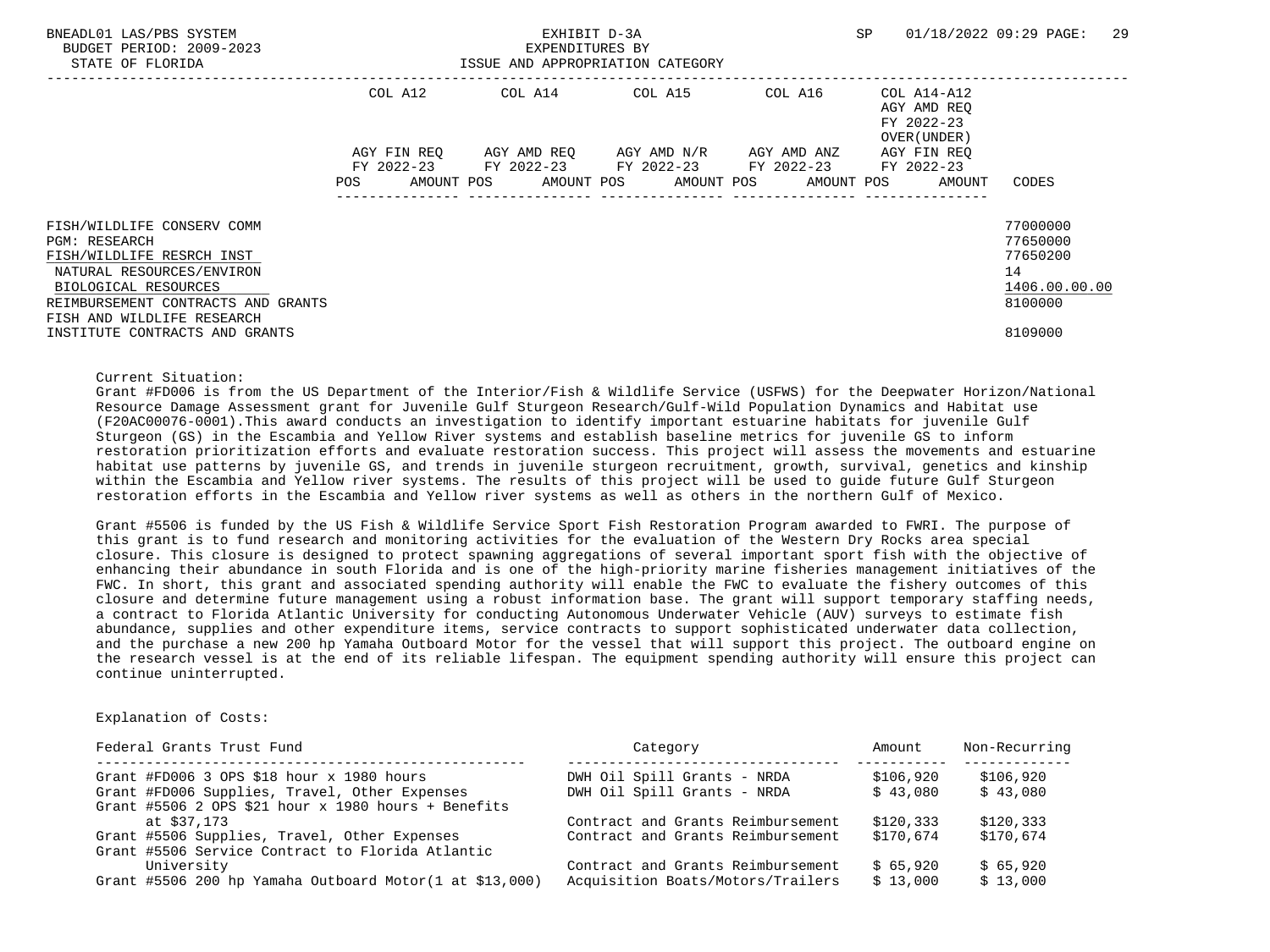STATE OF FLORIDA **ISSUE AND APPROPRIATION CATEGORY**  ----------------------------------------------------------------------------------------------------------------------------------- COL A12 COL A14 COL A15 COL A16 COL A14-A12<br>AGY AMD REO AGY AMD REQ FY 2022-23 OVER(UNDER) AGY FIN REQ AGY AMD REQ AGY AMD N/R AGY AMD ANZ AGY FIN REQ FY 2022-23 FY 2022-23 FY 2022-23 FY 2022-23 FY 2022-23 POS AMOUNT POS AMOUNT POS AMOUNT POS AMOUNT POS AMOUNT CODES --------------- --------------- --------------- --------------- --------------- FISH/WILDLIFE CONSERV COMM 77000000 PGM: RESEARCH 77650000 PGM: 20000 PGM: 20000 PGM: 20000 PGM: 20000 PGM: 20000 PGM: 20000 PGM: 20000 PGM: 20000 PGM: 20000 PGM: 20000 PGM: 20000 PGM: 20000 PGM: 20000 PGM: 20000 PGM: 20000 PGM: 20000 PGM: 20000 PGM: 20000 P FISH/WILDLIFE RESRCH INST 77650200 NATURAL RESOURCES/ENVIRON 14<br>BIOLOGICAL RESOURCES (ENVIRON 1406.00.00)  $\frac{\texttt{BIOLOGICAL RESOURCES}}{ \texttt{BIONSEMENT COMTRACTS} } \quad \frac{1406.00}{ \texttt{00000} } \quad \frac{1406.00}{ \texttt{00000} } \quad \frac{1406.00}{ \texttt{00000} } \quad \frac{1406.00}{ \texttt{00000} } \quad \frac{1406.00}{ \texttt{00000} } \quad \frac{1406.00}{ \texttt{00000} } \quad \frac{1406.00}{ \texttt{00000} } \quad \frac{1406.00}{ \texttt{00000}$ REIMBURSEMENT CONTRACTS AND GRANTS FISH AND WILDLIFE RESEARCH INSTITUTE CONTRACTS AND GRANTS 8109000

Current Situation:

 Grant #FD006 is from the US Department of the Interior/Fish & Wildlife Service (USFWS) for the Deepwater Horizon/National Resource Damage Assessment grant for Juvenile Gulf Sturgeon Research/Gulf-Wild Population Dynamics and Habitat use (F20AC00076-0001).This award conducts an investigation to identify important estuarine habitats for juvenile Gulf Sturgeon (GS) in the Escambia and Yellow River systems and establish baseline metrics for juvenile GS to inform restoration prioritization efforts and evaluate restoration success. This project will assess the movements and estuarine habitat use patterns by juvenile GS, and trends in juvenile sturgeon recruitment, growth, survival, genetics and kinship within the Escambia and Yellow river systems. The results of this project will be used to guide future Gulf Sturgeon restoration efforts in the Escambia and Yellow river systems as well as others in the northern Gulf of Mexico.

 Grant #5506 is funded by the US Fish & Wildlife Service Sport Fish Restoration Program awarded to FWRI. The purpose of this grant is to fund research and monitoring activities for the evaluation of the Western Dry Rocks area special closure. This closure is designed to protect spawning aggregations of several important sport fish with the objective of enhancing their abundance in south Florida and is one of the high-priority marine fisheries management initiatives of the FWC. In short, this grant and associated spending authority will enable the FWC to evaluate the fishery outcomes of this closure and determine future management using a robust information base. The grant will support temporary staffing needs, a contract to Florida Atlantic University for conducting Autonomous Underwater Vehicle (AUV) surveys to estimate fish abundance, supplies and other expenditure items, service contracts to support sophisticated underwater data collection, and the purchase a new 200 hp Yamaha Outboard Motor for the vessel that will support this project. The outboard engine on the research vessel is at the end of its reliable lifespan. The equipment spending authority will ensure this project can continue uninterrupted.

| Federal Grants Trust Fund                                                                        | Category                          | Amount    | Non-Recurring |
|--------------------------------------------------------------------------------------------------|-----------------------------------|-----------|---------------|
| Grant #FD006 3 OPS \$18 hour $x$ 1980 hours                                                      | DWH Oil Spill Grants - NRDA       | \$106,920 | \$106,920     |
| Grant #FD006 Supplies, Travel, Other Expenses                                                    | DWH Oil Spill Grants - NRDA       | \$43.080  | \$43,080      |
| Grant #5506 2 OPS \$21 hour x 1980 hours + Benefits                                              |                                   |           |               |
| at \$37.173                                                                                      | Contract and Grants Reimbursement | \$120.333 | \$120,333     |
| Grant #5506 Supplies, Travel, Other Expenses<br>Grant #5506 Service Contract to Florida Atlantic | Contract and Grants Reimbursement | \$170,674 | \$170,674     |
| University                                                                                       | Contract and Grants Reimbursement | \$ 65,920 | \$65,920      |
| Grant #5506 200 hp Yamaha Outboard Motor $(1$ at \$13,000)                                       | Acquisition Boats/Motors/Trailers | \$13,000  | \$13,000      |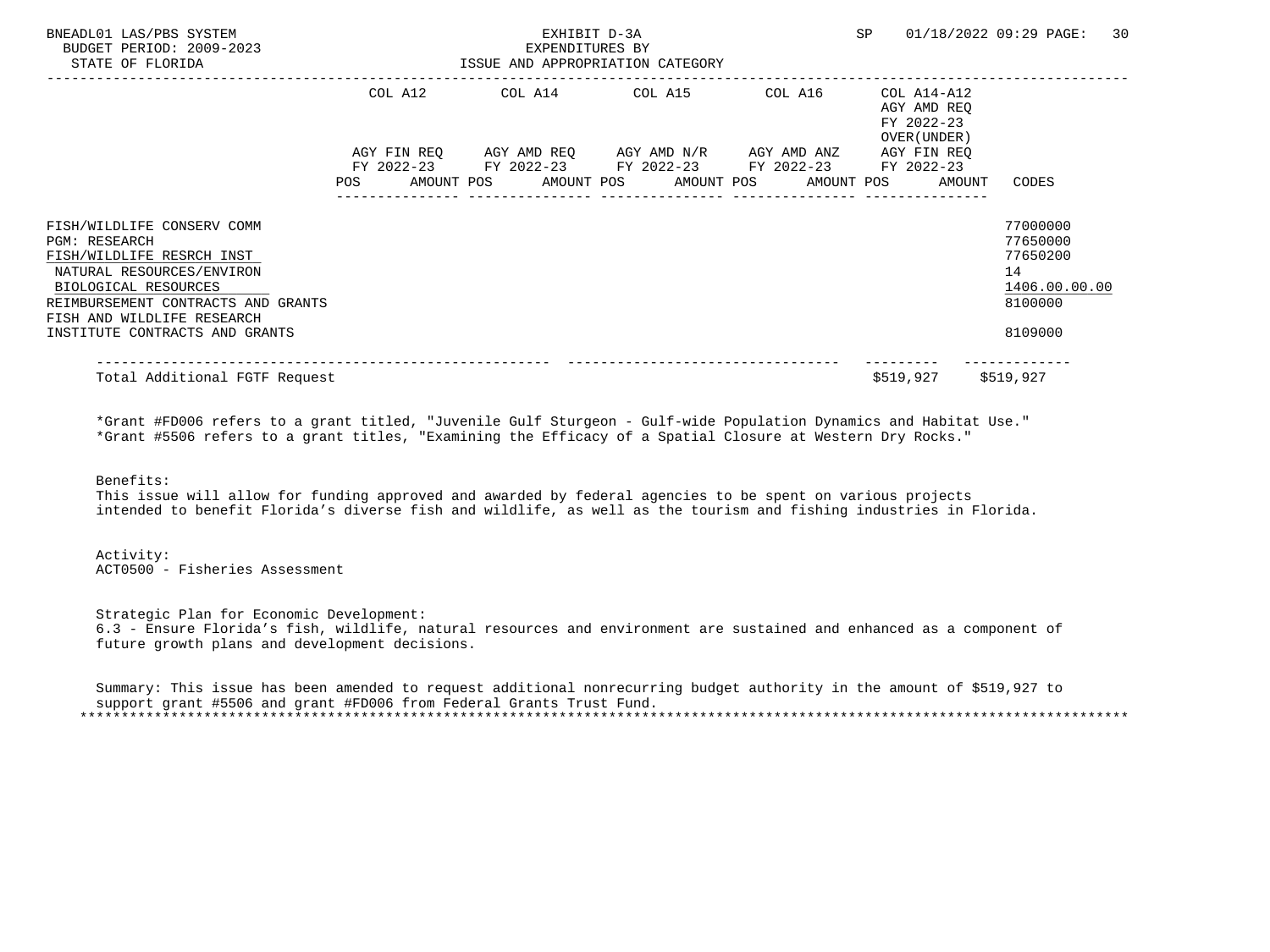| BNEADL01 LAS/PBS SYSTEM<br>BUDGET PERIOD: 2009-2023<br>STATE OF FLORIDA                                                                                                                                  |                    |  | EXHIBIT D-3A<br>EXPENDITURES BY | ISSUE AND APPROPRIATION CATEGORY                                                                                                  |            | SP | 01/18/2022 09:29 PAGE:                                   |                                                   |               | 30 |
|----------------------------------------------------------------------------------------------------------------------------------------------------------------------------------------------------------|--------------------|--|---------------------------------|-----------------------------------------------------------------------------------------------------------------------------------|------------|----|----------------------------------------------------------|---------------------------------------------------|---------------|----|
|                                                                                                                                                                                                          | COL A12            |  |                                 | COL A14 COL A15                                                                                                                   | COL A16    |    | COL A14-A12<br>AGY AMD REO<br>FY 2022-23<br>OVER (UNDER) |                                                   |               |    |
|                                                                                                                                                                                                          | AGY FIN REO<br>POS |  |                                 | AGY AMD REQ AGY AMD N/R AGY AMD ANZ<br>FY 2022-23 FY 2022-23 FY 2022-23 FY 2022-23 FY 2022-23<br>AMOUNT POS AMOUNT POS AMOUNT POS | AMOUNT POS |    | AGY FIN REO<br>AMOUNT                                    | CODES                                             |               |    |
| FISH/WILDLIFE CONSERV COMM<br><b>PGM: RESEARCH</b><br>FISH/WILDLIFE RESRCH INST<br>NATURAL RESOURCES/ENVIRON<br>BIOLOGICAL RESOURCES<br>REIMBURSEMENT CONTRACTS AND GRANTS<br>FISH AND WILDLIFE RESEARCH |                    |  |                                 |                                                                                                                                   |            |    |                                                          | 77000000<br>77650000<br>77650200<br>14<br>8100000 | 1406.00.00.00 |    |
| INSTITUTE CONTRACTS AND GRANTS<br>Total Additional FGTF Request                                                                                                                                          |                    |  |                                 |                                                                                                                                   |            |    | \$519,927                                                | 8109000<br>\$519,927                              |               |    |

 \*Grant #FD006 refers to a grant titled, "Juvenile Gulf Sturgeon - Gulf-wide Population Dynamics and Habitat Use." \*Grant #5506 refers to a grant titles, "Examining the Efficacy of a Spatial Closure at Western Dry Rocks."

#### Benefits:

 This issue will allow for funding approved and awarded by federal agencies to be spent on various projects intended to benefit Florida's diverse fish and wildlife, as well as the tourism and fishing industries in Florida.

#### Activity: ACT0500 - Fisheries Assessment

 Strategic Plan for Economic Development: 6.3 - Ensure Florida's fish, wildlife, natural resources and environment are sustained and enhanced as a component of future growth plans and development decisions.

|  |  |  |  |  | Summary: This issue has been amended to request additional nonrecurring budget authority in the amount of \$519,927 to |  |  |  |  |
|--|--|--|--|--|------------------------------------------------------------------------------------------------------------------------|--|--|--|--|
|  |  |  |  |  | support grant #5506 and grant #FD006 from Federal Grants Trust Fund.                                                   |  |  |  |  |
|  |  |  |  |  |                                                                                                                        |  |  |  |  |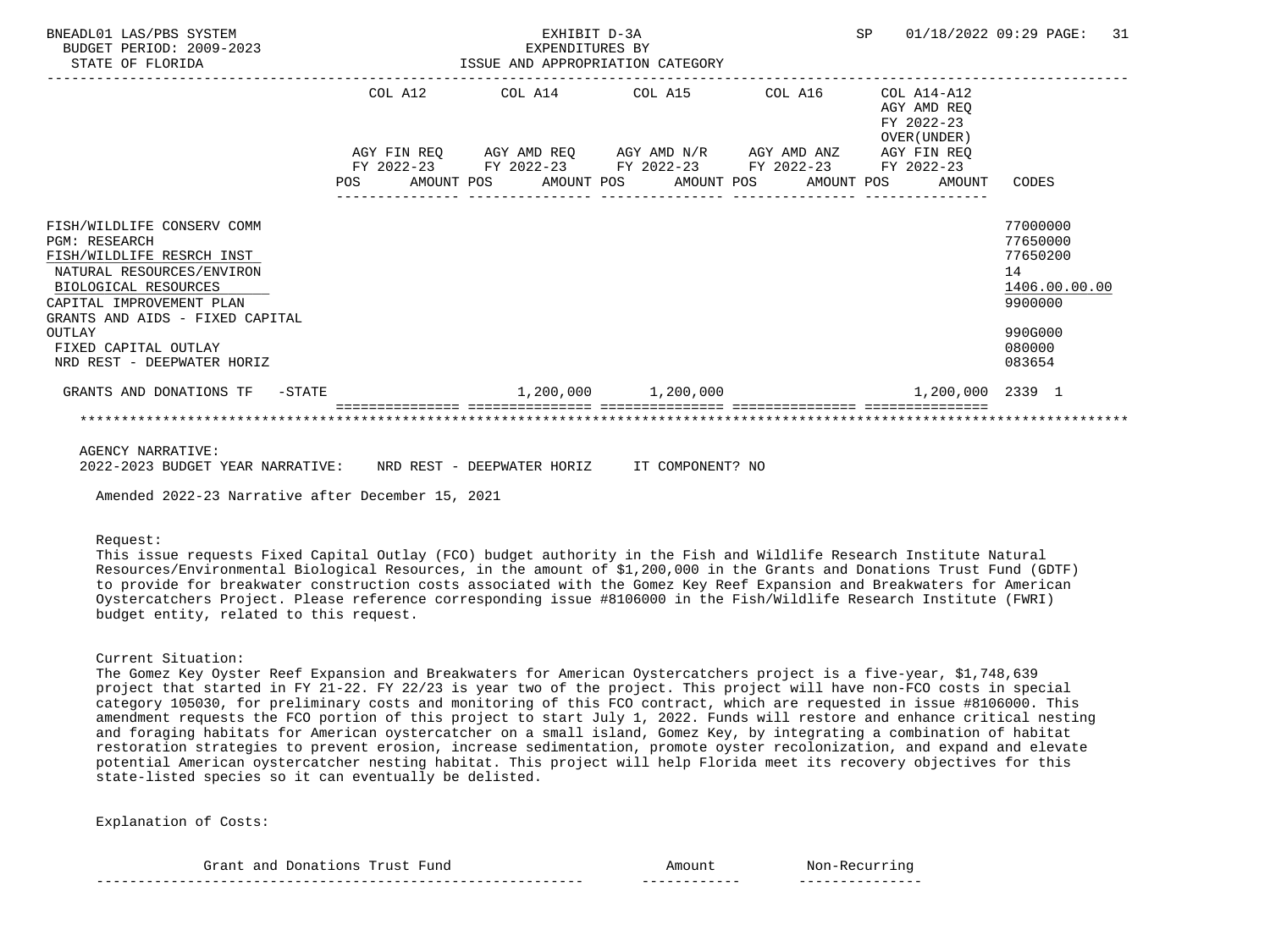| BNEADL01 LAS/PBS SYSTEM<br>BUDGET PERIOD: 2009-2023<br>STATE OF FLORIDA                                                                                                                                                                                             |     |         | EXHIBIT D-3A<br>EXPENDITURES BY<br>EXPENDITURES BY<br>ISSUE AND APPROPRIATION CATEGORY                                                                               |  |  |                                                               | SP 01/18/2022 09:29 PAGE: 31                                                                      |  |
|---------------------------------------------------------------------------------------------------------------------------------------------------------------------------------------------------------------------------------------------------------------------|-----|---------|----------------------------------------------------------------------------------------------------------------------------------------------------------------------|--|--|---------------------------------------------------------------|---------------------------------------------------------------------------------------------------|--|
|                                                                                                                                                                                                                                                                     |     | COL A12 | COL A14 COL A15 COL A16                                                                                                                                              |  |  | $COL A14 - A12$<br>AGY AMD REO<br>FY 2022-23<br>OVER (UNDER ) |                                                                                                   |  |
|                                                                                                                                                                                                                                                                     | POS |         | AGY FIN REQ AGY AMD REQ AGY AMD N/R AGY AMD ANZ AGY FIN REQ<br>FY 2022-23 FY 2022-23 FY 2022-23 FY 2022-23 FY 2022-23<br>AMOUNT POS AMOUNT POS AMOUNT POS AMOUNT POS |  |  | AMOUNT                                                        | CODES                                                                                             |  |
| FISH/WILDLIFE CONSERV COMM<br><b>PGM: RESEARCH</b><br>FISH/WILDLIFE RESRCH INST<br>NATURAL RESOURCES/ENVIRON<br>BIOLOGICAL RESOURCES<br>CAPITAL IMPROVEMENT PLAN<br>GRANTS AND AIDS - FIXED CAPITAL<br>OUTLAY<br>FIXED CAPITAL OUTLAY<br>NRD REST - DEEPWATER HORIZ |     |         |                                                                                                                                                                      |  |  |                                                               | 77000000<br>77650000<br>77650200<br>14<br>1406.00.00.00<br>9900000<br>990G000<br>080000<br>083654 |  |
| GRANTS AND DONATIONS TF -STATE                                                                                                                                                                                                                                      |     |         | $1,200,000$ $1,200,000$                                                                                                                                              |  |  | 1,200,000 2339 1                                              |                                                                                                   |  |
|                                                                                                                                                                                                                                                                     |     |         |                                                                                                                                                                      |  |  |                                                               |                                                                                                   |  |

AGENCY NARRATIVE:

2022-2023 BUDGET YEAR NARRATIVE: NRD REST - DEEPWATER HORIZ IT COMPONENT? NO

Amended 2022-23 Narrative after December 15, 2021

#### Request:

 This issue requests Fixed Capital Outlay (FCO) budget authority in the Fish and Wildlife Research Institute Natural Resources/Environmental Biological Resources, in the amount of \$1,200,000 in the Grants and Donations Trust Fund (GDTF) to provide for breakwater construction costs associated with the Gomez Key Reef Expansion and Breakwaters for American Oystercatchers Project. Please reference corresponding issue #8106000 in the Fish/Wildlife Research Institute (FWRI) budget entity, related to this request.

#### Current Situation:

 The Gomez Key Oyster Reef Expansion and Breakwaters for American Oystercatchers project is a five-year, \$1,748,639 project that started in FY 21-22. FY 22/23 is year two of the project. This project will have non-FCO costs in special category 105030, for preliminary costs and monitoring of this FCO contract, which are requested in issue #8106000. This amendment requests the FCO portion of this project to start July 1, 2022. Funds will restore and enhance critical nesting and foraging habitats for American oystercatcher on a small island, Gomez Key, by integrating a combination of habitat restoration strategies to prevent erosion, increase sedimentation, promote oyster recolonization, and expand and elevate potential American oystercatcher nesting habitat. This project will help Florida meet its recovery objectives for this state-listed species so it can eventually be delisted.

| _____<br>__                                                            | ------------  | $ -$      |
|------------------------------------------------------------------------|---------------|-----------|
| Grant<br>7una<br>$T^{\prime}$ respected to $\pm$<br>anc<br>ons<br>Dona | Amoun.<br>___ | N∩r<br>nc |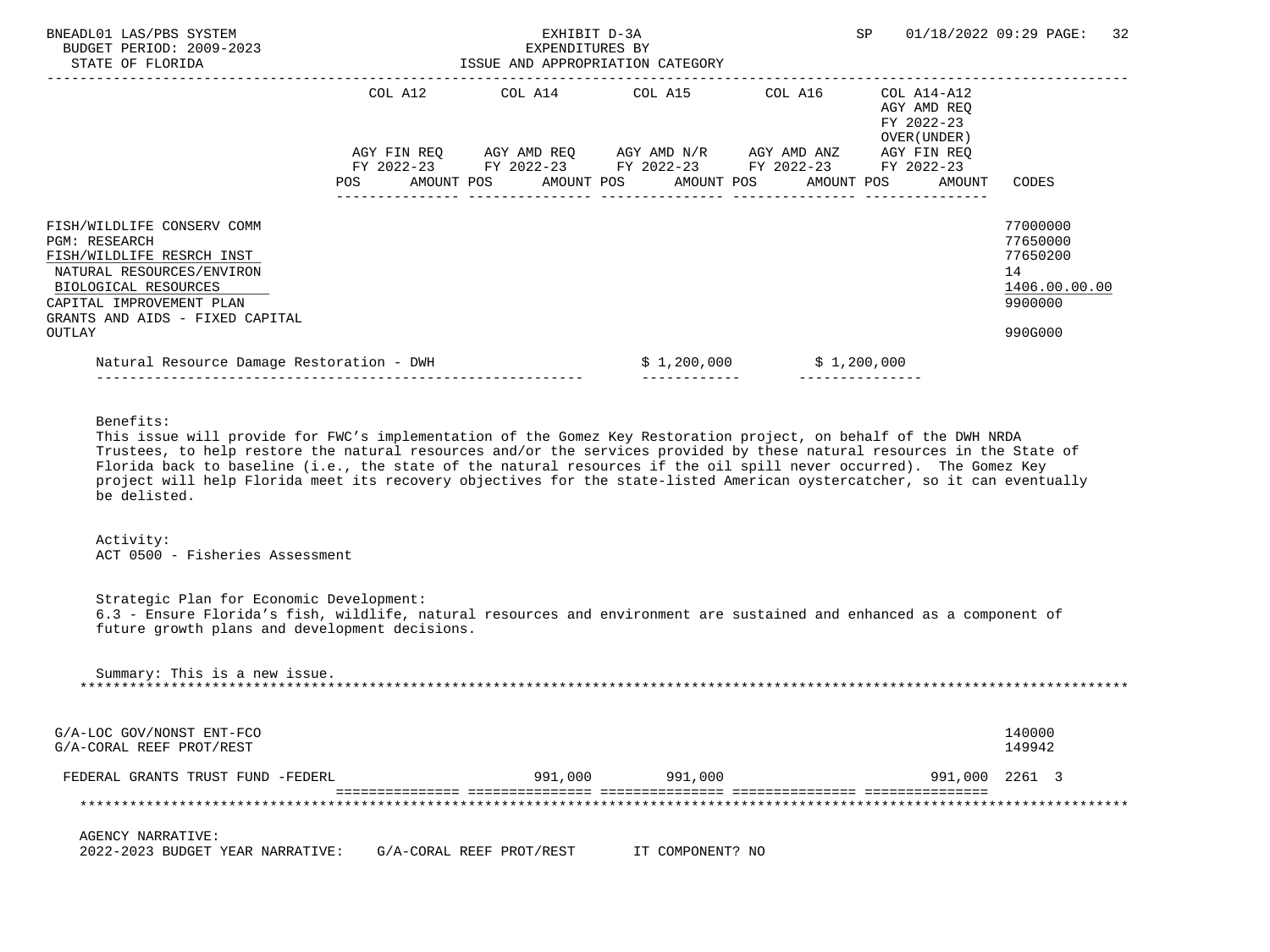| BNEADL01 LAS/PBS SYSTEM<br>BUDGET PERIOD: 2009-2023<br>STATE OF FLORIDA                                                                                                                                       | ISSUE AND APPROPRIATION CATEGORY<br>--------------- | EXHIBIT D-3A<br>EXPENDITURES BY |                                                                                                                                                                      |                           | SP                                                        | 01/18/2022 09:29 PAGE:<br>32                                                  |
|---------------------------------------------------------------------------------------------------------------------------------------------------------------------------------------------------------------|-----------------------------------------------------|---------------------------------|----------------------------------------------------------------------------------------------------------------------------------------------------------------------|---------------------------|-----------------------------------------------------------|-------------------------------------------------------------------------------|
|                                                                                                                                                                                                               |                                                     |                                 | --------------<br>COL A12 COL A14 COL A15 COL A16                                                                                                                    |                           | COL A14-A12<br>AGY AMD REO<br>FY 2022-23<br>OVER (UNDER ) |                                                                               |
|                                                                                                                                                                                                               | POS                                                 |                                 | AGY FIN REQ AGY AMD REQ AGY AMD N/R AGY AMD ANZ AGY FIN REQ<br>FY 2022-23 FY 2022-23 FY 2022-23 FY 2022-23 FY 2022-23<br>AMOUNT POS AMOUNT POS AMOUNT POS AMOUNT POS |                           | AMOUNT                                                    | CODES                                                                         |
| FISH/WILDLIFE CONSERV COMM<br><b>PGM: RESEARCH</b><br>FISH/WILDLIFE RESRCH INST<br>NATURAL RESOURCES/ENVIRON<br>BIOLOGICAL RESOURCES<br>CAPITAL IMPROVEMENT PLAN<br>GRANTS AND AIDS - FIXED CAPITAL<br>OUTLAY |                                                     |                                 |                                                                                                                                                                      |                           |                                                           | 77000000<br>77650000<br>77650200<br>14<br>1406.00.00.00<br>9900000<br>990G000 |
| Natural Resource Damage Restoration - DWH                                                                                                                                                                     |                                                     |                                 |                                                                                                                                                                      | $$1,200,000$ $$1,200,000$ |                                                           |                                                                               |
| $\sim$ $\sim$ $\sim$ $\sim$ $\sim$ $\sim$ $\sim$                                                                                                                                                              |                                                     |                                 |                                                                                                                                                                      |                           |                                                           |                                                                               |

Benefits:

 This issue will provide for FWC's implementation of the Gomez Key Restoration project, on behalf of the DWH NRDA Trustees, to help restore the natural resources and/or the services provided by these natural resources in the State of Florida back to baseline (i.e., the state of the natural resources if the oil spill never occurred). The Gomez Key project will help Florida meet its recovery objectives for the state-listed American oystercatcher, so it can eventually be delisted.

 Activity: ACT 0500 - Fisheries Assessment

 Strategic Plan for Economic Development: 6.3 - Ensure Florida's fish, wildlife, natural resources and environment are sustained and enhanced as a component of future growth plans and development decisions.

 Summary: This is a new issue. \*\*\*\*\*\*\*\*\*\*\*\*\*\*\*\*\*\*\*\*\*\*\*\*\*\*\*\*\*\*\*\*\*\*\*\*\*\*\*\*\*\*\*\*\*\*\*\*\*\*\*\*\*\*\*\*\*\*\*\*\*\*\*\*\*\*\*\*\*\*\*\*\*\*\*\*\*\*\*\*\*\*\*\*\*\*\*\*\*\*\*\*\*\*\*\*\*\*\*\*\*\*\*\*\*\*\*\*\*\*\*\*\*\*\*\*\*\*\*\*\*\*\*\*\*\*\* G/A-LOC GOV/NONST ENT-FCO 140000<br>G/A-CORAL REEF PROT/REST 149942 G/A-CORAL REEF PROT/REST FEDERAL GRANTS TRUST FUND -FEDERL 991,000 991,000 991,000 2261 3 =============== =============== =============== =============== =============== \*\*\*\*\*\*\*\*\*\*\*\*\*\*\*\*\*\*\*\*\*\*\*\*\*\*\*\*\*\*\*\*\*\*\*\*\*\*\*\*\*\*\*\*\*\*\*\*\*\*\*\*\*\*\*\*\*\*\*\*\*\*\*\*\*\*\*\*\*\*\*\*\*\*\*\*\*\*\*\*\*\*\*\*\*\*\*\*\*\*\*\*\*\*\*\*\*\*\*\*\*\*\*\*\*\*\*\*\*\*\*\*\*\*\*\*\*\*\*\*\*\*\*\*\*\*\* AGENCY NARRATIVE:

2022-2023 BUDGET YEAR NARRATIVE: G/A-CORAL REEF PROT/REST IT COMPONENT? NO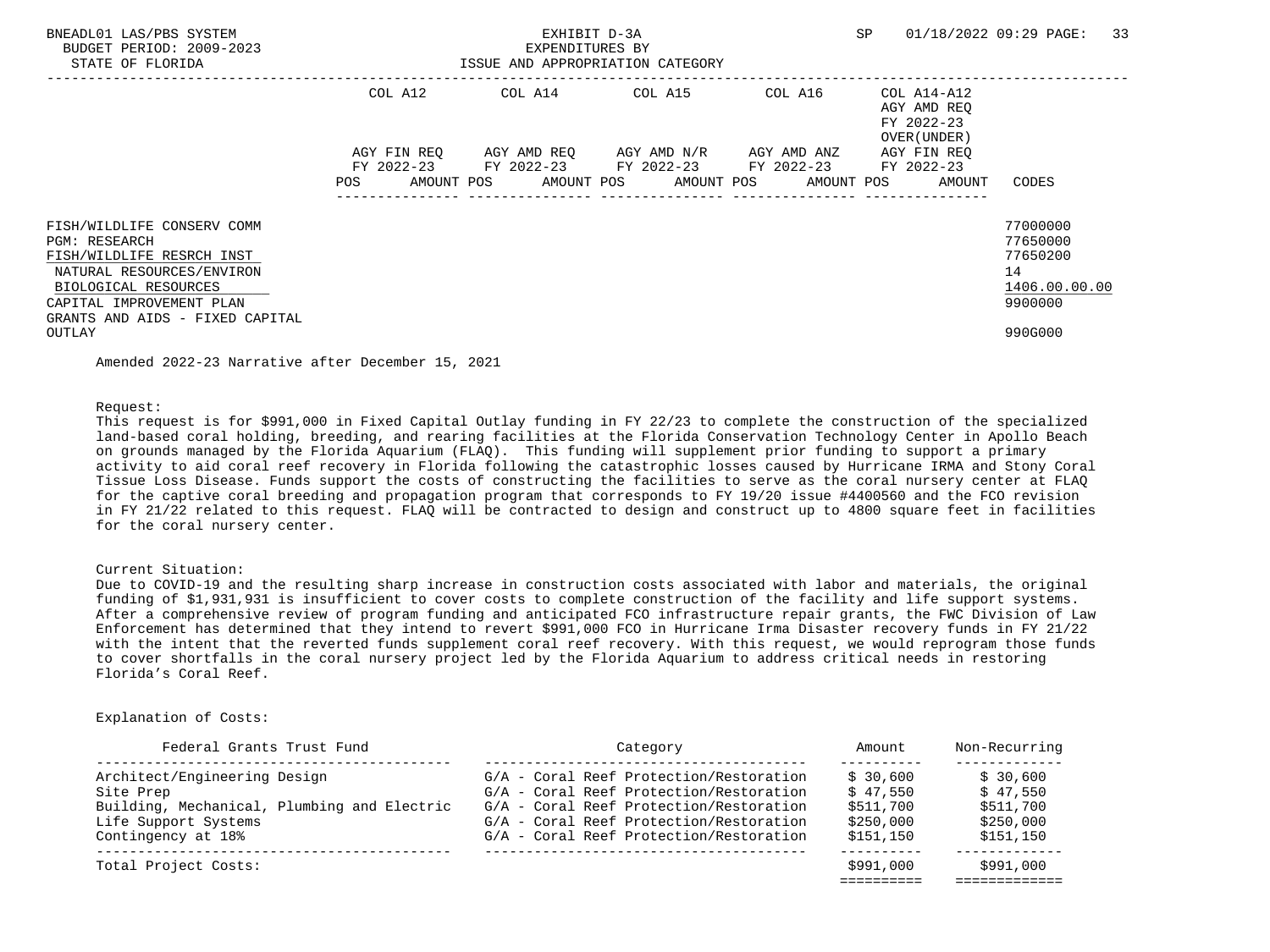| BNEADL01 LAS/PBS SYSTEM<br>BUDGET PERIOD: 2009-2023<br>STATE OF FLORIDA |             | EXHIBIT D-3A<br>EXPENDITURES BY | ISSUE AND APPROPRIATION CATEGORY                |         | SP                                                       | 33<br>01/18/2022 09:29 PAGE: |
|-------------------------------------------------------------------------|-------------|---------------------------------|-------------------------------------------------|---------|----------------------------------------------------------|------------------------------|
|                                                                         | COL A12     |                                 | COL A14 COL A15                                 | COL A16 | COL A14-A12<br>AGY AMD REO<br>FY 2022-23<br>OVER (UNDER) |                              |
|                                                                         | AGY FIN REO |                                 | AGY AMD REQ       AGY AMD N/R       AGY AMD ANZ |         | AGY FIN REO                                              |                              |
|                                                                         |             |                                 | FY 2022-23 FY 2022-23 FY 2022-23 FY 2022-23     |         | FY 2022-23                                               |                              |
|                                                                         | <b>POS</b>  |                                 |                                                 |         | AMOUNT POS AMOUNT POS AMOUNT POS AMOUNT POS AMOUNT       | CODES                        |
| FISH/WILDLIFE CONSERV COMM                                              |             |                                 |                                                 |         |                                                          | 77000000                     |
| <b>PGM: RESEARCH</b>                                                    |             |                                 |                                                 |         |                                                          | 77650000                     |
| FISH/WILDLIFE RESRCH INST                                               |             |                                 |                                                 |         |                                                          | 77650200                     |
| NATURAL RESOURCES/ENVIRON                                               |             |                                 |                                                 |         |                                                          | 14                           |
| BIOLOGICAL RESOURCES                                                    |             |                                 |                                                 |         |                                                          | 1406.00.00.00                |
| CAPITAL IMPROVEMENT PLAN<br>GRANTS AND AIDS - FIXED CAPITAL             |             |                                 |                                                 |         |                                                          | 9900000                      |
| OUTLAY                                                                  |             |                                 |                                                 |         |                                                          | 990G000                      |

Amended 2022-23 Narrative after December 15, 2021

Request:

 This request is for \$991,000 in Fixed Capital Outlay funding in FY 22/23 to complete the construction of the specialized land-based coral holding, breeding, and rearing facilities at the Florida Conservation Technology Center in Apollo Beach on grounds managed by the Florida Aquarium (FLAQ). This funding will supplement prior funding to support a primary activity to aid coral reef recovery in Florida following the catastrophic losses caused by Hurricane IRMA and Stony Coral Tissue Loss Disease. Funds support the costs of constructing the facilities to serve as the coral nursery center at FLAQ for the captive coral breeding and propagation program that corresponds to FY 19/20 issue #4400560 and the FCO revision in FY 21/22 related to this request. FLAQ will be contracted to design and construct up to 4800 square feet in facilities for the coral nursery center.

#### Current Situation:

 Due to COVID-19 and the resulting sharp increase in construction costs associated with labor and materials, the original funding of \$1,931,931 is insufficient to cover costs to complete construction of the facility and life support systems. After a comprehensive review of program funding and anticipated FCO infrastructure repair grants, the FWC Division of Law Enforcement has determined that they intend to revert \$991,000 FCO in Hurricane Irma Disaster recovery funds in FY 21/22 with the intent that the reverted funds supplement coral reef recovery. With this request, we would reprogram those funds to cover shortfalls in the coral nursery project led by the Florida Aquarium to address critical needs in restoring Florida's Coral Reef.

| Federal Grants Trust Fund                   | Category                                | Amount    | Non-Recurring |
|---------------------------------------------|-----------------------------------------|-----------|---------------|
| Architect/Engineering Design                | G/A - Coral Reef Protection/Restoration | \$30.600  | \$30,600      |
| Site Prep                                   | G/A - Coral Reef Protection/Restoration | \$47.550  | \$47.550      |
| Building, Mechanical, Plumbing and Electric | G/A - Coral Reef Protection/Restoration | \$511,700 | \$511,700     |
| Life Support Systems                        | G/A - Coral Reef Protection/Restoration | \$250,000 | \$250,000     |
| Contingency at 18%                          | G/A - Coral Reef Protection/Restoration | \$151,150 | \$151,150     |
| Total Project Costs:                        |                                         | \$991,000 | \$991,000     |
|                                             |                                         |           |               |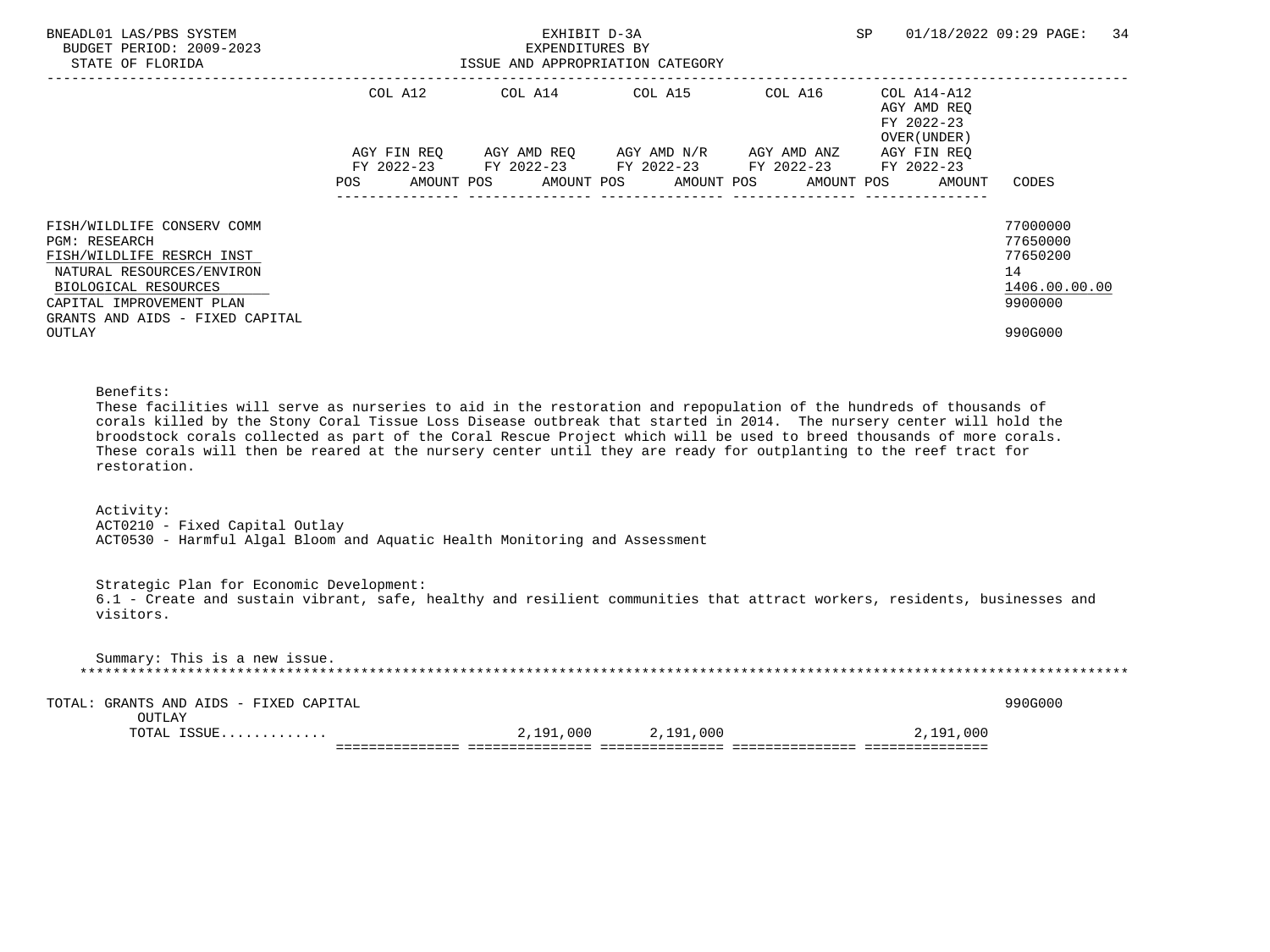| BNEADL01 LAS/PBS SYSTEM<br>BUDGET PERIOD: 2009-2023<br>STATE OF FLORIDA                                                                                                                                                                                                                                                                                                                                                                                                                                                |                               | EXPENDITURES BY       | EXHIBIT D-3A<br>ISSUE AND APPROPRIATION CATEGORY |                                                                                                                                                                    | SP                                                  | 01/18/2022 09:29 PAGE:<br>34                                                  |  |  |  |  |  |
|------------------------------------------------------------------------------------------------------------------------------------------------------------------------------------------------------------------------------------------------------------------------------------------------------------------------------------------------------------------------------------------------------------------------------------------------------------------------------------------------------------------------|-------------------------------|-----------------------|--------------------------------------------------|--------------------------------------------------------------------------------------------------------------------------------------------------------------------|-----------------------------------------------------|-------------------------------------------------------------------------------|--|--|--|--|--|
|                                                                                                                                                                                                                                                                                                                                                                                                                                                                                                                        | COL A12<br>AMOUNT POS<br>POS. | COL A14<br>AMOUNT POS | AMOUNT POS                                       | COL A15 COL A16 COL A14-A12<br>AGY FIN REQ AGY AMD REQ AGY AMD N/R AGY AMD ANZ AGY FIN REQ<br>FY 2022-23 FY 2022-23 FY 2022-23 FY 2022-23 FY 2022-23<br>AMOUNT POS | AGY AMD REO<br>FY 2022-23<br>OVER (UNDER)<br>AMOUNT | CODES                                                                         |  |  |  |  |  |
| FISH/WILDLIFE CONSERV COMM<br><b>PGM: RESEARCH</b><br>FISH/WILDLIFE RESRCH INST<br>NATURAL RESOURCES/ENVIRON<br>BIOLOGICAL RESOURCES<br>CAPITAL IMPROVEMENT PLAN<br>GRANTS AND AIDS - FIXED CAPITAL<br>OUTLAY                                                                                                                                                                                                                                                                                                          |                               |                       |                                                  |                                                                                                                                                                    |                                                     | 77000000<br>77650000<br>77650200<br>14<br>1406.00.00.00<br>9900000<br>990G000 |  |  |  |  |  |
| Benefits:<br>These facilities will serve as nurseries to aid in the restoration and repopulation of the hundreds of thousands of<br>corals killed by the Stony Coral Tissue Loss Disease outbreak that started in 2014. The nursery center will hold the<br>broodstock corals collected as part of the Coral Rescue Project which will be used to breed thousands of more corals.<br>These corals will then be reared at the nursery center until they are ready for outplanting to the reef tract for<br>restoration. |                               |                       |                                                  |                                                                                                                                                                    |                                                     |                                                                               |  |  |  |  |  |
| Activity:<br>ACT0210 - Fixed Capital Outlay<br>ACT0530 - Harmful Algal Bloom and Aquatic Health Monitoring and Assessment                                                                                                                                                                                                                                                                                                                                                                                              |                               |                       |                                                  |                                                                                                                                                                    |                                                     |                                                                               |  |  |  |  |  |
| Strategic Plan for Economic Development:<br>6.1 - Create and sustain vibrant, safe, healthy and resilient communities that attract workers, residents, businesses and<br>visitors.                                                                                                                                                                                                                                                                                                                                     |                               |                       |                                                  |                                                                                                                                                                    |                                                     |                                                                               |  |  |  |  |  |
| Summary: This is a new issue.                                                                                                                                                                                                                                                                                                                                                                                                                                                                                          |                               |                       |                                                  |                                                                                                                                                                    |                                                     |                                                                               |  |  |  |  |  |

 TOTAL: GRANTS AND AIDS - FIXED CAPITAL 990G000 OUTLAY TOTAL ISSUE............. 2,191,000 2,191,000 2,191,000 =============== =============== =============== =============== ===============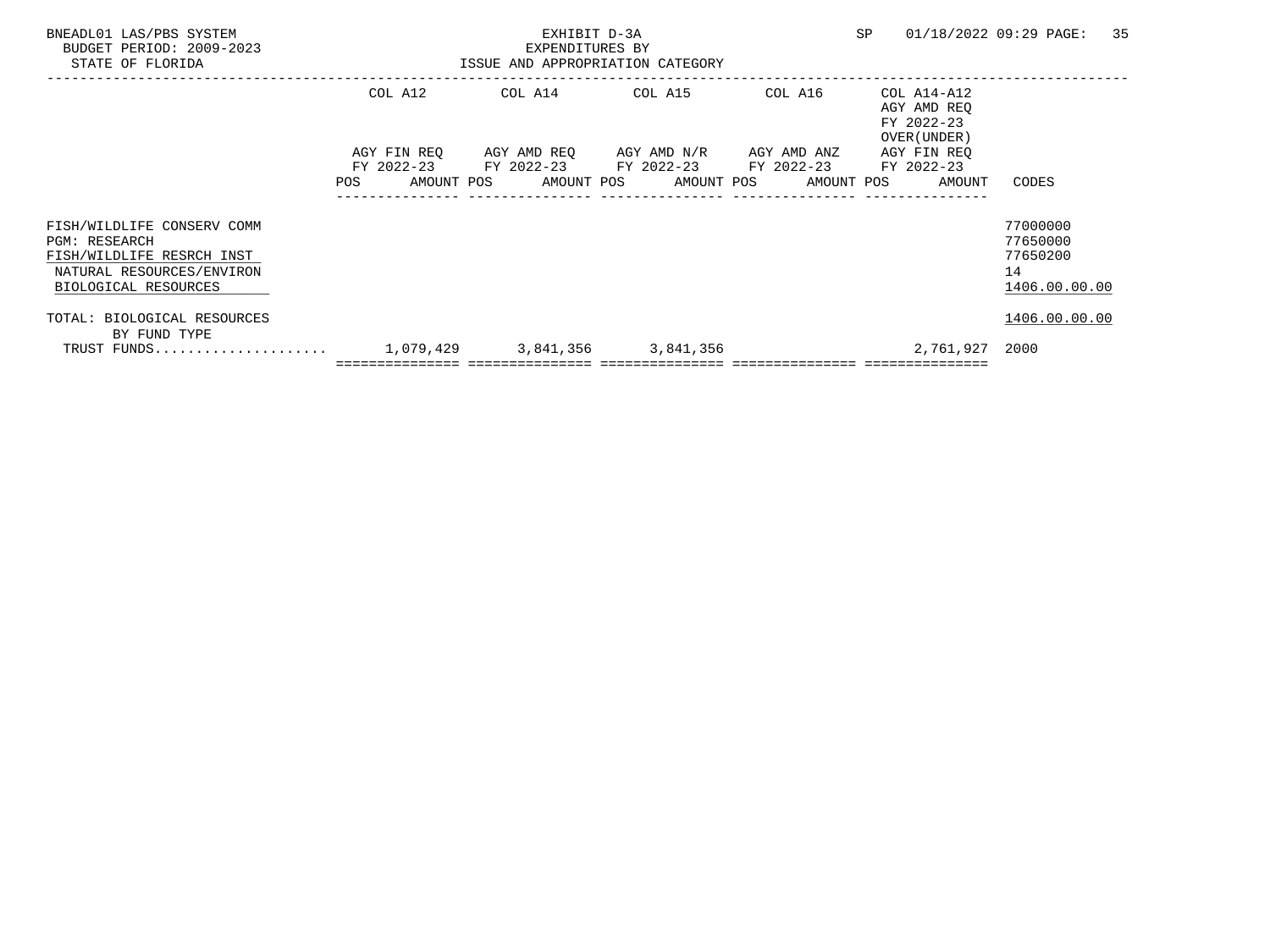| BNEADL01 LAS/PBS SYSTEM<br>BUDGET PERIOD: 2009-2023<br>STATE OF FLORIDA                                                              |     |                                         | EXHIBIT D-3A<br>EXPENDITURES BY | ISSUE AND APPROPRIATION CATEGORY                                                                 |            | <b>SP</b> |                                                          | 01/18/2022 09:29 PAGE:                                  | 35 |
|--------------------------------------------------------------------------------------------------------------------------------------|-----|-----------------------------------------|---------------------------------|--------------------------------------------------------------------------------------------------|------------|-----------|----------------------------------------------------------|---------------------------------------------------------|----|
|                                                                                                                                      |     | COL A12                                 |                                 | COL A14 COL A15                                                                                  | COL A16    |           | COL A14-A12<br>AGY AMD REO<br>FY 2022-23<br>OVER (UNDER) |                                                         |    |
|                                                                                                                                      | POS | AGY FIN REO<br>FY 2022-23<br>AMOUNT POS |                                 | AGY AMD REO AGY AMD N/R AGY AMD ANZ<br>FY 2022-23 FY 2022-23 FY 2022-23<br>AMOUNT POS AMOUNT POS | AMOUNT POS |           | AGY FIN REO<br>FY 2022-23<br>AMOUNT                      | CODES                                                   |    |
| FISH/WILDLIFE CONSERV COMM<br><b>PGM: RESEARCH</b><br>FISH/WILDLIFE RESRCH INST<br>NATURAL RESOURCES/ENVIRON<br>BIOLOGICAL RESOURCES |     |                                         |                                 |                                                                                                  |            |           |                                                          | 77000000<br>77650000<br>77650200<br>14<br>1406.00.00.00 |    |
| TOTAL: BIOLOGICAL RESOURCES<br>BY FUND TYPE<br>TRUST FUNDS                                                                           |     |                                         |                                 | 1,079,429 3,841,356 3,841,356                                                                    |            |           | 2,761,927 2000                                           | 1406.00.00.00                                           |    |
|                                                                                                                                      |     |                                         |                                 |                                                                                                  |            |           |                                                          |                                                         |    |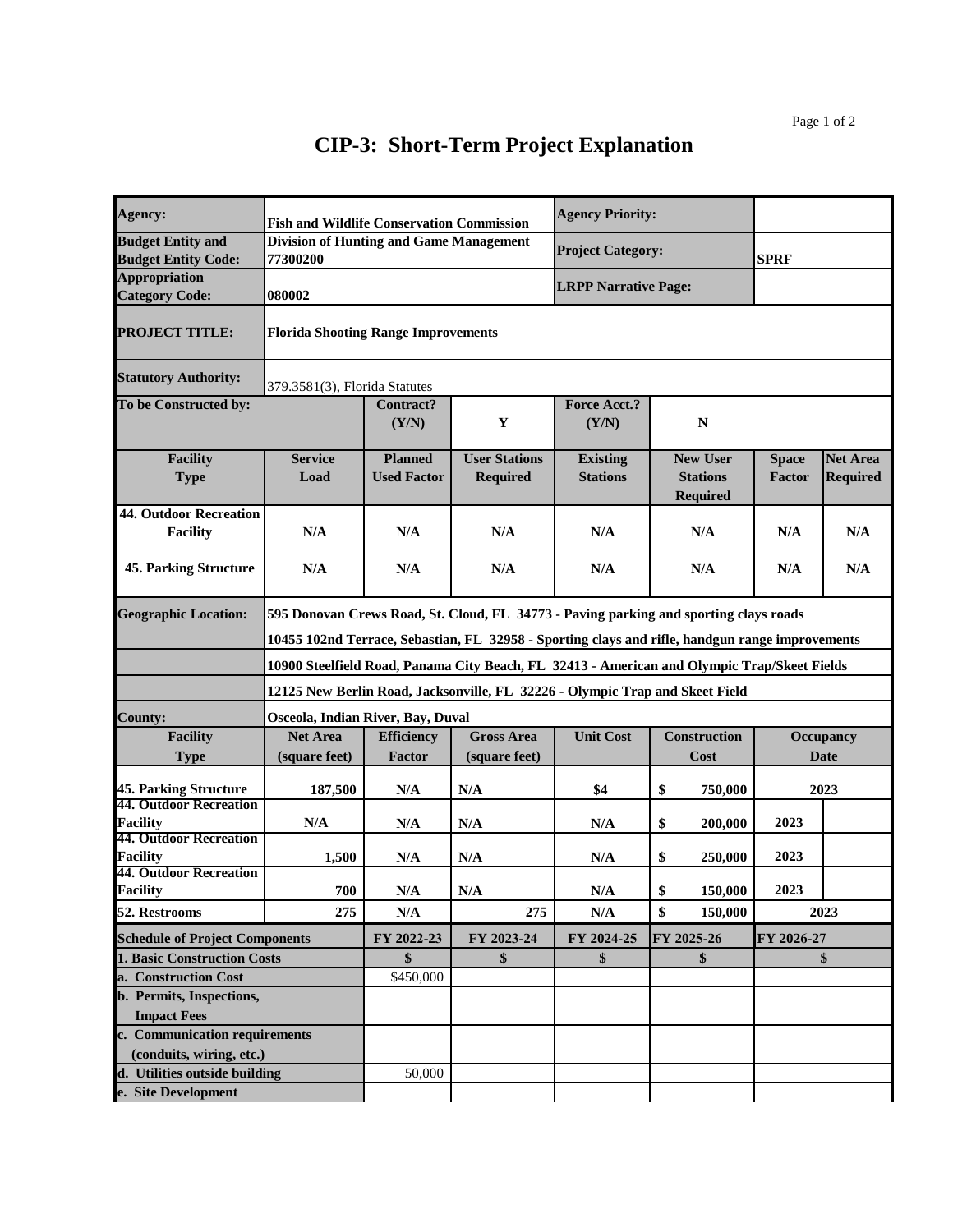| Agency:                                   | <b>Fish and Wildlife Conservation Commission</b> |                                                                                             |                      | <b>Agency Priority:</b>     |                                                                                                 |               |                 |  |  |  |
|-------------------------------------------|--------------------------------------------------|---------------------------------------------------------------------------------------------|----------------------|-----------------------------|-------------------------------------------------------------------------------------------------|---------------|-----------------|--|--|--|
| <b>Budget Entity and</b>                  | <b>Division of Hunting and Game Management</b>   |                                                                                             |                      |                             |                                                                                                 |               |                 |  |  |  |
| <b>Budget Entity Code:</b>                | 77300200                                         |                                                                                             |                      | <b>Project Category:</b>    |                                                                                                 | <b>SPRF</b>   |                 |  |  |  |
| <b>Appropriation</b>                      |                                                  |                                                                                             |                      |                             |                                                                                                 |               |                 |  |  |  |
| <b>Category Code:</b>                     | 080002                                           |                                                                                             |                      | <b>LRPP Narrative Page:</b> |                                                                                                 |               |                 |  |  |  |
| <b>PROJECT TITLE:</b>                     | <b>Florida Shooting Range Improvements</b>       |                                                                                             |                      |                             |                                                                                                 |               |                 |  |  |  |
| <b>Statutory Authority:</b>               |                                                  | 379.3581(3), Florida Statutes                                                               |                      |                             |                                                                                                 |               |                 |  |  |  |
| To be Constructed by:                     |                                                  | Contract?                                                                                   |                      | <b>Force Acct.?</b>         |                                                                                                 |               |                 |  |  |  |
|                                           |                                                  | (Y/N)                                                                                       | Y                    | (Y/N)                       | ${\bf N}$                                                                                       |               |                 |  |  |  |
|                                           |                                                  |                                                                                             |                      |                             |                                                                                                 |               |                 |  |  |  |
| <b>Facility</b>                           | <b>Service</b>                                   | <b>Planned</b>                                                                              | <b>User Stations</b> | <b>Existing</b>             | <b>New User</b>                                                                                 | <b>Space</b>  | <b>Net Area</b> |  |  |  |
| <b>Type</b>                               | Load                                             | <b>Used Factor</b>                                                                          | <b>Required</b>      | <b>Stations</b>             | <b>Stations</b>                                                                                 | <b>Factor</b> | <b>Required</b> |  |  |  |
|                                           |                                                  |                                                                                             |                      |                             | <b>Required</b>                                                                                 |               |                 |  |  |  |
| <b>44. Outdoor Recreation</b>             |                                                  |                                                                                             |                      |                             |                                                                                                 |               |                 |  |  |  |
| <b>Facility</b>                           | N/A                                              | N/A                                                                                         | N/A                  | N/A                         | N/A                                                                                             | N/A           | N/A             |  |  |  |
|                                           |                                                  |                                                                                             |                      |                             |                                                                                                 |               |                 |  |  |  |
| <b>45. Parking Structure</b>              | N/A                                              | N/A                                                                                         | N/A                  | N/A                         | N/A                                                                                             | N/A           | N/A             |  |  |  |
|                                           |                                                  |                                                                                             |                      |                             |                                                                                                 |               |                 |  |  |  |
| <b>Geographic Location:</b>               |                                                  | 595 Donovan Crews Road, St. Cloud, FL 34773 - Paving parking and sporting clays roads       |                      |                             |                                                                                                 |               |                 |  |  |  |
|                                           |                                                  |                                                                                             |                      |                             | 10455 102nd Terrace, Sebastian, FL 32958 - Sporting clays and rifle, handgun range improvements |               |                 |  |  |  |
|                                           |                                                  | 10900 Steelfield Road, Panama City Beach, FL 32413 - American and Olympic Trap/Skeet Fields |                      |                             |                                                                                                 |               |                 |  |  |  |
|                                           |                                                  | 12125 New Berlin Road, Jacksonville, FL 32226 - Olympic Trap and Skeet Field                |                      |                             |                                                                                                 |               |                 |  |  |  |
| <b>County:</b>                            | Osceola, Indian River, Bay, Duval                |                                                                                             |                      |                             |                                                                                                 |               |                 |  |  |  |
| <b>Facility</b>                           | <b>Net Area</b>                                  | <b>Efficiency</b>                                                                           | <b>Gross Area</b>    | <b>Unit Cost</b>            | <b>Construction</b>                                                                             |               | Occupancy       |  |  |  |
| <b>Type</b>                               | (square feet)                                    | <b>Factor</b>                                                                               | (square feet)        |                             | Cost                                                                                            |               | Date            |  |  |  |
| <b>45. Parking Structure</b>              | 187,500                                          | N/A                                                                                         | N/A                  | \$4                         | \$<br>750,000                                                                                   |               | 2023            |  |  |  |
| <b>44. Outdoor Recreation</b>             |                                                  |                                                                                             |                      |                             |                                                                                                 |               |                 |  |  |  |
| <b>Facility</b>                           | N/A                                              | N/A                                                                                         | N/A                  | N/A                         | \$<br>200,000                                                                                   | 2023          |                 |  |  |  |
| <b>44. Outdoor Recreation</b>             |                                                  |                                                                                             |                      |                             |                                                                                                 |               |                 |  |  |  |
| Facility<br><b>44. Outdoor Recreation</b> | 1,500                                            | N/A                                                                                         | N/A                  | N/A                         | \$<br>250,000                                                                                   | 2023          |                 |  |  |  |
| Facility                                  | 700                                              | N/A                                                                                         | N/A                  | N/A                         | \$<br>150,000                                                                                   | 2023          |                 |  |  |  |
| 52. Restrooms                             | 275                                              | N/A                                                                                         | 275                  | N/A                         | \$<br>150,000                                                                                   |               | 2023            |  |  |  |
| <b>Schedule of Project Components</b>     |                                                  | FY 2022-23                                                                                  | FY 2023-24           | FY 2024-25                  | FY 2025-26                                                                                      | FY 2026-27    |                 |  |  |  |
| 1. Basic Construction Costs               |                                                  | \$                                                                                          | \$                   | \$                          | \$                                                                                              |               | \$              |  |  |  |
| a. Construction Cost                      |                                                  | \$450,000                                                                                   |                      |                             |                                                                                                 |               |                 |  |  |  |
| b. Permits, Inspections,                  |                                                  |                                                                                             |                      |                             |                                                                                                 |               |                 |  |  |  |
| <b>Impact Fees</b>                        |                                                  |                                                                                             |                      |                             |                                                                                                 |               |                 |  |  |  |
| c. Communication requirements             |                                                  |                                                                                             |                      |                             |                                                                                                 |               |                 |  |  |  |
|                                           |                                                  |                                                                                             |                      |                             |                                                                                                 |               |                 |  |  |  |
| (conduits, wiring, etc.)                  |                                                  |                                                                                             |                      |                             |                                                                                                 |               |                 |  |  |  |
| d. Utilities outside building             |                                                  | 50,000                                                                                      |                      |                             |                                                                                                 |               |                 |  |  |  |
| e. Site Development                       |                                                  |                                                                                             |                      |                             |                                                                                                 |               |                 |  |  |  |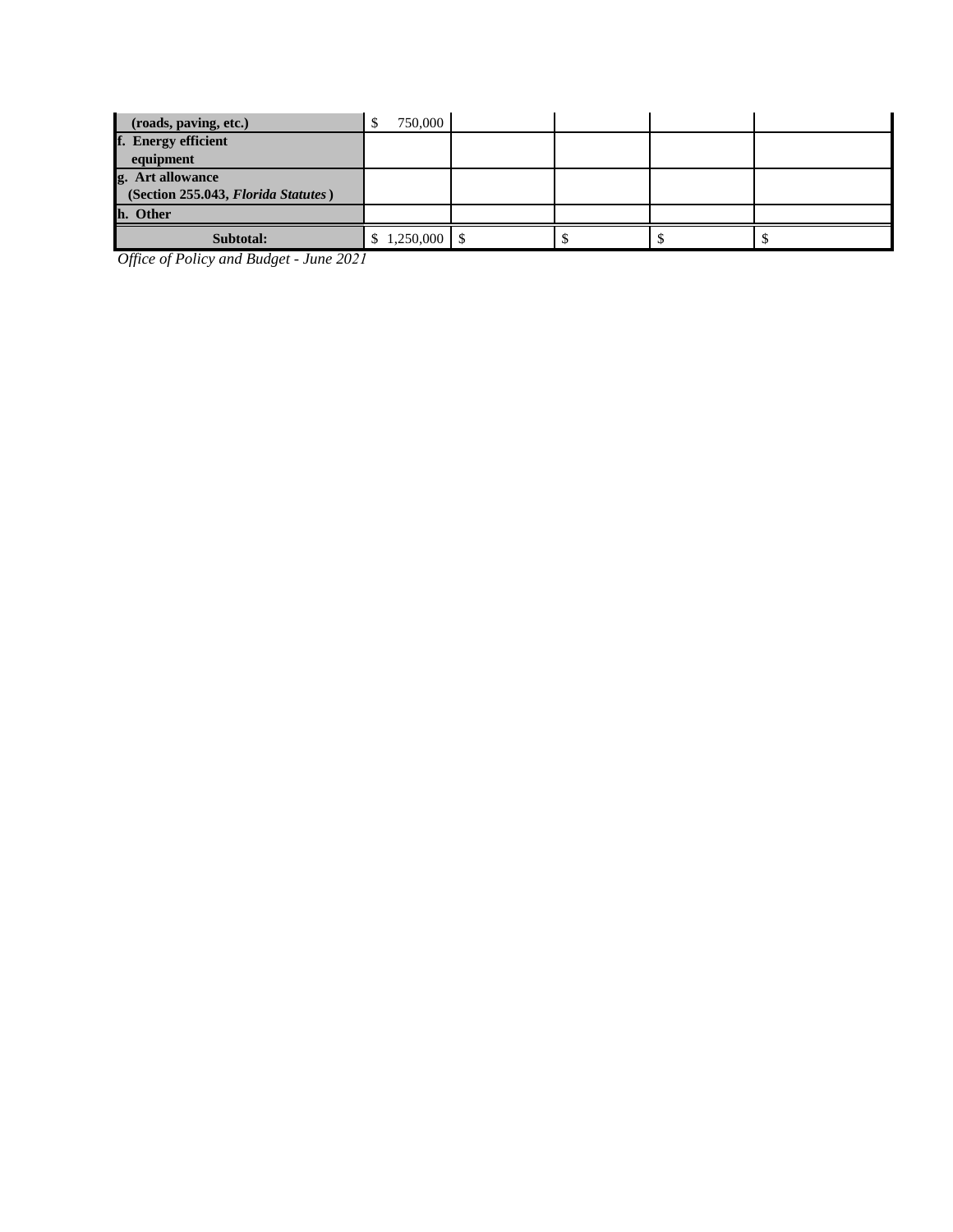| (roads, paving, etc.)               | 750,000  |  |  |
|-------------------------------------|----------|--|--|
| f. Energy efficient                 |          |  |  |
| equipment                           |          |  |  |
| g. Art allowance                    |          |  |  |
| (Section 255.043, Florida Statutes) |          |  |  |
| h. Other                            |          |  |  |
| Subtotal:                           | .250.000 |  |  |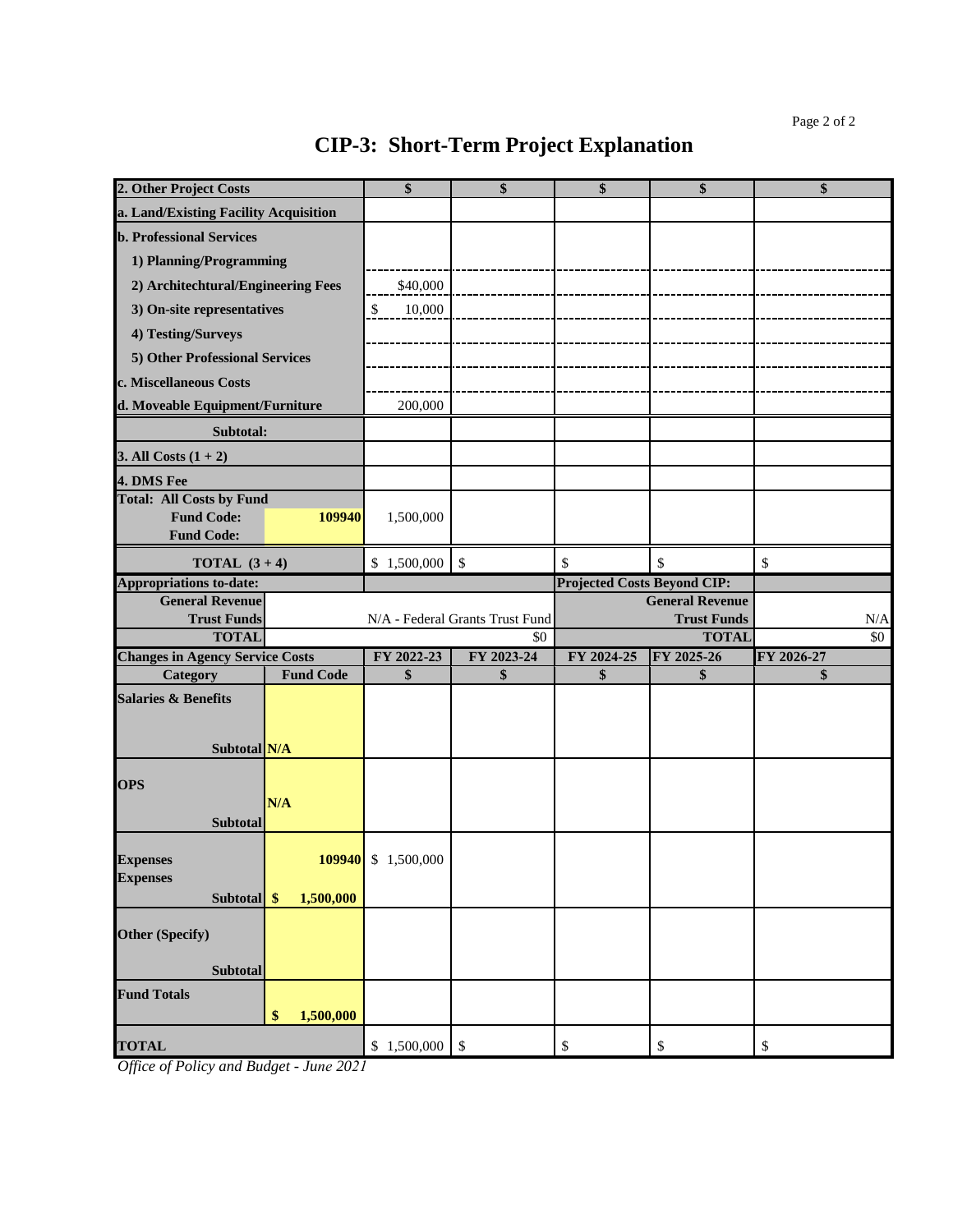| 2. Other Project Costs                               |                  | \$                 | \$                                     | \$                                 | \$                                 | \$               |
|------------------------------------------------------|------------------|--------------------|----------------------------------------|------------------------------------|------------------------------------|------------------|
| a. Land/Existing Facility Acquisition                |                  |                    |                                        |                                    |                                    |                  |
| <b>b. Professional Services</b>                      |                  |                    |                                        |                                    |                                    |                  |
| 1) Planning/Programming                              |                  |                    |                                        |                                    |                                    |                  |
| 2) Architechtural/Engineering Fees                   |                  | \$40,000           |                                        |                                    |                                    |                  |
| 3) On-site representatives                           |                  | \$<br>10,000       |                                        |                                    |                                    |                  |
| 4) Testing/Surveys                                   |                  |                    |                                        |                                    |                                    |                  |
|                                                      |                  |                    |                                        |                                    |                                    |                  |
| 5) Other Professional Services                       |                  |                    |                                        |                                    |                                    |                  |
| c. Miscellaneous Costs                               |                  |                    |                                        |                                    |                                    |                  |
| d. Moveable Equipment/Furniture                      |                  | 200,000            |                                        |                                    |                                    |                  |
| Subtotal:                                            |                  |                    |                                        |                                    |                                    |                  |
| 3. All Costs $(1 + 2)$                               |                  |                    |                                        |                                    |                                    |                  |
| 4. DMS Fee                                           |                  |                    |                                        |                                    |                                    |                  |
| <b>Total: All Costs by Fund</b><br><b>Fund Code:</b> | 109940           | 1,500,000          |                                        |                                    |                                    |                  |
| <b>Fund Code:</b>                                    |                  |                    |                                        |                                    |                                    |                  |
| <b>TOTAL</b> $(3+4)$                                 |                  | \$1,500,000        | $\mathcal{S}$                          | \$                                 | $\mathcal{S}$                      | \$               |
| <b>Appropriations to-date:</b>                       |                  |                    |                                        | <b>Projected Costs Beyond CIP:</b> |                                    |                  |
| <b>General Revenue</b>                               |                  |                    |                                        |                                    | <b>General Revenue</b>             |                  |
| <b>Trust Funds</b><br><b>TOTAL</b>                   |                  |                    | N/A - Federal Grants Trust Fund<br>\$0 |                                    | <b>Trust Funds</b><br><b>TOTAL</b> | $\rm N/A$<br>\$0 |
| <b>Changes in Agency Service Costs</b>               |                  | FY 2022-23         | FY 2023-24                             | FY 2024-25                         | FY 2025-26                         | FY 2026-27       |
| Category                                             | <b>Fund Code</b> | \$                 | \$                                     | \$                                 | \$                                 | \$               |
| <b>Salaries &amp; Benefits</b>                       |                  |                    |                                        |                                    |                                    |                  |
|                                                      |                  |                    |                                        |                                    |                                    |                  |
| Subtotal N/A                                         |                  |                    |                                        |                                    |                                    |                  |
|                                                      |                  |                    |                                        |                                    |                                    |                  |
| <b>OPS</b>                                           |                  |                    |                                        |                                    |                                    |                  |
|                                                      | N/A              |                    |                                        |                                    |                                    |                  |
| <b>Subtotal</b>                                      |                  |                    |                                        |                                    |                                    |                  |
| <b>Expenses</b>                                      |                  | 109940 \$1,500,000 |                                        |                                    |                                    |                  |
| <b>Expenses</b>                                      |                  |                    |                                        |                                    |                                    |                  |
| Subtotal \$                                          | 1,500,000        |                    |                                        |                                    |                                    |                  |
|                                                      |                  |                    |                                        |                                    |                                    |                  |
| <b>Other (Specify)</b>                               |                  |                    |                                        |                                    |                                    |                  |
| Subtotal                                             |                  |                    |                                        |                                    |                                    |                  |
| <b>Fund Totals</b>                                   |                  |                    |                                        |                                    |                                    |                  |
|                                                      | 1,500,000<br>\$  |                    |                                        |                                    |                                    |                  |
|                                                      |                  |                    |                                        |                                    |                                    |                  |
| <b>TOTAL</b>                                         |                  | \$1,500,000        | $\boldsymbol{\mathsf{S}}$              | \$                                 | \$                                 | \$               |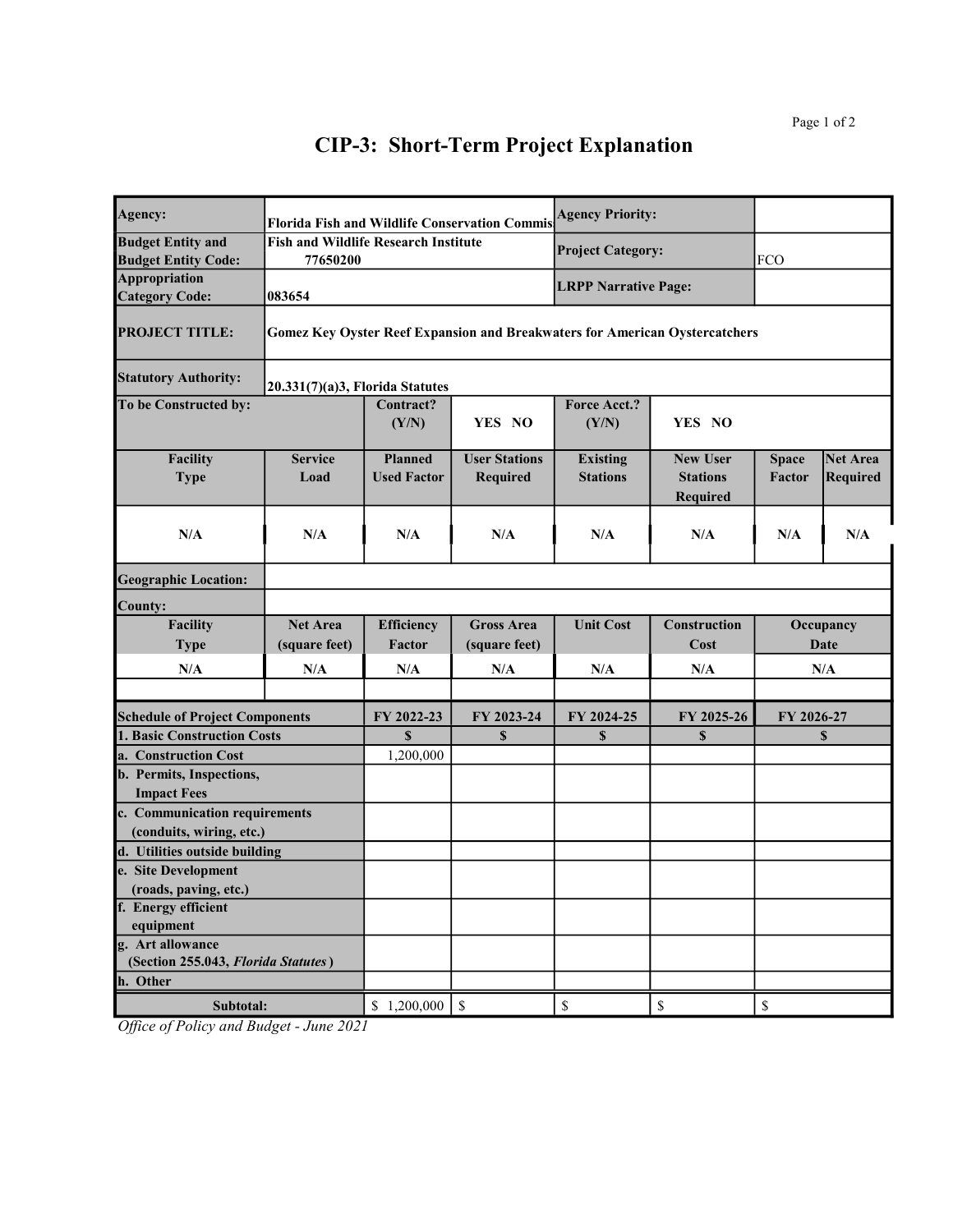| Agency:                                                   |                                                         |                                      | <b>Florida Fish and Wildlife Conservation Commis</b> | <b>Agency Priority:</b>            |                                                                                    |                               |                                    |  |
|-----------------------------------------------------------|---------------------------------------------------------|--------------------------------------|------------------------------------------------------|------------------------------------|------------------------------------------------------------------------------------|-------------------------------|------------------------------------|--|
| <b>Budget Entity and</b><br><b>Budget Entity Code:</b>    | <b>Fish and Wildlife Research Institute</b><br>77650200 |                                      |                                                      | <b>Project Category:</b>           |                                                                                    | <b>FCO</b>                    |                                    |  |
| Appropriation<br><b>Category Code:</b>                    | 083654                                                  |                                      |                                                      | <b>LRPP Narrative Page:</b>        |                                                                                    |                               |                                    |  |
| <b>PROJECT TITLE:</b>                                     |                                                         |                                      |                                                      |                                    | <b>Gomez Key Oyster Reef Expansion and Breakwaters for American Oystercatchers</b> |                               |                                    |  |
| <b>Statutory Authority:</b>                               |                                                         | 20.331(7)(a)3, Florida Statutes      |                                                      |                                    |                                                                                    |                               |                                    |  |
| To be Constructed by:                                     |                                                         | Contract?<br>(Y/N)                   | YES NO                                               | Force Acct.?<br>(Y/N)              | YES NO                                                                             |                               |                                    |  |
| Facility<br><b>Type</b>                                   | <b>Service</b><br>Load                                  | <b>Planned</b><br><b>Used Factor</b> | <b>User Stations</b><br>Required                     | <b>Existing</b><br><b>Stations</b> | <b>New User</b><br><b>Stations</b><br>Required                                     | <b>Space</b><br><b>Factor</b> | <b>Net Area</b><br><b>Required</b> |  |
| N/A                                                       | N/A                                                     | N/A                                  | N/A                                                  | N/A                                | N/A                                                                                | N/A                           | N/A                                |  |
| <b>Geographic Location:</b>                               |                                                         |                                      |                                                      |                                    |                                                                                    |                               |                                    |  |
| <b>County:</b>                                            |                                                         |                                      |                                                      |                                    |                                                                                    |                               |                                    |  |
| <b>Facility</b><br><b>Type</b>                            | <b>Net Area</b><br>(square feet)                        | Efficiency<br>Factor                 | <b>Gross Area</b><br>(square feet)                   | <b>Unit Cost</b>                   | Construction<br>Cost                                                               |                               | Occupancy<br><b>Date</b>           |  |
| N/A                                                       | N/A                                                     | N/A                                  | N/A                                                  | N/A                                | N/A                                                                                |                               | N/A                                |  |
| <b>Schedule of Project Components</b>                     |                                                         | FY 2022-23                           | FY 2023-24                                           | FY 2024-25                         | FY 2025-26                                                                         | FY 2026-27                    |                                    |  |
| 1. Basic Construction Costs                               |                                                         | \$                                   | \$                                                   | $\mathbf s$                        | \$                                                                                 |                               | \$                                 |  |
| a. Construction Cost                                      |                                                         | 1,200,000                            |                                                      |                                    |                                                                                    |                               |                                    |  |
| b. Permits, Inspections,                                  |                                                         |                                      |                                                      |                                    |                                                                                    |                               |                                    |  |
| <b>Impact Fees</b>                                        |                                                         |                                      |                                                      |                                    |                                                                                    |                               |                                    |  |
| c. Communication requirements                             |                                                         |                                      |                                                      |                                    |                                                                                    |                               |                                    |  |
| (conduits, wiring, etc.)<br>d. Utilities outside building |                                                         |                                      |                                                      |                                    |                                                                                    |                               |                                    |  |
| e. Site Development                                       |                                                         |                                      |                                                      |                                    |                                                                                    |                               |                                    |  |
| (roads, paving, etc.)                                     |                                                         |                                      |                                                      |                                    |                                                                                    |                               |                                    |  |
| f. Energy efficient                                       |                                                         |                                      |                                                      |                                    |                                                                                    |                               |                                    |  |
| equipment                                                 |                                                         |                                      |                                                      |                                    |                                                                                    |                               |                                    |  |
| g. Art allowance                                          |                                                         |                                      |                                                      |                                    |                                                                                    |                               |                                    |  |
| (Section 255.043, Florida Statutes)                       |                                                         |                                      |                                                      |                                    |                                                                                    |                               |                                    |  |
| h. Other                                                  |                                                         |                                      |                                                      |                                    |                                                                                    |                               |                                    |  |
| Subtotal:                                                 |                                                         | \$1,200,000                          | $\$$                                                 | \$                                 | $\mathbb{S}% _{t}\left( t\right) \equiv\mathbb{S}_{t}\left( t\right)$              | \$                            |                                    |  |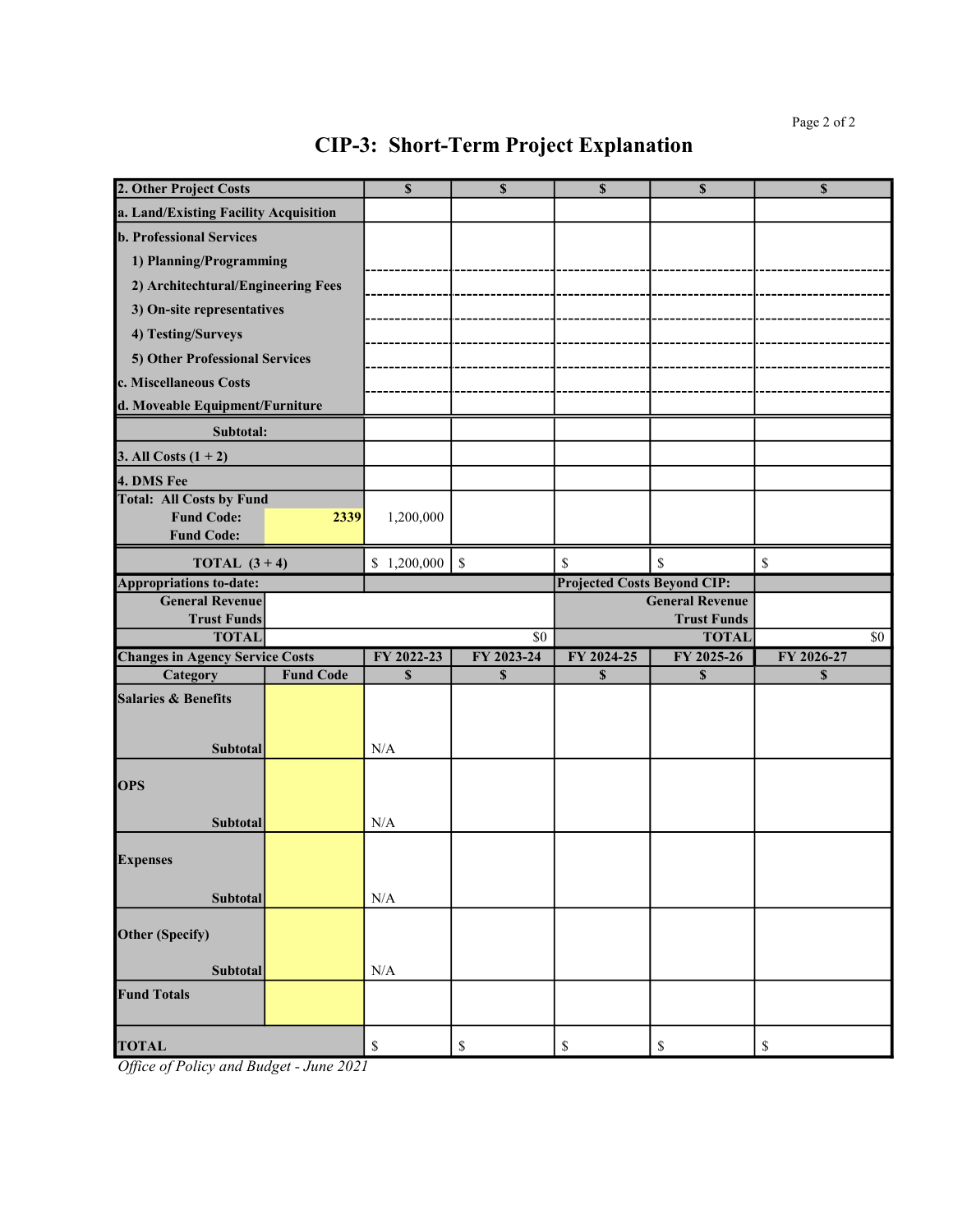| 2. Other Project Costs                 |                  | $\mathbf S$ | $\mathbf S$     | $\mathbf S$                        | $\mathbf S$                        | \$         |
|----------------------------------------|------------------|-------------|-----------------|------------------------------------|------------------------------------|------------|
| a. Land/Existing Facility Acquisition  |                  |             |                 |                                    |                                    |            |
| <b>b. Professional Services</b>        |                  |             |                 |                                    |                                    |            |
| 1) Planning/Programming                |                  |             |                 |                                    |                                    |            |
| 2) Architechtural/Engineering Fees     |                  |             |                 |                                    |                                    |            |
| 3) On-site representatives             |                  |             |                 |                                    |                                    |            |
| 4) Testing/Surveys                     |                  |             |                 |                                    |                                    |            |
| 5) Other Professional Services         |                  |             |                 |                                    |                                    |            |
| c. Miscellaneous Costs                 |                  |             |                 |                                    |                                    |            |
| d. Moveable Equipment/Furniture        |                  |             |                 |                                    |                                    |            |
| Subtotal:                              |                  |             |                 |                                    |                                    |            |
| 3. All Costs $(1 + 2)$                 |                  |             |                 |                                    |                                    |            |
| 4. DMS Fee                             |                  |             |                 |                                    |                                    |            |
| <b>Total: All Costs by Fund</b>        |                  |             |                 |                                    |                                    |            |
| <b>Fund Code:</b>                      | 2339             | 1,200,000   |                 |                                    |                                    |            |
| <b>Fund Code:</b>                      |                  |             |                 |                                    |                                    |            |
| TOTAL $(3 + 4)$                        |                  | \$1,200,000 | $\mathcal{S}$   | \$                                 | \$                                 | \$         |
| <b>Appropriations to-date:</b>         |                  |             |                 | <b>Projected Costs Beyond CIP:</b> |                                    |            |
| <b>General Revenue</b>                 |                  |             |                 |                                    | <b>General Revenue</b>             |            |
| <b>Trust Funds</b><br><b>TOTAL</b>     |                  |             | $\overline{50}$ |                                    | <b>Trust Funds</b><br><b>TOTAL</b> | \$0        |
| <b>Changes in Agency Service Costs</b> |                  | FY 2022-23  | FY 2023-24      | FY 2024-25                         | FY 2025-26                         | FY 2026-27 |
| Category                               | <b>Fund Code</b> | $\mathbf S$ | $\mathbf S$     | $\mathbf S$                        | $\mathbf S$                        | \$         |
| <b>Salaries &amp; Benefits</b>         |                  |             |                 |                                    |                                    |            |
|                                        |                  |             |                 |                                    |                                    |            |
|                                        |                  |             |                 |                                    |                                    |            |
| <b>Subtotal</b>                        |                  | N/A         |                 |                                    |                                    |            |
| <b>OPS</b>                             |                  |             |                 |                                    |                                    |            |
|                                        |                  |             |                 |                                    |                                    |            |
| <b>Subtotal</b>                        |                  | N/A         |                 |                                    |                                    |            |
| <b>Expenses</b>                        |                  |             |                 |                                    |                                    |            |
|                                        |                  |             |                 |                                    |                                    |            |
| Subtotal                               |                  | N/A         |                 |                                    |                                    |            |
|                                        |                  |             |                 |                                    |                                    |            |
| Other (Specify)                        |                  |             |                 |                                    |                                    |            |
| Subtotal                               |                  | N/A         |                 |                                    |                                    |            |
| <b>Fund Totals</b>                     |                  |             |                 |                                    |                                    |            |
|                                        |                  |             |                 |                                    |                                    |            |
| <b>TOTAL</b>                           |                  | \$          | \$              | \$                                 | \$                                 | \$         |
| $c_{\mathbf{D}}$ $\mathbf{L}$          | 2021             |             |                 |                                    |                                    |            |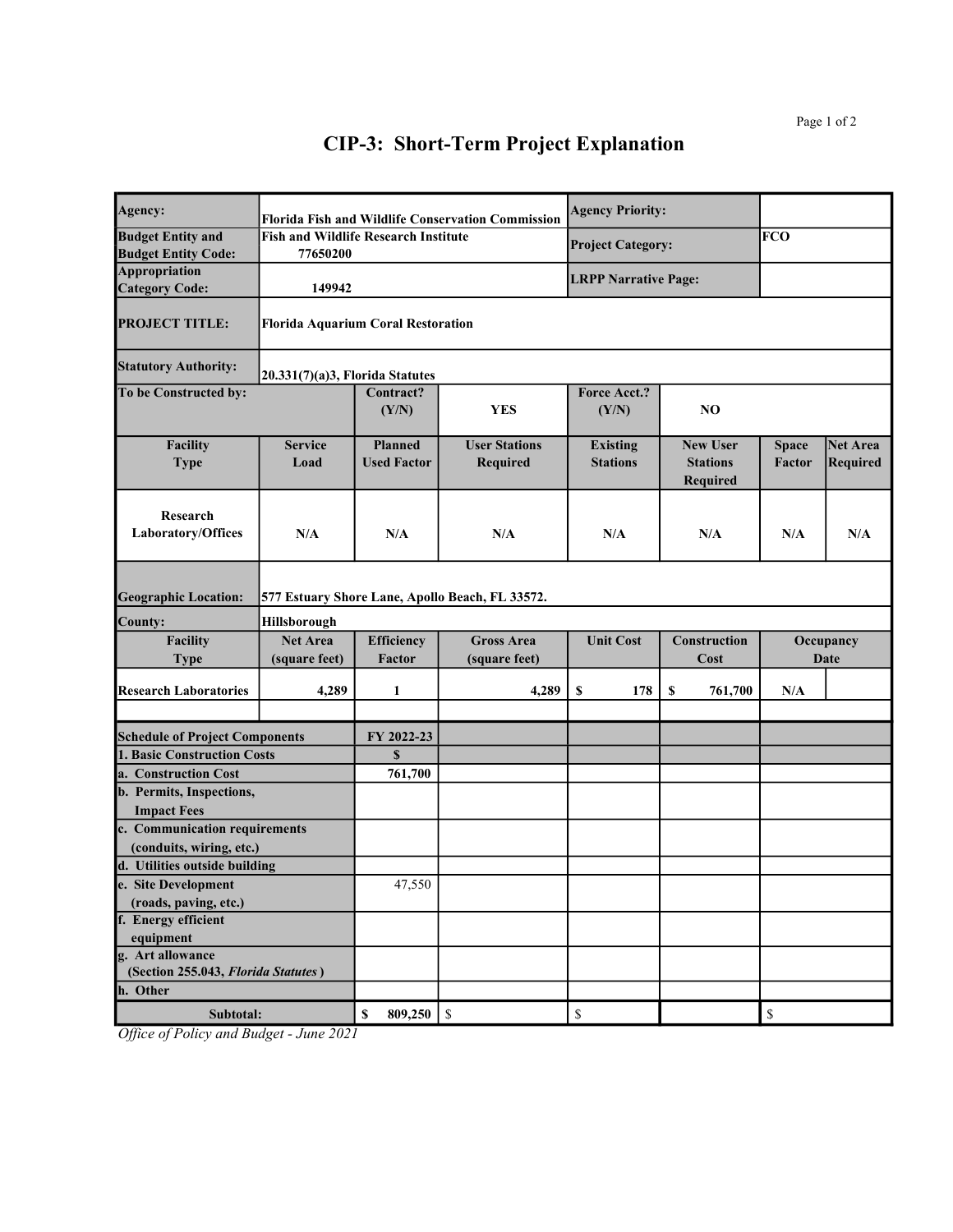| Agency:                                                   |                                                         |                                      | <b>Florida Fish and Wildlife Conservation Commission</b> | <b>Agency Priority:</b>                                               |                                                       |                               |                             |
|-----------------------------------------------------------|---------------------------------------------------------|--------------------------------------|----------------------------------------------------------|-----------------------------------------------------------------------|-------------------------------------------------------|-------------------------------|-----------------------------|
| <b>Budget Entity and</b><br><b>Budget Entity Code:</b>    | <b>Fish and Wildlife Research Institute</b><br>77650200 |                                      |                                                          | <b>Project Category:</b>                                              |                                                       | FCO                           |                             |
| Appropriation<br><b>Category Code:</b>                    | 149942                                                  |                                      |                                                          | <b>LRPP Narrative Page:</b>                                           |                                                       |                               |                             |
| <b>PROJECT TITLE:</b>                                     | <b>Florida Aquarium Coral Restoration</b>               |                                      |                                                          |                                                                       |                                                       |                               |                             |
| <b>Statutory Authority:</b>                               | 20.331(7)(a)3, Florida Statutes                         |                                      |                                                          |                                                                       |                                                       |                               |                             |
| To be Constructed by:                                     |                                                         | Contract?<br>(Y/N)                   | <b>YES</b>                                               | <b>Force Acct.?</b><br>(Y/N)                                          | NO.                                                   |                               |                             |
| Facility<br><b>Type</b>                                   | <b>Service</b><br>Load                                  | <b>Planned</b><br><b>Used Factor</b> | <b>User Stations</b><br><b>Required</b>                  | <b>Existing</b><br><b>Stations</b>                                    | <b>New User</b><br><b>Stations</b><br><b>Required</b> | <b>Space</b><br><b>Factor</b> | <b>Net Area</b><br>Required |
| Research<br><b>Laboratory/Offices</b>                     | N/A                                                     | N/A                                  | N/A                                                      | N/A                                                                   | N/A                                                   | N/A                           | N/A                         |
| <b>Geographic Location:</b>                               |                                                         |                                      | 577 Estuary Shore Lane, Apollo Beach, FL 33572.          |                                                                       |                                                       |                               |                             |
| County:                                                   | <b>Hillsborough</b>                                     |                                      |                                                          |                                                                       |                                                       |                               |                             |
| Facility<br><b>Type</b>                                   | <b>Net Area</b><br>(square feet)                        | <b>Efficiency</b><br><b>Factor</b>   | <b>Gross Area</b><br>(square feet)                       | <b>Unit Cost</b>                                                      | Construction<br>Cost                                  |                               | Occupancy<br>Date           |
| <b>Research Laboratories</b>                              | 4,289                                                   | 1                                    | 4,289                                                    | 178<br>\$                                                             | \$<br>761,700                                         | N/A                           |                             |
| <b>Schedule of Project Components</b>                     |                                                         | FY 2022-23                           |                                                          |                                                                       |                                                       |                               |                             |
| 1. Basic Construction Costs                               |                                                         | $\mathbf{s}$                         |                                                          |                                                                       |                                                       |                               |                             |
| a. Construction Cost                                      |                                                         | 761,700                              |                                                          |                                                                       |                                                       |                               |                             |
| b. Permits, Inspections,<br><b>Impact Fees</b>            |                                                         |                                      |                                                          |                                                                       |                                                       |                               |                             |
| c. Communication requirements<br>(conduits, wiring, etc.) |                                                         |                                      |                                                          |                                                                       |                                                       |                               |                             |
| d. Utilities outside building                             |                                                         |                                      |                                                          |                                                                       |                                                       |                               |                             |
| e. Site Development                                       |                                                         | 47,550                               |                                                          |                                                                       |                                                       |                               |                             |
| (roads, paving, etc.)                                     |                                                         |                                      |                                                          |                                                                       |                                                       |                               |                             |
| f. Energy efficient                                       |                                                         |                                      |                                                          |                                                                       |                                                       |                               |                             |
| equipment<br>g. Art allowance                             |                                                         |                                      |                                                          |                                                                       |                                                       |                               |                             |
| (Section 255.043, Florida Statutes)                       |                                                         |                                      |                                                          |                                                                       |                                                       |                               |                             |
| h. Other                                                  |                                                         |                                      |                                                          |                                                                       |                                                       |                               |                             |
| Subtotal:                                                 |                                                         | 809,250<br>\$                        | $\mathbb{S}$                                             | $\mathbb{S}% _{t}\left( t\right) \equiv\mathbb{S}_{t}\left( t\right)$ |                                                       | $\mathbb S$                   |                             |